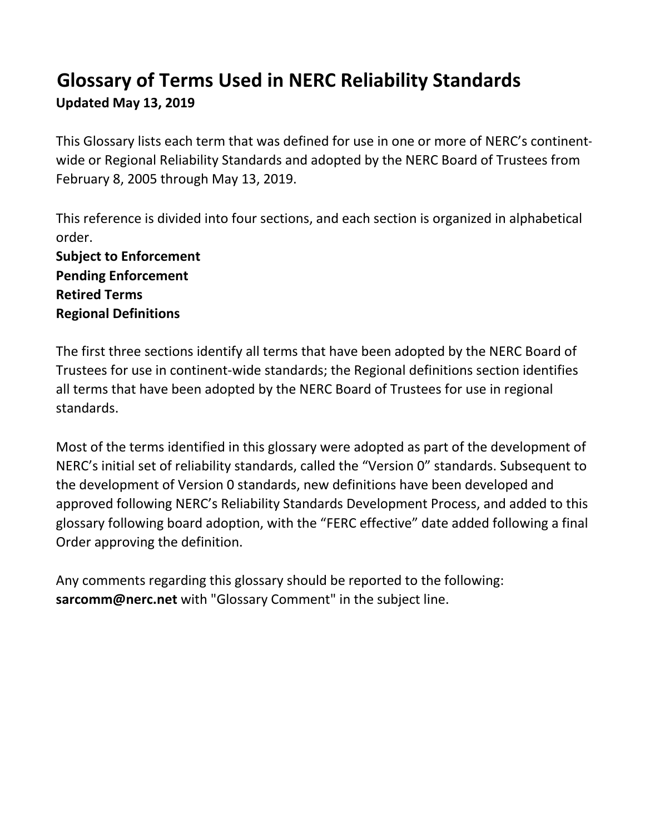## **Glossary of Terms Used in NERC Reliability Standards Updated May 13, 2019**

This Glossary lists each term that was defined for use in one or more of NERC's continentwide or Regional Reliability Standards and adopted by the NERC Board of Trustees from February 8, 2005 through May 13, 2019.

This reference is divided into four sections, and each section is organized in alphabetical order.

**Subject to Enforcement Pending Enforcement Retired Terms Regional Definitions**

The first three sections identify all terms that have been adopted by the NERC Board of Trustees for use in continent-wide standards; the Regional definitions section identifies all terms that have been adopted by the NERC Board of Trustees for use in regional standards.

Most of the terms identified in this glossary were adopted as part of the development of NERC's initial set of reliability standards, called the "Version 0" standards. Subsequent to the development of Version 0 standards, new definitions have been developed and approved following NERC's Reliability Standards Development Process, and added to this glossary following board adoption, with the "FERC effective" date added following a final Order approving the definition.

Any comments regarding this glossary should be reported to the following: **sarcomm@nerc.net** with "Glossary Comment" in the subject line.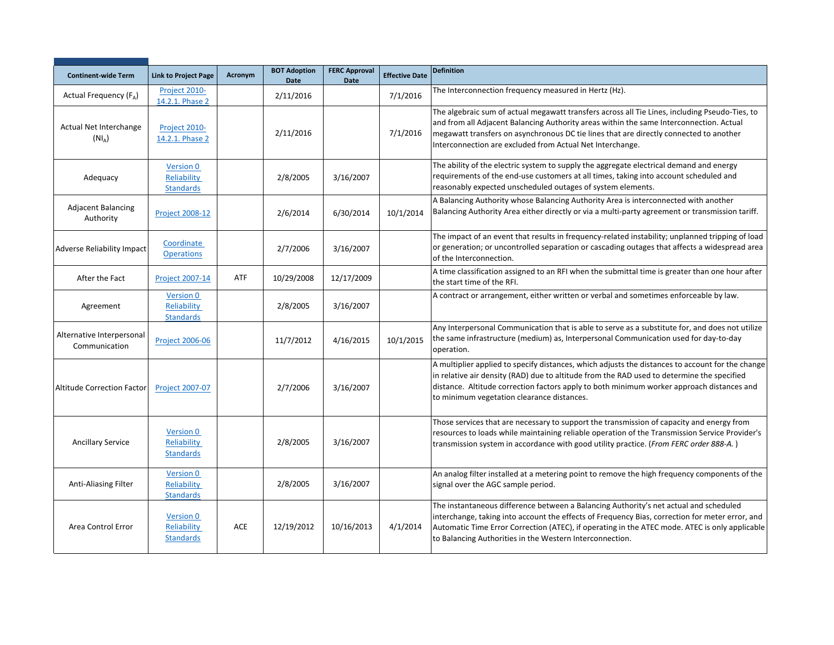| <b>Continent-wide Term</b>                 | <b>Link to Project Page</b>                  | Acronym    | <b>BOT Adoption</b><br><b>Date</b> | <b>FERC Approval</b><br><b>Date</b> | <b>Effective Date</b> | <b>Definition</b>                                                                                                                                                                                                                                                                                                                                      |
|--------------------------------------------|----------------------------------------------|------------|------------------------------------|-------------------------------------|-----------------------|--------------------------------------------------------------------------------------------------------------------------------------------------------------------------------------------------------------------------------------------------------------------------------------------------------------------------------------------------------|
| Actual Frequency (FA)                      | Project 2010-<br>14.2.1. Phase 2             |            | 2/11/2016                          |                                     | 7/1/2016              | The Interconnection frequency measured in Hertz (Hz).                                                                                                                                                                                                                                                                                                  |
| Actual Net Interchange<br>$(NI_A)$         | Project 2010-<br>14.2.1. Phase 2             |            | 2/11/2016                          |                                     | 7/1/2016              | The algebraic sum of actual megawatt transfers across all Tie Lines, including Pseudo-Ties, to<br>and from all Adjacent Balancing Authority areas within the same Interconnection. Actual<br>megawatt transfers on asynchronous DC tie lines that are directly connected to another<br>Interconnection are excluded from Actual Net Interchange.       |
| Adequacy                                   | Version 0<br>Reliability<br><b>Standards</b> |            | 2/8/2005                           | 3/16/2007                           |                       | The ability of the electric system to supply the aggregate electrical demand and energy<br>requirements of the end-use customers at all times, taking into account scheduled and<br>reasonably expected unscheduled outages of system elements.                                                                                                        |
| <b>Adjacent Balancing</b><br>Authority     | <b>Project 2008-12</b>                       |            | 2/6/2014                           | 6/30/2014                           | 10/1/2014             | A Balancing Authority whose Balancing Authority Area is interconnected with another<br>Balancing Authority Area either directly or via a multi-party agreement or transmission tariff.                                                                                                                                                                 |
| <b>Adverse Reliability Impact</b>          | Coordinate<br><b>Operations</b>              |            | 2/7/2006                           | 3/16/2007                           |                       | The impact of an event that results in frequency-related instability; unplanned tripping of load<br>or generation; or uncontrolled separation or cascading outages that affects a widespread area<br>of the Interconnection.                                                                                                                           |
| After the Fact                             | <b>Project 2007-14</b>                       | ATF        | 10/29/2008                         | 12/17/2009                          |                       | A time classification assigned to an RFI when the submittal time is greater than one hour after<br>the start time of the RFI.                                                                                                                                                                                                                          |
| Agreement                                  | Version 0<br>Reliability<br><b>Standards</b> |            | 2/8/2005                           | 3/16/2007                           |                       | A contract or arrangement, either written or verbal and sometimes enforceable by law.                                                                                                                                                                                                                                                                  |
| Alternative Interpersonal<br>Communication | <b>Project 2006-06</b>                       |            | 11/7/2012                          | 4/16/2015                           | 10/1/2015             | Any Interpersonal Communication that is able to serve as a substitute for, and does not utilize<br>the same infrastructure (medium) as, Interpersonal Communication used for day-to-day<br>operation.                                                                                                                                                  |
| <b>Altitude Correction Factor</b>          | <b>Project 2007-07</b>                       |            | 2/7/2006                           | 3/16/2007                           |                       | A multiplier applied to specify distances, which adjusts the distances to account for the change<br>in relative air density (RAD) due to altitude from the RAD used to determine the specified<br>distance. Altitude correction factors apply to both minimum worker approach distances and<br>to minimum vegetation clearance distances.              |
| <b>Ancillary Service</b>                   | Version 0<br>Reliability<br><b>Standards</b> |            | 2/8/2005                           | 3/16/2007                           |                       | Those services that are necessary to support the transmission of capacity and energy from<br>resources to loads while maintaining reliable operation of the Transmission Service Provider's<br>transmission system in accordance with good utility practice. (From FERC order 888-A.)                                                                  |
| Anti-Aliasing Filter                       | Version 0<br>Reliability<br><b>Standards</b> |            | 2/8/2005                           | 3/16/2007                           |                       | An analog filter installed at a metering point to remove the high frequency components of the<br>signal over the AGC sample period.                                                                                                                                                                                                                    |
| Area Control Error                         | Version 0<br>Reliability<br><b>Standards</b> | <b>ACE</b> | 12/19/2012                         | 10/16/2013                          | 4/1/2014              | The instantaneous difference between a Balancing Authority's net actual and scheduled<br>interchange, taking into account the effects of Frequency Bias, correction for meter error, and<br>Automatic Time Error Correction (ATEC), if operating in the ATEC mode. ATEC is only applicable<br>to Balancing Authorities in the Western Interconnection. |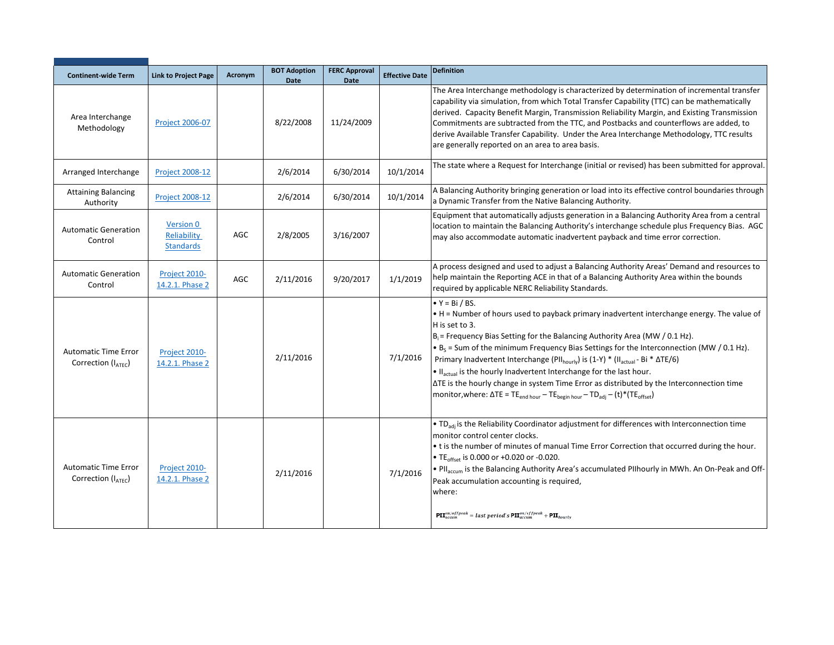| <b>Continent-wide Term</b>                        | <b>Link to Project Page</b>                  | Acronym    | <b>BOT Adoption</b><br><b>Date</b> | <b>FERC Approval</b><br><b>Date</b> | <b>Effective Date</b> | <b>Definition</b>                                                                                                                                                                                                                                                                                                                                                                                                                                                                                                                                                                                                                                                                                                           |
|---------------------------------------------------|----------------------------------------------|------------|------------------------------------|-------------------------------------|-----------------------|-----------------------------------------------------------------------------------------------------------------------------------------------------------------------------------------------------------------------------------------------------------------------------------------------------------------------------------------------------------------------------------------------------------------------------------------------------------------------------------------------------------------------------------------------------------------------------------------------------------------------------------------------------------------------------------------------------------------------------|
| Area Interchange<br>Methodology                   | <b>Project 2006-07</b>                       |            | 8/22/2008                          | 11/24/2009                          |                       | The Area Interchange methodology is characterized by determination of incremental transfer<br>capability via simulation, from which Total Transfer Capability (TTC) can be mathematically<br>derived. Capacity Benefit Margin, Transmission Reliability Margin, and Existing Transmission<br>Commitments are subtracted from the TTC, and Postbacks and counterflows are added, to<br>derive Available Transfer Capability. Under the Area Interchange Methodology, TTC results<br>are generally reported on an area to area basis.                                                                                                                                                                                         |
| Arranged Interchange                              | <b>Project 2008-12</b>                       |            | 2/6/2014                           | 6/30/2014                           | 10/1/2014             | The state where a Request for Interchange (initial or revised) has been submitted for approval.                                                                                                                                                                                                                                                                                                                                                                                                                                                                                                                                                                                                                             |
| <b>Attaining Balancing</b><br>Authority           | <b>Project 2008-12</b>                       |            | 2/6/2014                           | 6/30/2014                           | 10/1/2014             | A Balancing Authority bringing generation or load into its effective control boundaries through<br>a Dynamic Transfer from the Native Balancing Authority.                                                                                                                                                                                                                                                                                                                                                                                                                                                                                                                                                                  |
| <b>Automatic Generation</b><br>Control            | Version 0<br>Reliability<br><b>Standards</b> | AGC        | 2/8/2005                           | 3/16/2007                           |                       | Equipment that automatically adjusts generation in a Balancing Authority Area from a central<br>location to maintain the Balancing Authority's interchange schedule plus Frequency Bias. AGC<br>may also accommodate automatic inadvertent payback and time error correction.                                                                                                                                                                                                                                                                                                                                                                                                                                               |
| <b>Automatic Generation</b><br>Control            | Project 2010-<br>14.2.1. Phase 2             | <b>AGC</b> | 2/11/2016                          | 9/20/2017                           | 1/1/2019              | A process designed and used to adjust a Balancing Authority Areas' Demand and resources to<br>help maintain the Reporting ACE in that of a Balancing Authority Area within the bounds<br>required by applicable NERC Reliability Standards.                                                                                                                                                                                                                                                                                                                                                                                                                                                                                 |
| <b>Automatic Time Error</b><br>Correction (IATEC) | Project 2010-<br>14.2.1. Phase 2             |            | 2/11/2016                          |                                     | 7/1/2016              | $\bullet$ Y = Bi / BS.<br>. H = Number of hours used to payback primary inadvertent interchange energy. The value of<br>H is set to 3.<br>$B_i$ = Frequency Bias Setting for the Balancing Authority Area (MW / 0.1 Hz).<br>• $B_s$ = Sum of the minimum Frequency Bias Settings for the Interconnection (MW / 0.1 Hz).<br>Primary Inadvertent Interchange (PII <sub>hourly</sub> ) is (1-Y) * (II <sub>actual</sub> - Bi * $\Delta TE/6$ )<br>. Il <sub>actual</sub> is the hourly Inadvertent Interchange for the last hour.<br>ΔTE is the hourly change in system Time Error as distributed by the Interconnection time<br>monitor, where: $\Delta TE = TE_{end hour} - TE_{begin hour} - TD_{adi} - (t)^*(TE_{offset})$ |
| <b>Automatic Time Error</b><br>Correction (IATEC) | Project 2010-<br>14.2.1. Phase 2             |            | 2/11/2016                          |                                     | 7/1/2016              | • TD <sub>adi</sub> is the Reliability Coordinator adjustment for differences with Interconnection time<br>monitor control center clocks.<br>• t is the number of minutes of manual Time Error Correction that occurred during the hour.<br>• TE <sub>offset</sub> is 0.000 or +0.020 or -0.020.<br>. Pll <sub>accum</sub> is the Balancing Authority Area's accumulated Pllhourly in MWh. An On-Peak and Off-<br>Peak accumulation accounting is required,<br>where:<br>$\textbf{PII}^{on/offpeak}_{accum} = last\ period's\ \textbf{PII}^{on/offpeak}_{accum} + \textbf{PII}_{hourly}$                                                                                                                                    |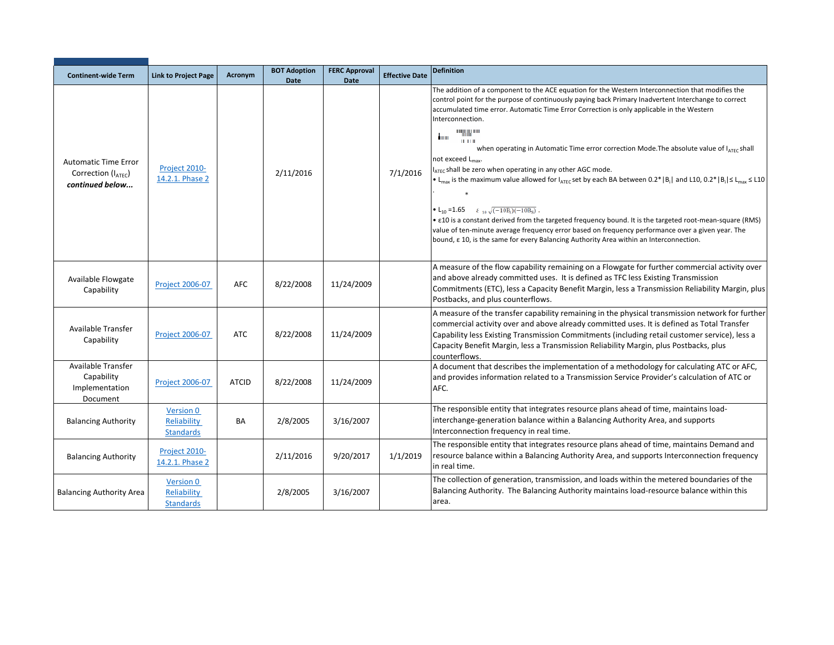| <b>Continent-wide Term</b>                                                        | <b>Link to Project Page</b>                         | Acronym      | <b>BOT Adoption</b>      | <b>FERC Approval</b> | <b>Effective Date</b> | <b>Definition</b>                                                                                                                                                                                                                                                                                                                                                                                                                                                                                                                                                                                                                                                                                                                                                                                                                                                                                                                                                                                                                                                                                                                                                                 |
|-----------------------------------------------------------------------------------|-----------------------------------------------------|--------------|--------------------------|----------------------|-----------------------|-----------------------------------------------------------------------------------------------------------------------------------------------------------------------------------------------------------------------------------------------------------------------------------------------------------------------------------------------------------------------------------------------------------------------------------------------------------------------------------------------------------------------------------------------------------------------------------------------------------------------------------------------------------------------------------------------------------------------------------------------------------------------------------------------------------------------------------------------------------------------------------------------------------------------------------------------------------------------------------------------------------------------------------------------------------------------------------------------------------------------------------------------------------------------------------|
| <b>Automatic Time Error</b><br>Correction (I <sub>ATEC</sub> )<br>continued below | Project 2010-<br>14.2.1. Phase 2                    |              | <b>Date</b><br>2/11/2016 | <b>Date</b>          | 7/1/2016              | The addition of a component to the ACE equation for the Western Interconnection that modifies the<br>control point for the purpose of continuously paying back Primary Inadvertent Interchange to correct<br>accumulated time error. Automatic Time Error Correction is only applicable in the Western<br>Interconnection.<br><b>HAININ</b><br>$\blacksquare$<br><b>HH</b><br>when operating in Automatic Time error correction Mode. The absolute value of I <sub>ATEC</sub> shall<br>not exceed L <sub>max</sub> .<br>IATEC shall be zero when operating in any other AGC mode.<br>• L <sub>max</sub> is the maximum value allowed for I <sub>ATEC</sub> set by each BA between 0.2*   B <sub>i</sub>   and L10, 0.2*   B <sub>i</sub>   $\leq$ L <sub>max</sub> $\leq$ L10<br>• L <sub>10</sub> = 1.65 $\epsilon_{10} \sqrt{(-10B_1)(-10B_S)}$ .<br>• $\epsilon$ 10 is a constant derived from the targeted frequency bound. It is the targeted root-mean-square (RMS)<br>value of ten-minute average frequency error based on frequency performance over a given year. The<br>bound, $\epsilon$ 10, is the same for every Balancing Authority Area within an Interconnection. |
| Available Flowgate<br>Capability                                                  | <b>Project 2006-07</b>                              | <b>AFC</b>   | 8/22/2008                | 11/24/2009           |                       | A measure of the flow capability remaining on a Flowgate for further commercial activity over<br>and above already committed uses. It is defined as TFC less Existing Transmission<br>Commitments (ETC), less a Capacity Benefit Margin, less a Transmission Reliability Margin, plus<br>Postbacks, and plus counterflows.                                                                                                                                                                                                                                                                                                                                                                                                                                                                                                                                                                                                                                                                                                                                                                                                                                                        |
| Available Transfer<br>Capability                                                  | <b>Project 2006-07</b>                              | <b>ATC</b>   | 8/22/2008                | 11/24/2009           |                       | A measure of the transfer capability remaining in the physical transmission network for further<br>commercial activity over and above already committed uses. It is defined as Total Transfer<br>Capability less Existing Transmission Commitments (including retail customer service), less a<br>Capacity Benefit Margin, less a Transmission Reliability Margin, plus Postbacks, plus<br>counterflows.                                                                                                                                                                                                                                                                                                                                                                                                                                                                                                                                                                                                                                                                                                                                                                          |
| Available Transfer<br>Capability<br>Implementation<br>Document                    | Project 2006-07                                     | <b>ATCID</b> | 8/22/2008                | 11/24/2009           |                       | A document that describes the implementation of a methodology for calculating ATC or AFC,<br>and provides information related to a Transmission Service Provider's calculation of ATC or<br>AFC.                                                                                                                                                                                                                                                                                                                                                                                                                                                                                                                                                                                                                                                                                                                                                                                                                                                                                                                                                                                  |
| <b>Balancing Authority</b>                                                        | Version 0<br>Reliability<br><b>Standards</b>        | <b>BA</b>    | 2/8/2005                 | 3/16/2007            |                       | The responsible entity that integrates resource plans ahead of time, maintains load-<br>interchange-generation balance within a Balancing Authority Area, and supports<br>Interconnection frequency in real time.                                                                                                                                                                                                                                                                                                                                                                                                                                                                                                                                                                                                                                                                                                                                                                                                                                                                                                                                                                 |
| <b>Balancing Authority</b>                                                        | Project 2010-<br>14.2.1. Phase 2                    |              | 2/11/2016                | 9/20/2017            | 1/1/2019              | The responsible entity that integrates resource plans ahead of time, maintains Demand and<br>resource balance within a Balancing Authority Area, and supports Interconnection frequency<br>in real time.                                                                                                                                                                                                                                                                                                                                                                                                                                                                                                                                                                                                                                                                                                                                                                                                                                                                                                                                                                          |
| <b>Balancing Authority Area</b>                                                   | <b>Version 0</b><br>Reliability<br><b>Standards</b> |              | 2/8/2005                 | 3/16/2007            |                       | The collection of generation, transmission, and loads within the metered boundaries of the<br>Balancing Authority. The Balancing Authority maintains load-resource balance within this<br>area.                                                                                                                                                                                                                                                                                                                                                                                                                                                                                                                                                                                                                                                                                                                                                                                                                                                                                                                                                                                   |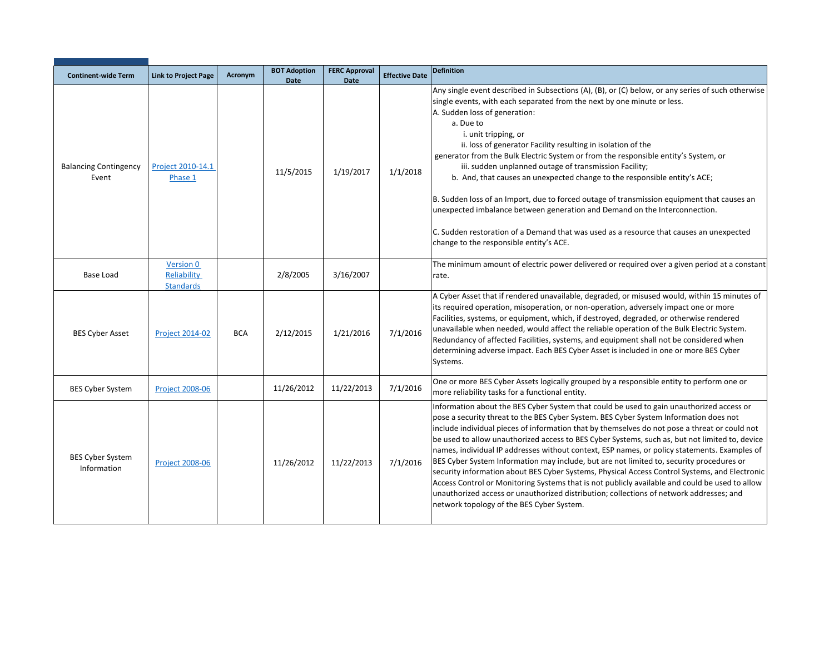| <b>Continent-wide Term</b>             | <b>Link to Project Page</b>                         | Acronym    | <b>BOT Adoption</b><br><b>Date</b> | <b>FERC Approval</b><br><b>Date</b> | <b>Effective Date</b> | <b>Definition</b>                                                                                                                                                                                                                                                                                                                                                                                                                                                                                                                                                                                                                                                                                                                                                                                                                                                                                                           |
|----------------------------------------|-----------------------------------------------------|------------|------------------------------------|-------------------------------------|-----------------------|-----------------------------------------------------------------------------------------------------------------------------------------------------------------------------------------------------------------------------------------------------------------------------------------------------------------------------------------------------------------------------------------------------------------------------------------------------------------------------------------------------------------------------------------------------------------------------------------------------------------------------------------------------------------------------------------------------------------------------------------------------------------------------------------------------------------------------------------------------------------------------------------------------------------------------|
| <b>Balancing Contingency</b><br>Event  | Project 2010-14.1<br>Phase 1                        |            | 11/5/2015                          | 1/19/2017                           | 1/1/2018              | Any single event described in Subsections (A), (B), or (C) below, or any series of such otherwise<br>single events, with each separated from the next by one minute or less.<br>A. Sudden loss of generation:<br>a. Due to<br>i. unit tripping, or<br>ii. loss of generator Facility resulting in isolation of the<br>generator from the Bulk Electric System or from the responsible entity's System, or<br>iii. sudden unplanned outage of transmission Facility;<br>b. And, that causes an unexpected change to the responsible entity's ACE;<br>B. Sudden loss of an Import, due to forced outage of transmission equipment that causes an<br>unexpected imbalance between generation and Demand on the Interconnection.<br>C. Sudden restoration of a Demand that was used as a resource that causes an unexpected<br>change to the responsible entity's ACE.                                                          |
| Base Load                              | <b>Version 0</b><br>Reliability<br><b>Standards</b> |            | 2/8/2005                           | 3/16/2007                           |                       | The minimum amount of electric power delivered or required over a given period at a constant<br>rate.                                                                                                                                                                                                                                                                                                                                                                                                                                                                                                                                                                                                                                                                                                                                                                                                                       |
| <b>BES Cyber Asset</b>                 | <b>Project 2014-02</b>                              | <b>BCA</b> | 2/12/2015                          | 1/21/2016                           | 7/1/2016              | A Cyber Asset that if rendered unavailable, degraded, or misused would, within 15 minutes of<br>its required operation, misoperation, or non-operation, adversely impact one or more<br>Facilities, systems, or equipment, which, if destroyed, degraded, or otherwise rendered<br>unavailable when needed, would affect the reliable operation of the Bulk Electric System.<br>Redundancy of affected Facilities, systems, and equipment shall not be considered when<br>determining adverse impact. Each BES Cyber Asset is included in one or more BES Cyber<br>Systems.                                                                                                                                                                                                                                                                                                                                                 |
| <b>BES Cyber System</b>                | <b>Project 2008-06</b>                              |            | 11/26/2012                         | 11/22/2013                          | 7/1/2016              | One or more BES Cyber Assets logically grouped by a responsible entity to perform one or<br>more reliability tasks for a functional entity.                                                                                                                                                                                                                                                                                                                                                                                                                                                                                                                                                                                                                                                                                                                                                                                 |
| <b>BES Cyber System</b><br>Information | <b>Project 2008-06</b>                              |            | 11/26/2012                         | 11/22/2013                          | 7/1/2016              | Information about the BES Cyber System that could be used to gain unauthorized access or<br>pose a security threat to the BES Cyber System. BES Cyber System Information does not<br>include individual pieces of information that by themselves do not pose a threat or could not<br>be used to allow unauthorized access to BES Cyber Systems, such as, but not limited to, device<br>names, individual IP addresses without context, ESP names, or policy statements. Examples of<br>BES Cyber System Information may include, but are not limited to, security procedures or<br>security information about BES Cyber Systems, Physical Access Control Systems, and Electronic<br>Access Control or Monitoring Systems that is not publicly available and could be used to allow<br>unauthorized access or unauthorized distribution; collections of network addresses; and<br>network topology of the BES Cyber System. |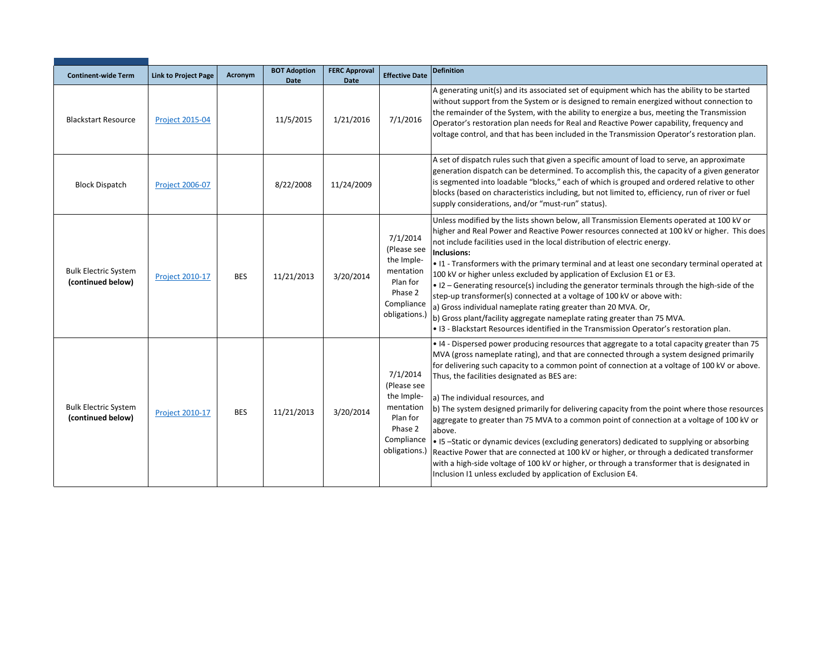| <b>Continent-wide Term</b>                       | <b>Link to Project Page</b> | Acronym    | <b>BOT Adoption</b> | <b>FERC Approval</b> | <b>Effective Date</b>                                                                                    | <b>Definition</b>                                                                                                                                                                                                                                                                                                                                                                                                                                                                                                                                                                                                                                                                                                                                                                                                                                                                                                                                |
|--------------------------------------------------|-----------------------------|------------|---------------------|----------------------|----------------------------------------------------------------------------------------------------------|--------------------------------------------------------------------------------------------------------------------------------------------------------------------------------------------------------------------------------------------------------------------------------------------------------------------------------------------------------------------------------------------------------------------------------------------------------------------------------------------------------------------------------------------------------------------------------------------------------------------------------------------------------------------------------------------------------------------------------------------------------------------------------------------------------------------------------------------------------------------------------------------------------------------------------------------------|
|                                                  |                             |            | Date                | <b>Date</b>          |                                                                                                          | A generating unit(s) and its associated set of equipment which has the ability to be started                                                                                                                                                                                                                                                                                                                                                                                                                                                                                                                                                                                                                                                                                                                                                                                                                                                     |
| <b>Blackstart Resource</b>                       | <b>Project 2015-04</b>      |            | 11/5/2015           | 1/21/2016            | 7/1/2016                                                                                                 | without support from the System or is designed to remain energized without connection to<br>the remainder of the System, with the ability to energize a bus, meeting the Transmission<br>Operator's restoration plan needs for Real and Reactive Power capability, frequency and<br>voltage control, and that has been included in the Transmission Operator's restoration plan.                                                                                                                                                                                                                                                                                                                                                                                                                                                                                                                                                                 |
| <b>Block Dispatch</b>                            | <b>Project 2006-07</b>      |            | 8/22/2008           | 11/24/2009           |                                                                                                          | A set of dispatch rules such that given a specific amount of load to serve, an approximate<br>generation dispatch can be determined. To accomplish this, the capacity of a given generator<br>is segmented into loadable "blocks," each of which is grouped and ordered relative to other<br>blocks (based on characteristics including, but not limited to, efficiency, run of river or fuel<br>supply considerations, and/or "must-run" status).                                                                                                                                                                                                                                                                                                                                                                                                                                                                                               |
| <b>Bulk Electric System</b><br>(continued below) | <b>Project 2010-17</b>      | <b>BES</b> | 11/21/2013          | 3/20/2014            | 7/1/2014<br>(Please see<br>the Imple-<br>mentation<br>Plan for<br>Phase 2<br>Compliance<br>obligations.) | Unless modified by the lists shown below, all Transmission Elements operated at 100 kV or<br>higher and Real Power and Reactive Power resources connected at 100 kV or higher. This does<br>not include facilities used in the local distribution of electric energy.<br>Inclusions:<br>. I1 - Transformers with the primary terminal and at least one secondary terminal operated at<br>100 kV or higher unless excluded by application of Exclusion E1 or E3.<br>• 12 – Generating resource(s) including the generator terminals through the high-side of the<br>step-up transformer(s) connected at a voltage of 100 kV or above with:<br>a) Gross individual nameplate rating greater than 20 MVA. Or,<br>b) Gross plant/facility aggregate nameplate rating greater than 75 MVA.<br>. I3 - Blackstart Resources identified in the Transmission Operator's restoration plan.                                                                 |
| <b>Bulk Electric System</b><br>(continued below) | <b>Project 2010-17</b>      | <b>BES</b> | 11/21/2013          | 3/20/2014            | 7/1/2014<br>(Please see<br>the Imple-<br>mentation<br>Plan for<br>Phase 2<br>Compliance<br>obligations.) | • I4 - Dispersed power producing resources that aggregate to a total capacity greater than 75<br>MVA (gross nameplate rating), and that are connected through a system designed primarily<br>for delivering such capacity to a common point of connection at a voltage of 100 kV or above.<br>Thus, the facilities designated as BES are:<br>a) The individual resources, and<br>b) The system designed primarily for delivering capacity from the point where those resources<br>aggregate to greater than 75 MVA to a common point of connection at a voltage of 100 kV or<br>above.<br>• I5-Static or dynamic devices (excluding generators) dedicated to supplying or absorbing<br>Reactive Power that are connected at 100 kV or higher, or through a dedicated transformer<br>with a high-side voltage of 100 kV or higher, or through a transformer that is designated in<br>Inclusion I1 unless excluded by application of Exclusion E4. |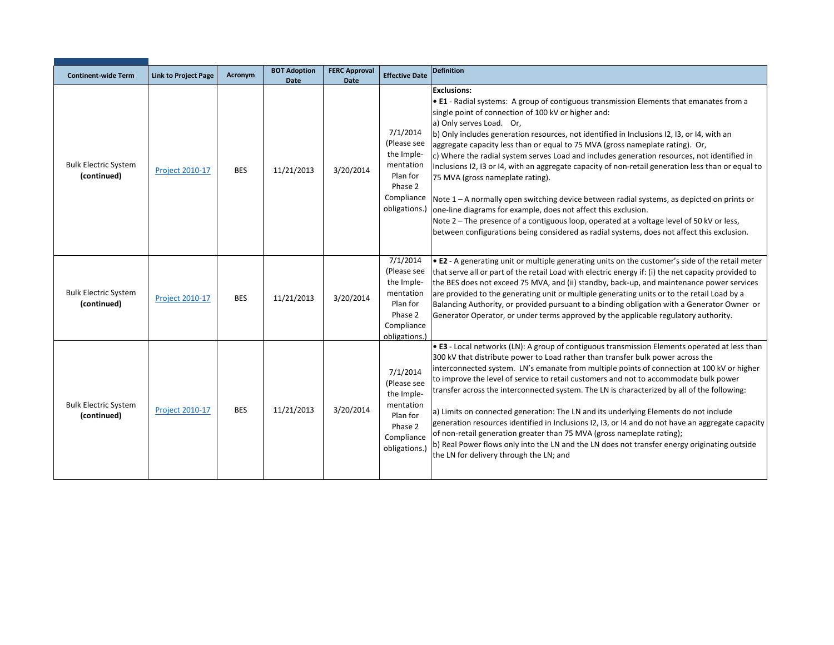| <b>Continent-wide Term</b>                 | <b>Link to Project Page</b> | Acronym    | <b>BOT Adoption</b><br>Date | <b>FERC Approval</b><br><b>Date</b> | <b>Effective Date</b>                                                                                    | <b>Definition</b>                                                                                                                                                                                                                                                                                                                                                                                                                                                                                                                                                                                                                                                                                                                                                                                                                                                                                                                                                                   |
|--------------------------------------------|-----------------------------|------------|-----------------------------|-------------------------------------|----------------------------------------------------------------------------------------------------------|-------------------------------------------------------------------------------------------------------------------------------------------------------------------------------------------------------------------------------------------------------------------------------------------------------------------------------------------------------------------------------------------------------------------------------------------------------------------------------------------------------------------------------------------------------------------------------------------------------------------------------------------------------------------------------------------------------------------------------------------------------------------------------------------------------------------------------------------------------------------------------------------------------------------------------------------------------------------------------------|
| <b>Bulk Electric System</b><br>(continued) | <b>Project 2010-17</b>      | <b>BES</b> | 11/21/2013                  | 3/20/2014                           | 7/1/2014<br>(Please see<br>the Imple-<br>mentation<br>Plan for<br>Phase 2<br>Compliance<br>obligations.) | <b>Exclusions:</b><br>. E1 - Radial systems: A group of contiguous transmission Elements that emanates from a<br>single point of connection of 100 kV or higher and:<br>a) Only serves Load. Or,<br>b) Only includes generation resources, not identified in Inclusions I2, I3, or I4, with an<br>aggregate capacity less than or equal to 75 MVA (gross nameplate rating). Or,<br>c) Where the radial system serves Load and includes generation resources, not identified in<br>Inclusions 12, 13 or 14, with an aggregate capacity of non-retail generation less than or equal to<br>75 MVA (gross nameplate rating).<br>Note 1 – A normally open switching device between radial systems, as depicted on prints or<br>one-line diagrams for example, does not affect this exclusion.<br>Note 2 – The presence of a contiguous loop, operated at a voltage level of 50 kV or less,<br>between configurations being considered as radial systems, does not affect this exclusion. |
| <b>Bulk Electric System</b><br>(continued) | <b>Project 2010-17</b>      | <b>BES</b> | 11/21/2013                  | 3/20/2014                           | 7/1/2014<br>(Please see<br>the Imple-<br>mentation<br>Plan for<br>Phase 2<br>Compliance<br>obligations.) | . E2 - A generating unit or multiple generating units on the customer's side of the retail meter<br>that serve all or part of the retail Load with electric energy if: (i) the net capacity provided to<br>the BES does not exceed 75 MVA, and (ii) standby, back-up, and maintenance power services<br>are provided to the generating unit or multiple generating units or to the retail Load by a<br>Balancing Authority, or provided pursuant to a binding obligation with a Generator Owner or<br>Generator Operator, or under terms approved by the applicable regulatory authority.                                                                                                                                                                                                                                                                                                                                                                                           |
| <b>Bulk Electric System</b><br>(continued) | <b>Project 2010-17</b>      | <b>BES</b> | 11/21/2013                  | 3/20/2014                           | 7/1/2014<br>(Please see<br>the Imple-<br>mentation<br>Plan for<br>Phase 2<br>Compliance<br>obligations.  | • E3 - Local networks (LN): A group of contiguous transmission Elements operated at less than<br>300 kV that distribute power to Load rather than transfer bulk power across the<br>interconnected system. LN's emanate from multiple points of connection at 100 kV or higher<br>to improve the level of service to retail customers and not to accommodate bulk power<br>transfer across the interconnected system. The LN is characterized by all of the following:<br>a) Limits on connected generation: The LN and its underlying Elements do not include<br>generation resources identified in Inclusions I2, I3, or I4 and do not have an aggregate capacity<br>of non-retail generation greater than 75 MVA (gross nameplate rating);<br>b) Real Power flows only into the LN and the LN does not transfer energy originating outside<br>the LN for delivery through the LN; and                                                                                            |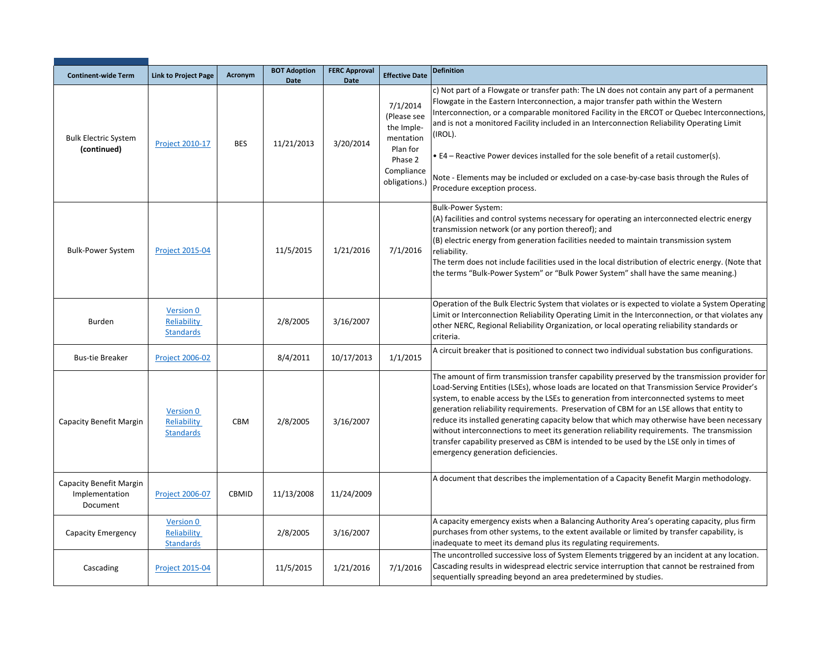| <b>Continent-wide Term</b>                            | <b>Link to Project Page</b>                         | Acronym      | <b>BOT Adoption</b><br><b>Date</b> | <b>FERC Approval</b><br><b>Date</b> | <b>Effective Date</b>                                                                                    | <b>Definition</b>                                                                                                                                                                                                                                                                                                                                                                                                                                                                                                                                                                                                                                                                                                    |
|-------------------------------------------------------|-----------------------------------------------------|--------------|------------------------------------|-------------------------------------|----------------------------------------------------------------------------------------------------------|----------------------------------------------------------------------------------------------------------------------------------------------------------------------------------------------------------------------------------------------------------------------------------------------------------------------------------------------------------------------------------------------------------------------------------------------------------------------------------------------------------------------------------------------------------------------------------------------------------------------------------------------------------------------------------------------------------------------|
| <b>Bulk Electric System</b><br>(continued)            | Project 2010-17                                     | <b>BES</b>   | 11/21/2013                         | 3/20/2014                           | 7/1/2014<br>(Please see<br>the Imple-<br>mentation<br>Plan for<br>Phase 2<br>Compliance<br>obligations.) | c) Not part of a Flowgate or transfer path: The LN does not contain any part of a permanent<br>Flowgate in the Eastern Interconnection, a major transfer path within the Western<br>Interconnection, or a comparable monitored Facility in the ERCOT or Quebec Interconnections,<br>and is not a monitored Facility included in an Interconnection Reliability Operating Limit<br>(IROL).<br>$\bullet$ E4 – Reactive Power devices installed for the sole benefit of a retail customer(s).<br>Note - Elements may be included or excluded on a case-by-case basis through the Rules of<br>Procedure exception process.                                                                                               |
| <b>Bulk-Power System</b>                              | <b>Project 2015-04</b>                              |              | 11/5/2015                          | 1/21/2016                           | 7/1/2016                                                                                                 | <b>Bulk-Power System:</b><br>(A) facilities and control systems necessary for operating an interconnected electric energy<br>transmission network (or any portion thereof); and<br>(B) electric energy from generation facilities needed to maintain transmission system<br>reliability.<br>The term does not include facilities used in the local distribution of electric energy. (Note that<br>the terms "Bulk-Power System" or "Bulk Power System" shall have the same meaning.)                                                                                                                                                                                                                                 |
| <b>Burden</b>                                         | <b>Version 0</b><br>Reliability<br><b>Standards</b> |              | 2/8/2005                           | 3/16/2007                           |                                                                                                          | Operation of the Bulk Electric System that violates or is expected to violate a System Operating<br>Limit or Interconnection Reliability Operating Limit in the Interconnection, or that violates any<br>other NERC, Regional Reliability Organization, or local operating reliability standards or<br>criteria.                                                                                                                                                                                                                                                                                                                                                                                                     |
| <b>Bus-tie Breaker</b>                                | <b>Project 2006-02</b>                              |              | 8/4/2011                           | 10/17/2013                          | 1/1/2015                                                                                                 | A circuit breaker that is positioned to connect two individual substation bus configurations.                                                                                                                                                                                                                                                                                                                                                                                                                                                                                                                                                                                                                        |
| Capacity Benefit Margin                               | <b>Version 0</b><br>Reliability<br><b>Standards</b> | CBM          | 2/8/2005                           | 3/16/2007                           |                                                                                                          | The amount of firm transmission transfer capability preserved by the transmission provider for<br>Load-Serving Entities (LSEs), whose loads are located on that Transmission Service Provider's<br>system, to enable access by the LSEs to generation from interconnected systems to meet<br>generation reliability requirements. Preservation of CBM for an LSE allows that entity to<br>reduce its installed generating capacity below that which may otherwise have been necessary<br>without interconnections to meet its generation reliability requirements. The transmission<br>transfer capability preserved as CBM is intended to be used by the LSE only in times of<br>emergency generation deficiencies. |
| Capacity Benefit Margin<br>Implementation<br>Document | <b>Project 2006-07</b>                              | <b>CBMID</b> | 11/13/2008                         | 11/24/2009                          |                                                                                                          | A document that describes the implementation of a Capacity Benefit Margin methodology.                                                                                                                                                                                                                                                                                                                                                                                                                                                                                                                                                                                                                               |
| Capacity Emergency                                    | <b>Version 0</b><br>Reliability<br><b>Standards</b> |              | 2/8/2005                           | 3/16/2007                           |                                                                                                          | A capacity emergency exists when a Balancing Authority Area's operating capacity, plus firm<br>purchases from other systems, to the extent available or limited by transfer capability, is<br>inadequate to meet its demand plus its regulating requirements.                                                                                                                                                                                                                                                                                                                                                                                                                                                        |
| Cascading                                             | <b>Project 2015-04</b>                              |              | 11/5/2015                          | 1/21/2016                           | 7/1/2016                                                                                                 | The uncontrolled successive loss of System Elements triggered by an incident at any location.<br>Cascading results in widespread electric service interruption that cannot be restrained from<br>sequentially spreading beyond an area predetermined by studies.                                                                                                                                                                                                                                                                                                                                                                                                                                                     |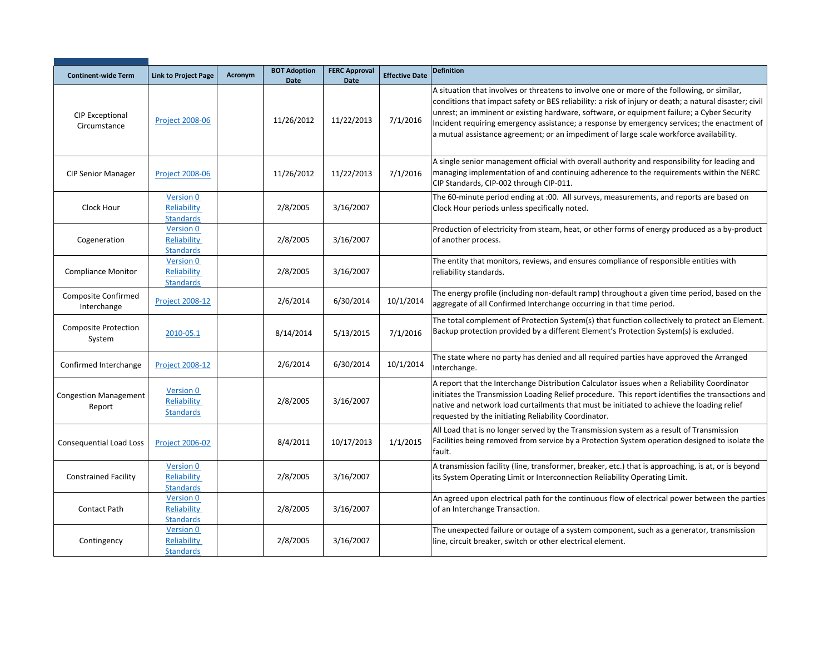| <b>Continent-wide Term</b>                | <b>Link to Project Page</b>                  | Acronym | <b>BOT Adoption</b><br><b>Date</b> | <b>FERC Approval</b><br><b>Date</b> | <b>Effective Date</b> | <b>Definition</b>                                                                                                                                                                                                                                                                                                                                                                                                                                                                            |
|-------------------------------------------|----------------------------------------------|---------|------------------------------------|-------------------------------------|-----------------------|----------------------------------------------------------------------------------------------------------------------------------------------------------------------------------------------------------------------------------------------------------------------------------------------------------------------------------------------------------------------------------------------------------------------------------------------------------------------------------------------|
| <b>CIP Exceptional</b><br>Circumstance    | <b>Project 2008-06</b>                       |         | 11/26/2012                         | 11/22/2013                          | 7/1/2016              | A situation that involves or threatens to involve one or more of the following, or similar,<br>conditions that impact safety or BES reliability: a risk of injury or death; a natural disaster; civil<br>unrest; an imminent or existing hardware, software, or equipment failure; a Cyber Security<br>Incident requiring emergency assistance; a response by emergency services; the enactment of<br>a mutual assistance agreement; or an impediment of large scale workforce availability. |
| <b>CIP Senior Manager</b>                 | Project 2008-06                              |         | 11/26/2012                         | 11/22/2013                          | 7/1/2016              | A single senior management official with overall authority and responsibility for leading and<br>managing implementation of and continuing adherence to the requirements within the NERC<br>CIP Standards, CIP-002 through CIP-011.                                                                                                                                                                                                                                                          |
| Clock Hour                                | Version 0<br>Reliability<br><b>Standards</b> |         | 2/8/2005                           | 3/16/2007                           |                       | The 60-minute period ending at :00. All surveys, measurements, and reports are based on<br>Clock Hour periods unless specifically noted.                                                                                                                                                                                                                                                                                                                                                     |
| Cogeneration                              | Version 0<br>Reliability<br><b>Standards</b> |         | 2/8/2005                           | 3/16/2007                           |                       | Production of electricity from steam, heat, or other forms of energy produced as a by-product<br>of another process.                                                                                                                                                                                                                                                                                                                                                                         |
| <b>Compliance Monitor</b>                 | Version 0<br>Reliability<br><b>Standards</b> |         | 2/8/2005                           | 3/16/2007                           |                       | The entity that monitors, reviews, and ensures compliance of responsible entities with<br>reliability standards.                                                                                                                                                                                                                                                                                                                                                                             |
| <b>Composite Confirmed</b><br>Interchange | <b>Project 2008-12</b>                       |         | 2/6/2014                           | 6/30/2014                           | 10/1/2014             | The energy profile (including non-default ramp) throughout a given time period, based on the<br>aggregate of all Confirmed Interchange occurring in that time period.                                                                                                                                                                                                                                                                                                                        |
| <b>Composite Protection</b><br>System     | 2010-05.1                                    |         | 8/14/2014                          | 5/13/2015                           | 7/1/2016              | The total complement of Protection System(s) that function collectively to protect an Element.<br>Backup protection provided by a different Element's Protection System(s) is excluded.                                                                                                                                                                                                                                                                                                      |
| Confirmed Interchange                     | <b>Project 2008-12</b>                       |         | 2/6/2014                           | 6/30/2014                           | 10/1/2014             | The state where no party has denied and all required parties have approved the Arranged<br>Interchange.                                                                                                                                                                                                                                                                                                                                                                                      |
| <b>Congestion Management</b><br>Report    | Version 0<br>Reliability<br><b>Standards</b> |         | 2/8/2005                           | 3/16/2007                           |                       | A report that the Interchange Distribution Calculator issues when a Reliability Coordinator<br>initiates the Transmission Loading Relief procedure. This report identifies the transactions and<br>native and network load curtailments that must be initiated to achieve the loading relief<br>requested by the initiating Reliability Coordinator.                                                                                                                                         |
| Consequential Load Loss                   | <b>Project 2006-02</b>                       |         | 8/4/2011                           | 10/17/2013                          | 1/1/2015              | All Load that is no longer served by the Transmission system as a result of Transmission<br>Facilities being removed from service by a Protection System operation designed to isolate the<br>fault.                                                                                                                                                                                                                                                                                         |
| <b>Constrained Facility</b>               | Version 0<br>Reliability<br><b>Standards</b> |         | 2/8/2005                           | 3/16/2007                           |                       | A transmission facility (line, transformer, breaker, etc.) that is approaching, is at, or is beyond<br>its System Operating Limit or Interconnection Reliability Operating Limit.                                                                                                                                                                                                                                                                                                            |
| <b>Contact Path</b>                       | Version 0<br>Reliability<br><b>Standards</b> |         | 2/8/2005                           | 3/16/2007                           |                       | An agreed upon electrical path for the continuous flow of electrical power between the parties<br>of an Interchange Transaction.                                                                                                                                                                                                                                                                                                                                                             |
| Contingency                               | Version 0<br>Reliability<br><b>Standards</b> |         | 2/8/2005                           | 3/16/2007                           |                       | The unexpected failure or outage of a system component, such as a generator, transmission<br>line, circuit breaker, switch or other electrical element.                                                                                                                                                                                                                                                                                                                                      |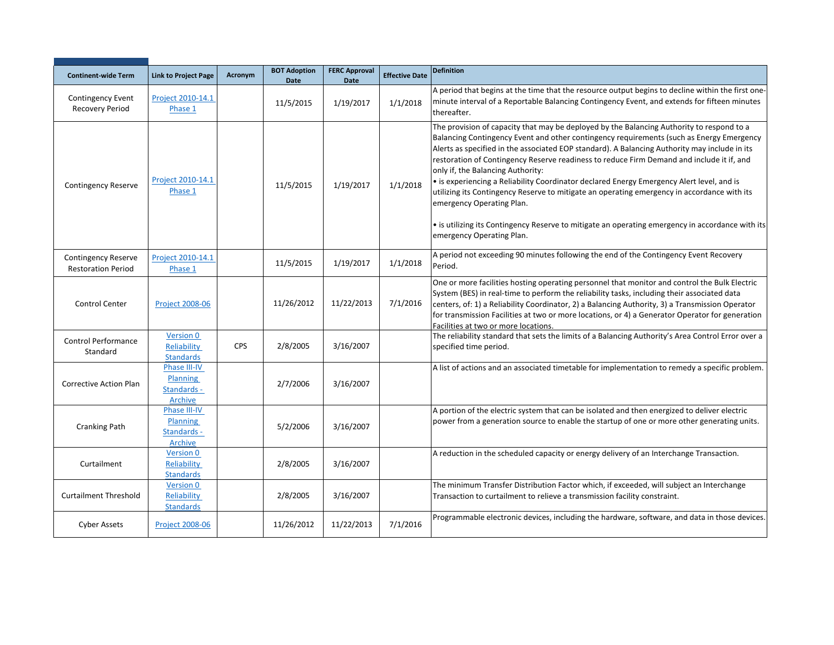| <b>Continent-wide Term</b>                              | <b>Link to Project Page</b>                               | Acronym    | <b>BOT Adoption</b><br><b>Date</b> | <b>FERC Approval</b><br><b>Date</b> | <b>Effective Date</b> | <b>Definition</b>                                                                                                                                                                                                                                                                                                                                                                                                                                                                                                                                                                                                                                                                                                                                                                  |
|---------------------------------------------------------|-----------------------------------------------------------|------------|------------------------------------|-------------------------------------|-----------------------|------------------------------------------------------------------------------------------------------------------------------------------------------------------------------------------------------------------------------------------------------------------------------------------------------------------------------------------------------------------------------------------------------------------------------------------------------------------------------------------------------------------------------------------------------------------------------------------------------------------------------------------------------------------------------------------------------------------------------------------------------------------------------------|
| <b>Contingency Event</b><br><b>Recovery Period</b>      | Project 2010-14.1<br>Phase 1                              |            | 11/5/2015                          | 1/19/2017                           | 1/1/2018              | A period that begins at the time that the resource output begins to decline within the first one-<br>minute interval of a Reportable Balancing Contingency Event, and extends for fifteen minutes<br>thereafter.                                                                                                                                                                                                                                                                                                                                                                                                                                                                                                                                                                   |
| <b>Contingency Reserve</b>                              | Project 2010-14.1<br>Phase 1                              |            | 11/5/2015                          | 1/19/2017                           | 1/1/2018              | The provision of capacity that may be deployed by the Balancing Authority to respond to a<br>Balancing Contingency Event and other contingency requirements (such as Energy Emergency<br>Alerts as specified in the associated EOP standard). A Balancing Authority may include in its<br>restoration of Contingency Reserve readiness to reduce Firm Demand and include it if, and<br>only if, the Balancing Authority:<br>• is experiencing a Reliability Coordinator declared Energy Emergency Alert level, and is<br>utilizing its Contingency Reserve to mitigate an operating emergency in accordance with its<br>emergency Operating Plan.<br>• is utilizing its Contingency Reserve to mitigate an operating emergency in accordance with its<br>emergency Operating Plan. |
| <b>Contingency Reserve</b><br><b>Restoration Period</b> | Project 2010-14.1<br>Phase 1                              |            | 11/5/2015                          | 1/19/2017                           | 1/1/2018              | A period not exceeding 90 minutes following the end of the Contingency Event Recovery<br>Period.                                                                                                                                                                                                                                                                                                                                                                                                                                                                                                                                                                                                                                                                                   |
| Control Center                                          | <b>Project 2008-06</b>                                    |            | 11/26/2012                         | 11/22/2013                          | 7/1/2016              | One or more facilities hosting operating personnel that monitor and control the Bulk Electric<br>System (BES) in real-time to perform the reliability tasks, including their associated data<br>centers, of: 1) a Reliability Coordinator, 2) a Balancing Authority, 3) a Transmission Operator<br>for transmission Facilities at two or more locations, or 4) a Generator Operator for generation<br>Facilities at two or more locations.                                                                                                                                                                                                                                                                                                                                         |
| <b>Control Performance</b><br>Standard                  | Version 0<br>Reliability<br><b>Standards</b>              | <b>CPS</b> | 2/8/2005                           | 3/16/2007                           |                       | The reliability standard that sets the limits of a Balancing Authority's Area Control Error over a<br>specified time period.                                                                                                                                                                                                                                                                                                                                                                                                                                                                                                                                                                                                                                                       |
| Corrective Action Plan                                  | Phase III-IV<br><b>Planning</b><br>Standards -<br>Archive |            | 2/7/2006                           | 3/16/2007                           |                       | A list of actions and an associated timetable for implementation to remedy a specific problem.                                                                                                                                                                                                                                                                                                                                                                                                                                                                                                                                                                                                                                                                                     |
| <b>Cranking Path</b>                                    | Phase III-IV<br><b>Planning</b><br>Standards -<br>Archive |            | 5/2/2006                           | 3/16/2007                           |                       | A portion of the electric system that can be isolated and then energized to deliver electric<br>power from a generation source to enable the startup of one or more other generating units.                                                                                                                                                                                                                                                                                                                                                                                                                                                                                                                                                                                        |
| Curtailment                                             | <b>Version 0</b><br>Reliability<br><b>Standards</b>       |            | 2/8/2005                           | 3/16/2007                           |                       | A reduction in the scheduled capacity or energy delivery of an Interchange Transaction.                                                                                                                                                                                                                                                                                                                                                                                                                                                                                                                                                                                                                                                                                            |
| <b>Curtailment Threshold</b>                            | Version 0<br>Reliability<br><b>Standards</b>              |            | 2/8/2005                           | 3/16/2007                           |                       | The minimum Transfer Distribution Factor which, if exceeded, will subject an Interchange<br>Transaction to curtailment to relieve a transmission facility constraint.                                                                                                                                                                                                                                                                                                                                                                                                                                                                                                                                                                                                              |
| <b>Cyber Assets</b>                                     | <b>Project 2008-06</b>                                    |            | 11/26/2012                         | 11/22/2013                          | 7/1/2016              | Programmable electronic devices, including the hardware, software, and data in those devices.                                                                                                                                                                                                                                                                                                                                                                                                                                                                                                                                                                                                                                                                                      |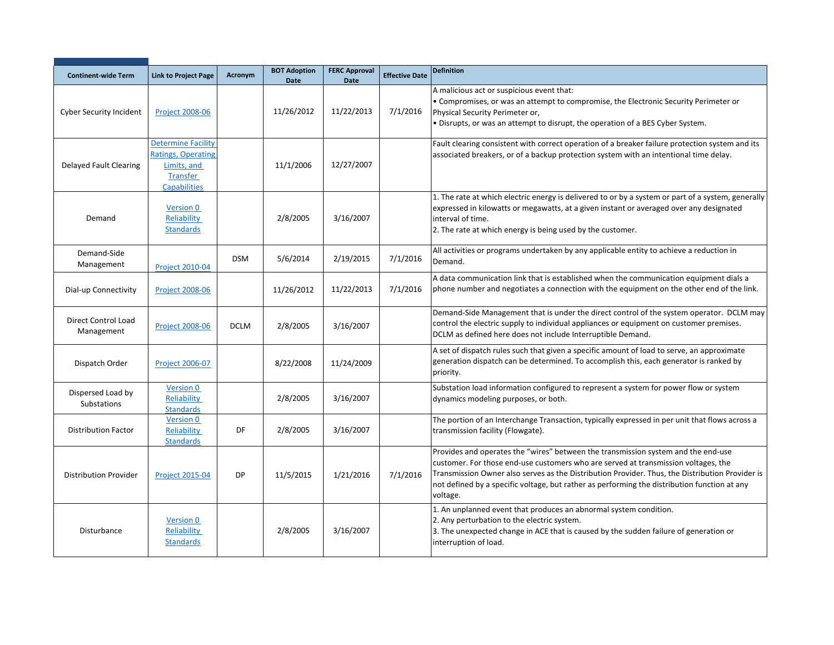| <b>Continent-wide Term</b>              | <b>Link to Project Page</b>                                                                              | Acronym     | <b>BOT Adoption</b><br><b>Date</b> | <b>FERC Approval</b><br><b>Date</b> | <b>Effective Date</b> | <b>Definition</b>                                                                                                                                                                                                                                                                                                                                                                      |
|-----------------------------------------|----------------------------------------------------------------------------------------------------------|-------------|------------------------------------|-------------------------------------|-----------------------|----------------------------------------------------------------------------------------------------------------------------------------------------------------------------------------------------------------------------------------------------------------------------------------------------------------------------------------------------------------------------------------|
| <b>Cyber Security Incident</b>          | <b>Project 2008-06</b>                                                                                   |             | 11/26/2012                         | 11/22/2013                          | 7/1/2016              | A malicious act or suspicious event that:<br>• Compromises, or was an attempt to compromise, the Electronic Security Perimeter or<br>Physical Security Perimeter or,<br>. Disrupts, or was an attempt to disrupt, the operation of a BES Cyber System.                                                                                                                                 |
| Delayed Fault Clearing                  | <b>Determine Facility</b><br><b>Ratings, Operating</b><br>Limits, and<br>Transfer<br><b>Capabilities</b> |             | 11/1/2006                          | 12/27/2007                          |                       | Fault clearing consistent with correct operation of a breaker failure protection system and its<br>associated breakers, or of a backup protection system with an intentional time delay.                                                                                                                                                                                               |
| Demand                                  | Version 0<br>Reliability<br><b>Standards</b>                                                             |             | 2/8/2005                           | 3/16/2007                           |                       | 1. The rate at which electric energy is delivered to or by a system or part of a system, generally<br>expressed in kilowatts or megawatts, at a given instant or averaged over any designated<br>interval of time.<br>2. The rate at which energy is being used by the customer.                                                                                                       |
| Demand-Side<br>Management               | <b>Project 2010-04</b>                                                                                   | <b>DSM</b>  | 5/6/2014                           | 2/19/2015                           | 7/1/2016              | All activities or programs undertaken by any applicable entity to achieve a reduction in<br>Demand.                                                                                                                                                                                                                                                                                    |
| Dial-up Connectivity                    | <b>Project 2008-06</b>                                                                                   |             | 11/26/2012                         | 11/22/2013                          | 7/1/2016              | A data communication link that is established when the communication equipment dials a<br>phone number and negotiates a connection with the equipment on the other end of the link.                                                                                                                                                                                                    |
| Direct Control Load<br>Management       | <b>Project 2008-06</b>                                                                                   | <b>DCLM</b> | 2/8/2005                           | 3/16/2007                           |                       | Demand-Side Management that is under the direct control of the system operator. DCLM may<br>control the electric supply to individual appliances or equipment on customer premises.<br>DCLM as defined here does not include Interruptible Demand.                                                                                                                                     |
| Dispatch Order                          | <b>Project 2006-07</b>                                                                                   |             | 8/22/2008                          | 11/24/2009                          |                       | A set of dispatch rules such that given a specific amount of load to serve, an approximate<br>generation dispatch can be determined. To accomplish this, each generator is ranked by<br>priority.                                                                                                                                                                                      |
| Dispersed Load by<br><b>Substations</b> | <b>Version 0</b><br>Reliability<br><b>Standards</b>                                                      |             | 2/8/2005                           | 3/16/2007                           |                       | Substation load information configured to represent a system for power flow or system<br>dynamics modeling purposes, or both.                                                                                                                                                                                                                                                          |
| <b>Distribution Factor</b>              | Version 0<br>Reliability<br><b>Standards</b>                                                             | DF          | 2/8/2005                           | 3/16/2007                           |                       | The portion of an Interchange Transaction, typically expressed in per unit that flows across a<br>transmission facility (Flowgate).                                                                                                                                                                                                                                                    |
| <b>Distribution Provider</b>            | <b>Project 2015-04</b>                                                                                   | <b>DP</b>   | 11/5/2015                          | 1/21/2016                           | 7/1/2016              | Provides and operates the "wires" between the transmission system and the end-use<br>customer. For those end-use customers who are served at transmission voltages, the<br>Transmission Owner also serves as the Distribution Provider. Thus, the Distribution Provider is<br>not defined by a specific voltage, but rather as performing the distribution function at any<br>voltage. |
| Disturbance                             | Version 0<br>Reliability<br><b>Standards</b>                                                             |             | 2/8/2005                           | 3/16/2007                           |                       | 1. An unplanned event that produces an abnormal system condition.<br>2. Any perturbation to the electric system.<br>3. The unexpected change in ACE that is caused by the sudden failure of generation or<br>interruption of load.                                                                                                                                                     |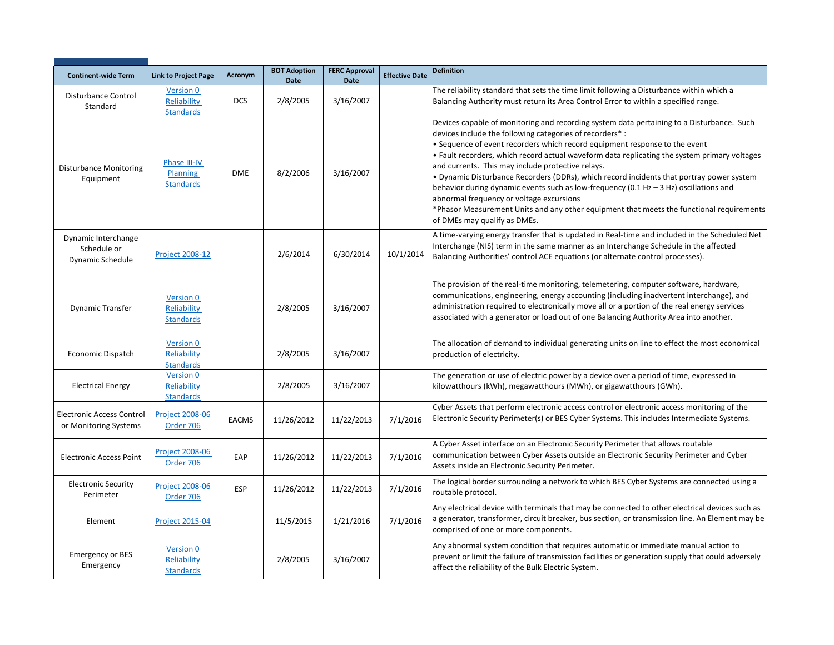| <b>Continent-wide Term</b>                                | <b>Link to Project Page</b>                  | Acronym      | <b>BOT Adoption</b><br><b>Date</b> | <b>FERC Approval</b><br><b>Date</b> | <b>Effective Date</b> | <b>Definition</b>                                                                                                                                                                                                                                                                                                                                                                                                                                                                                                                                                                                                                                                                                                                                      |
|-----------------------------------------------------------|----------------------------------------------|--------------|------------------------------------|-------------------------------------|-----------------------|--------------------------------------------------------------------------------------------------------------------------------------------------------------------------------------------------------------------------------------------------------------------------------------------------------------------------------------------------------------------------------------------------------------------------------------------------------------------------------------------------------------------------------------------------------------------------------------------------------------------------------------------------------------------------------------------------------------------------------------------------------|
| Disturbance Control<br>Standard                           | Version 0<br>Reliability<br><b>Standards</b> | <b>DCS</b>   | 2/8/2005                           | 3/16/2007                           |                       | The reliability standard that sets the time limit following a Disturbance within which a<br>Balancing Authority must return its Area Control Error to within a specified range.                                                                                                                                                                                                                                                                                                                                                                                                                                                                                                                                                                        |
| <b>Disturbance Monitoring</b><br>Equipment                | Phase III-IV<br>Planning<br><b>Standards</b> | <b>DME</b>   | 8/2/2006                           | 3/16/2007                           |                       | Devices capable of monitoring and recording system data pertaining to a Disturbance. Such<br>devices include the following categories of recorders*:<br>• Sequence of event recorders which record equipment response to the event<br>. Fault recorders, which record actual waveform data replicating the system primary voltages<br>and currents. This may include protective relays.<br>. Dynamic Disturbance Recorders (DDRs), which record incidents that portray power system<br>behavior during dynamic events such as low-frequency (0.1 Hz $-$ 3 Hz) oscillations and<br>abnormal frequency or voltage excursions<br>*Phasor Measurement Units and any other equipment that meets the functional requirements<br>of DMEs may qualify as DMEs. |
| Dynamic Interchange<br>Schedule or<br>Dynamic Schedule    | <b>Project 2008-12</b>                       |              | 2/6/2014                           | 6/30/2014                           | 10/1/2014             | A time-varying energy transfer that is updated in Real-time and included in the Scheduled Net<br>Interchange (NIS) term in the same manner as an Interchange Schedule in the affected<br>Balancing Authorities' control ACE equations (or alternate control processes).                                                                                                                                                                                                                                                                                                                                                                                                                                                                                |
| Dynamic Transfer                                          | Version 0<br>Reliability<br><b>Standards</b> |              | 2/8/2005                           | 3/16/2007                           |                       | The provision of the real-time monitoring, telemetering, computer software, hardware,<br>communications, engineering, energy accounting (including inadvertent interchange), and<br>administration required to electronically move all or a portion of the real energy services<br>associated with a generator or load out of one Balancing Authority Area into another.                                                                                                                                                                                                                                                                                                                                                                               |
| Economic Dispatch                                         | Version 0<br>Reliability<br><b>Standards</b> |              | 2/8/2005                           | 3/16/2007                           |                       | The allocation of demand to individual generating units on line to effect the most economical<br>production of electricity.                                                                                                                                                                                                                                                                                                                                                                                                                                                                                                                                                                                                                            |
| <b>Electrical Energy</b>                                  | Version 0<br>Reliability<br><b>Standards</b> |              | 2/8/2005                           | 3/16/2007                           |                       | The generation or use of electric power by a device over a period of time, expressed in<br>kilowatthours (kWh), megawatthours (MWh), or gigawatthours (GWh).                                                                                                                                                                                                                                                                                                                                                                                                                                                                                                                                                                                           |
| <b>Electronic Access Control</b><br>or Monitoring Systems | <b>Project 2008-06</b><br>Order 706          | <b>EACMS</b> | 11/26/2012                         | 11/22/2013                          | 7/1/2016              | Cyber Assets that perform electronic access control or electronic access monitoring of the<br>Electronic Security Perimeter(s) or BES Cyber Systems. This includes Intermediate Systems.                                                                                                                                                                                                                                                                                                                                                                                                                                                                                                                                                               |
| <b>Electronic Access Point</b>                            | <b>Project 2008-06</b><br>Order 706          | EAP          | 11/26/2012                         | 11/22/2013                          | 7/1/2016              | A Cyber Asset interface on an Electronic Security Perimeter that allows routable<br>communication between Cyber Assets outside an Electronic Security Perimeter and Cyber<br>Assets inside an Electronic Security Perimeter.                                                                                                                                                                                                                                                                                                                                                                                                                                                                                                                           |
| <b>Electronic Security</b><br>Perimeter                   | <b>Project 2008-06</b><br>Order 706          | ESP          | 11/26/2012                         | 11/22/2013                          | 7/1/2016              | The logical border surrounding a network to which BES Cyber Systems are connected using a<br>routable protocol.                                                                                                                                                                                                                                                                                                                                                                                                                                                                                                                                                                                                                                        |
| Element                                                   | <b>Project 2015-04</b>                       |              | 11/5/2015                          | 1/21/2016                           | 7/1/2016              | Any electrical device with terminals that may be connected to other electrical devices such as<br>a generator, transformer, circuit breaker, bus section, or transmission line. An Element may be<br>comprised of one or more components.                                                                                                                                                                                                                                                                                                                                                                                                                                                                                                              |
| <b>Emergency or BES</b><br>Emergency                      | Version 0<br>Reliability<br><b>Standards</b> |              | 2/8/2005                           | 3/16/2007                           |                       | Any abnormal system condition that requires automatic or immediate manual action to<br>prevent or limit the failure of transmission facilities or generation supply that could adversely<br>affect the reliability of the Bulk Electric System.                                                                                                                                                                                                                                                                                                                                                                                                                                                                                                        |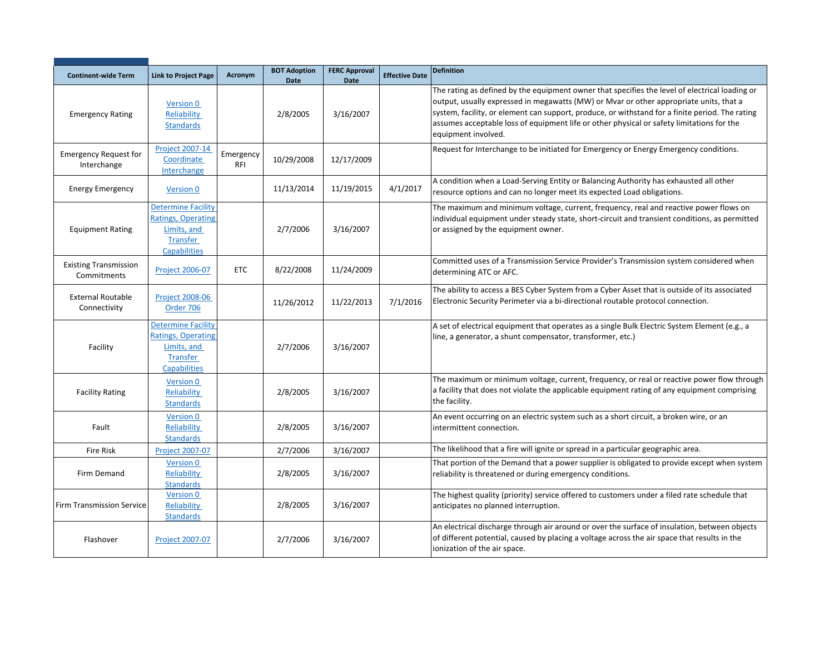| <b>Continent-wide Term</b>                  | <b>Link to Project Page</b>                                                                                     | Acronym                 | <b>BOT Adoption</b><br><b>Date</b> | <b>FERC Approval</b><br><b>Date</b> | <b>Effective Date</b> | <b>Definition</b>                                                                                                                                                                                                                                                                                                                                                                                               |
|---------------------------------------------|-----------------------------------------------------------------------------------------------------------------|-------------------------|------------------------------------|-------------------------------------|-----------------------|-----------------------------------------------------------------------------------------------------------------------------------------------------------------------------------------------------------------------------------------------------------------------------------------------------------------------------------------------------------------------------------------------------------------|
| <b>Emergency Rating</b>                     | <b>Version 0</b><br>Reliability<br><b>Standards</b>                                                             |                         | 2/8/2005                           | 3/16/2007                           |                       | The rating as defined by the equipment owner that specifies the level of electrical loading or<br>output, usually expressed in megawatts (MW) or Mvar or other appropriate units, that a<br>system, facility, or element can support, produce, or withstand for a finite period. The rating<br>assumes acceptable loss of equipment life or other physical or safety limitations for the<br>equipment involved. |
| <b>Emergency Request for</b><br>Interchange | <b>Project 2007-14</b><br>Coordinate<br>Interchange                                                             | Emergency<br><b>RFI</b> | 10/29/2008                         | 12/17/2009                          |                       | Request for Interchange to be initiated for Emergency or Energy Emergency conditions.                                                                                                                                                                                                                                                                                                                           |
| <b>Energy Emergency</b>                     | Version 0                                                                                                       |                         | 11/13/2014                         | 11/19/2015                          | 4/1/2017              | A condition when a Load-Serving Entity or Balancing Authority has exhausted all other<br>resource options and can no longer meet its expected Load obligations.                                                                                                                                                                                                                                                 |
| <b>Equipment Rating</b>                     | <b>Determine Facility</b><br><b>Ratings, Operating</b><br>Limits, and<br>Transfer<br><b>Capabilities</b>        |                         | 2/7/2006                           | 3/16/2007                           |                       | The maximum and minimum voltage, current, frequency, real and reactive power flows on<br>individual equipment under steady state, short-circuit and transient conditions, as permitted<br>or assigned by the equipment owner.                                                                                                                                                                                   |
| <b>Existing Transmission</b><br>Commitments | Project 2006-07                                                                                                 | <b>ETC</b>              | 8/22/2008                          | 11/24/2009                          |                       | Committed uses of a Transmission Service Provider's Transmission system considered when<br>determining ATC or AFC.                                                                                                                                                                                                                                                                                              |
| <b>External Routable</b><br>Connectivity    | Project 2008-06<br>Order 706                                                                                    |                         | 11/26/2012                         | 11/22/2013                          | 7/1/2016              | The ability to access a BES Cyber System from a Cyber Asset that is outside of its associated<br>Electronic Security Perimeter via a bi-directional routable protocol connection.                                                                                                                                                                                                                               |
| Facility                                    | <b>Determine Facility</b><br><b>Ratings, Operating</b><br>Limits, and<br><b>Transfer</b><br><b>Capabilities</b> |                         | 2/7/2006                           | 3/16/2007                           |                       | A set of electrical equipment that operates as a single Bulk Electric System Element (e.g., a<br>line, a generator, a shunt compensator, transformer, etc.)                                                                                                                                                                                                                                                     |
| <b>Facility Rating</b>                      | Version 0<br>Reliability<br><b>Standards</b>                                                                    |                         | 2/8/2005                           | 3/16/2007                           |                       | The maximum or minimum voltage, current, frequency, or real or reactive power flow through<br>a facility that does not violate the applicable equipment rating of any equipment comprising<br>the facility.                                                                                                                                                                                                     |
| Fault                                       | Version 0<br>Reliability<br><b>Standards</b>                                                                    |                         | 2/8/2005                           | 3/16/2007                           |                       | An event occurring on an electric system such as a short circuit, a broken wire, or an<br>intermittent connection.                                                                                                                                                                                                                                                                                              |
| <b>Fire Risk</b>                            | Project 2007-07                                                                                                 |                         | 2/7/2006                           | 3/16/2007                           |                       | The likelihood that a fire will ignite or spread in a particular geographic area.                                                                                                                                                                                                                                                                                                                               |
| Firm Demand                                 | Version 0<br>Reliability<br><b>Standards</b>                                                                    |                         | 2/8/2005                           | 3/16/2007                           |                       | That portion of the Demand that a power supplier is obligated to provide except when system<br>reliability is threatened or during emergency conditions.                                                                                                                                                                                                                                                        |
| <b>Firm Transmission Service</b>            | <b>Version 0</b><br>Reliability<br><b>Standards</b>                                                             |                         | 2/8/2005                           | 3/16/2007                           |                       | The highest quality (priority) service offered to customers under a filed rate schedule that<br>anticipates no planned interruption.                                                                                                                                                                                                                                                                            |
| Flashover                                   | Project 2007-07                                                                                                 |                         | 2/7/2006                           | 3/16/2007                           |                       | An electrical discharge through air around or over the surface of insulation, between objects<br>of different potential, caused by placing a voltage across the air space that results in the<br>ionization of the air space.                                                                                                                                                                                   |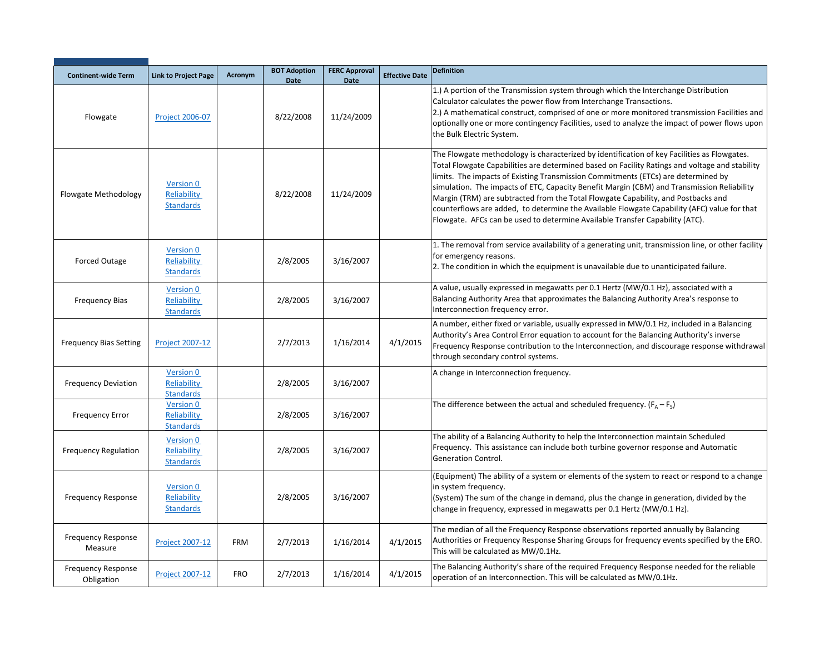| <b>Continent-wide Term</b>              | <b>Link to Project Page</b>                         | Acronym    | <b>BOT Adoption</b><br>Date | <b>FERC Approval</b><br><b>Date</b> | <b>Effective Date</b> | <b>Definition</b>                                                                                                                                                                                                                                                                                                                                                                                                                                                                                                                                                                                                                                    |
|-----------------------------------------|-----------------------------------------------------|------------|-----------------------------|-------------------------------------|-----------------------|------------------------------------------------------------------------------------------------------------------------------------------------------------------------------------------------------------------------------------------------------------------------------------------------------------------------------------------------------------------------------------------------------------------------------------------------------------------------------------------------------------------------------------------------------------------------------------------------------------------------------------------------------|
| Flowgate                                | Project 2006-07                                     |            | 8/22/2008                   | 11/24/2009                          |                       | 1.) A portion of the Transmission system through which the Interchange Distribution<br>Calculator calculates the power flow from Interchange Transactions.<br>2.) A mathematical construct, comprised of one or more monitored transmission Facilities and<br>optionally one or more contingency Facilities, used to analyze the impact of power flows upon<br>the Bulk Electric System.                                                                                                                                                                                                                                                             |
| Flowgate Methodology                    | Version 0<br>Reliability<br><b>Standards</b>        |            | 8/22/2008                   | 11/24/2009                          |                       | The Flowgate methodology is characterized by identification of key Facilities as Flowgates.<br>Total Flowgate Capabilities are determined based on Facility Ratings and voltage and stability<br>limits. The impacts of Existing Transmission Commitments (ETCs) are determined by<br>simulation. The impacts of ETC, Capacity Benefit Margin (CBM) and Transmission Reliability<br>Margin (TRM) are subtracted from the Total Flowgate Capability, and Postbacks and<br>counterflows are added, to determine the Available Flowgate Capability (AFC) value for that<br>Flowgate. AFCs can be used to determine Available Transfer Capability (ATC). |
| <b>Forced Outage</b>                    | <b>Version 0</b><br>Reliability<br><b>Standards</b> |            | 2/8/2005                    | 3/16/2007                           |                       | 1. The removal from service availability of a generating unit, transmission line, or other facility<br>for emergency reasons.<br>2. The condition in which the equipment is unavailable due to unanticipated failure.                                                                                                                                                                                                                                                                                                                                                                                                                                |
| <b>Frequency Bias</b>                   | Version 0<br>Reliability<br><b>Standards</b>        |            | 2/8/2005                    | 3/16/2007                           |                       | A value, usually expressed in megawatts per 0.1 Hertz (MW/0.1 Hz), associated with a<br>Balancing Authority Area that approximates the Balancing Authority Area's response to<br>Interconnection frequency error.                                                                                                                                                                                                                                                                                                                                                                                                                                    |
| <b>Frequency Bias Setting</b>           | <b>Project 2007-12</b>                              |            | 2/7/2013                    | 1/16/2014                           | 4/1/2015              | A number, either fixed or variable, usually expressed in MW/0.1 Hz, included in a Balancing<br>Authority's Area Control Error equation to account for the Balancing Authority's inverse<br>Frequency Response contribution to the Interconnection, and discourage response withdrawal<br>through secondary control systems.                                                                                                                                                                                                                                                                                                                          |
| <b>Frequency Deviation</b>              | Version 0<br>Reliability<br><b>Standards</b>        |            | 2/8/2005                    | 3/16/2007                           |                       | A change in Interconnection frequency.                                                                                                                                                                                                                                                                                                                                                                                                                                                                                                                                                                                                               |
| <b>Frequency Error</b>                  | Version 0<br>Reliability<br><b>Standards</b>        |            | 2/8/2005                    | 3/16/2007                           |                       | The difference between the actual and scheduled frequency. $(F_A - F_S)$                                                                                                                                                                                                                                                                                                                                                                                                                                                                                                                                                                             |
| <b>Frequency Regulation</b>             | Version 0<br>Reliability<br><b>Standards</b>        |            | 2/8/2005                    | 3/16/2007                           |                       | The ability of a Balancing Authority to help the Interconnection maintain Scheduled<br>Frequency. This assistance can include both turbine governor response and Automatic<br>Generation Control.                                                                                                                                                                                                                                                                                                                                                                                                                                                    |
| <b>Frequency Response</b>               | Version 0<br>Reliability<br><b>Standards</b>        |            | 2/8/2005                    | 3/16/2007                           |                       | (Equipment) The ability of a system or elements of the system to react or respond to a change<br>in system frequency.<br>(System) The sum of the change in demand, plus the change in generation, divided by the<br>change in frequency, expressed in megawatts per 0.1 Hertz (MW/0.1 Hz).                                                                                                                                                                                                                                                                                                                                                           |
| <b>Frequency Response</b><br>Measure    | <b>Project 2007-12</b>                              | <b>FRM</b> | 2/7/2013                    | 1/16/2014                           | 4/1/2015              | The median of all the Frequency Response observations reported annually by Balancing<br>Authorities or Frequency Response Sharing Groups for frequency events specified by the ERO.<br>This will be calculated as MW/0.1Hz.                                                                                                                                                                                                                                                                                                                                                                                                                          |
| <b>Frequency Response</b><br>Obligation | <b>Project 2007-12</b>                              | <b>FRO</b> | 2/7/2013                    | 1/16/2014                           | 4/1/2015              | The Balancing Authority's share of the required Frequency Response needed for the reliable<br>operation of an Interconnection. This will be calculated as MW/0.1Hz.                                                                                                                                                                                                                                                                                                                                                                                                                                                                                  |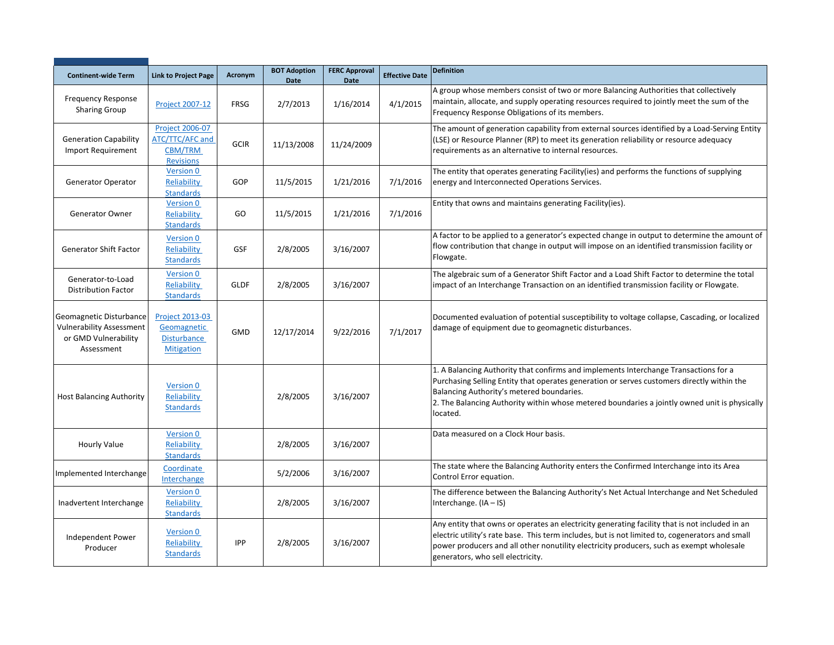| <b>Continent-wide Term</b>                                                                       | <b>Link to Project Page</b>                                                     | <b>Acronym</b> | <b>BOT Adoption</b><br><b>Date</b> | <b>FERC Approval</b><br><b>Date</b> | <b>Effective Date</b> | <b>Definition</b>                                                                                                                                                                                                                                                                                                                            |
|--------------------------------------------------------------------------------------------------|---------------------------------------------------------------------------------|----------------|------------------------------------|-------------------------------------|-----------------------|----------------------------------------------------------------------------------------------------------------------------------------------------------------------------------------------------------------------------------------------------------------------------------------------------------------------------------------------|
| <b>Frequency Response</b><br><b>Sharing Group</b>                                                | <b>Project 2007-12</b>                                                          | <b>FRSG</b>    | 2/7/2013                           | 1/16/2014                           | 4/1/2015              | A group whose members consist of two or more Balancing Authorities that collectively<br>maintain, allocate, and supply operating resources required to jointly meet the sum of the<br>Frequency Response Obligations of its members.                                                                                                         |
| <b>Generation Capability</b><br>Import Requirement                                               | <b>Project 2006-07</b><br>ATC/TTC/AFC and<br><b>CBM/TRM</b><br><b>Revisions</b> | <b>GCIR</b>    | 11/13/2008                         | 11/24/2009                          |                       | The amount of generation capability from external sources identified by a Load-Serving Entity<br>(LSE) or Resource Planner (RP) to meet its generation reliability or resource adequacy<br>requirements as an alternative to internal resources.                                                                                             |
| Generator Operator                                                                               | Version 0<br>Reliability<br><b>Standards</b>                                    | GOP            | 11/5/2015                          | 1/21/2016                           | 7/1/2016              | The entity that operates generating Facility(ies) and performs the functions of supplying<br>energy and Interconnected Operations Services.                                                                                                                                                                                                  |
| <b>Generator Owner</b>                                                                           | Version 0<br>Reliability<br><b>Standards</b>                                    | GO             | 11/5/2015                          | 1/21/2016                           | 7/1/2016              | Entity that owns and maintains generating Facility (ies).                                                                                                                                                                                                                                                                                    |
| <b>Generator Shift Factor</b>                                                                    | Version 0<br>Reliability<br><b>Standards</b>                                    | GSF            | 2/8/2005                           | 3/16/2007                           |                       | A factor to be applied to a generator's expected change in output to determine the amount of<br>flow contribution that change in output will impose on an identified transmission facility or<br>Flowgate.                                                                                                                                   |
| Generator-to-Load<br><b>Distribution Factor</b>                                                  | Version 0<br>Reliability<br><b>Standards</b>                                    | <b>GLDF</b>    | 2/8/2005                           | 3/16/2007                           |                       | The algebraic sum of a Generator Shift Factor and a Load Shift Factor to determine the total<br>impact of an Interchange Transaction on an identified transmission facility or Flowgate.                                                                                                                                                     |
| Geomagnetic Disturbance<br><b>Vulnerability Assessment</b><br>or GMD Vulnerability<br>Assessment | Project 2013-03<br>Geomagnetic<br><b>Disturbance</b><br><b>Mitigation</b>       | <b>GMD</b>     | 12/17/2014                         | 9/22/2016                           | 7/1/2017              | Documented evaluation of potential susceptibility to voltage collapse, Cascading, or localized<br>damage of equipment due to geomagnetic disturbances.                                                                                                                                                                                       |
| <b>Host Balancing Authority</b>                                                                  | Version 0<br>Reliability<br><b>Standards</b>                                    |                | 2/8/2005                           | 3/16/2007                           |                       | 1. A Balancing Authority that confirms and implements Interchange Transactions for a<br>Purchasing Selling Entity that operates generation or serves customers directly within the<br>Balancing Authority's metered boundaries.<br>2. The Balancing Authority within whose metered boundaries a jointly owned unit is physically<br>located. |
| <b>Hourly Value</b>                                                                              | Version 0<br>Reliability<br><b>Standards</b>                                    |                | 2/8/2005                           | 3/16/2007                           |                       | Data measured on a Clock Hour basis.                                                                                                                                                                                                                                                                                                         |
| Implemented Interchange                                                                          | Coordinate<br>Interchange                                                       |                | 5/2/2006                           | 3/16/2007                           |                       | The state where the Balancing Authority enters the Confirmed Interchange into its Area<br>Control Error equation.                                                                                                                                                                                                                            |
| Inadvertent Interchange                                                                          | Version 0<br>Reliability<br><b>Standards</b>                                    |                | 2/8/2005                           | 3/16/2007                           |                       | The difference between the Balancing Authority's Net Actual Interchange and Net Scheduled<br>Interchange. $(IA - IS)$                                                                                                                                                                                                                        |
| Independent Power<br>Producer                                                                    | <b>Version 0</b><br>Reliability<br><b>Standards</b>                             | <b>IPP</b>     | 2/8/2005                           | 3/16/2007                           |                       | Any entity that owns or operates an electricity generating facility that is not included in an<br>electric utility's rate base. This term includes, but is not limited to, cogenerators and small<br>power producers and all other nonutility electricity producers, such as exempt wholesale<br>generators, who sell electricity.           |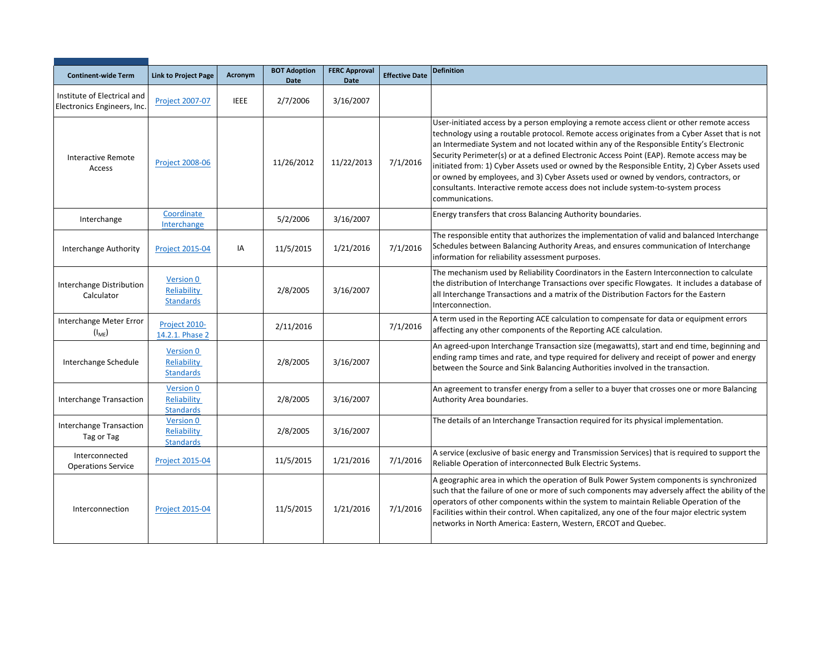| <b>Continent-wide Term</b>                                 | <b>Link to Project Page</b>                         | Acronym     | <b>BOT Adoption</b><br><b>Date</b> | <b>FERC Approval</b><br><b>Date</b> | <b>Effective Date</b> | <b>Definition</b>                                                                                                                                                                                                                                                                                                                                                                                                                                                                                                                                                                                                                                                                   |
|------------------------------------------------------------|-----------------------------------------------------|-------------|------------------------------------|-------------------------------------|-----------------------|-------------------------------------------------------------------------------------------------------------------------------------------------------------------------------------------------------------------------------------------------------------------------------------------------------------------------------------------------------------------------------------------------------------------------------------------------------------------------------------------------------------------------------------------------------------------------------------------------------------------------------------------------------------------------------------|
| Institute of Electrical and<br>Electronics Engineers, Inc. | Project 2007-07                                     | <b>IEEE</b> | 2/7/2006                           | 3/16/2007                           |                       |                                                                                                                                                                                                                                                                                                                                                                                                                                                                                                                                                                                                                                                                                     |
| <b>Interactive Remote</b><br>Access                        | <b>Project 2008-06</b>                              |             | 11/26/2012                         | 11/22/2013                          | 7/1/2016              | User-initiated access by a person employing a remote access client or other remote access<br>technology using a routable protocol. Remote access originates from a Cyber Asset that is not<br>an Intermediate System and not located within any of the Responsible Entity's Electronic<br>Security Perimeter(s) or at a defined Electronic Access Point (EAP). Remote access may be<br>initiated from: 1) Cyber Assets used or owned by the Responsible Entity, 2) Cyber Assets used<br>or owned by employees, and 3) Cyber Assets used or owned by vendors, contractors, or<br>consultants. Interactive remote access does not include system-to-system process<br>communications. |
| Interchange                                                | Coordinate<br>Interchange                           |             | 5/2/2006                           | 3/16/2007                           |                       | Energy transfers that cross Balancing Authority boundaries.                                                                                                                                                                                                                                                                                                                                                                                                                                                                                                                                                                                                                         |
| Interchange Authority                                      | <b>Project 2015-04</b>                              | IA          | 11/5/2015                          | 1/21/2016                           | 7/1/2016              | The responsible entity that authorizes the implementation of valid and balanced Interchange<br>Schedules between Balancing Authority Areas, and ensures communication of Interchange<br>information for reliability assessment purposes.                                                                                                                                                                                                                                                                                                                                                                                                                                            |
| Interchange Distribution<br>Calculator                     | Version 0<br>Reliability<br><b>Standards</b>        |             | 2/8/2005                           | 3/16/2007                           |                       | The mechanism used by Reliability Coordinators in the Eastern Interconnection to calculate<br>the distribution of Interchange Transactions over specific Flowgates. It includes a database of<br>all Interchange Transactions and a matrix of the Distribution Factors for the Eastern<br>Interconnection.                                                                                                                                                                                                                                                                                                                                                                          |
| Interchange Meter Error<br>$(I_{ME})$                      | Project 2010-<br>14.2.1. Phase 2                    |             | 2/11/2016                          |                                     | 7/1/2016              | A term used in the Reporting ACE calculation to compensate for data or equipment errors<br>affecting any other components of the Reporting ACE calculation.                                                                                                                                                                                                                                                                                                                                                                                                                                                                                                                         |
| Interchange Schedule                                       | Version 0<br>Reliability<br><b>Standards</b>        |             | 2/8/2005                           | 3/16/2007                           |                       | An agreed-upon Interchange Transaction size (megawatts), start and end time, beginning and<br>ending ramp times and rate, and type required for delivery and receipt of power and energy<br>between the Source and Sink Balancing Authorities involved in the transaction.                                                                                                                                                                                                                                                                                                                                                                                                          |
| <b>Interchange Transaction</b>                             | Version 0<br>Reliability<br><b>Standards</b>        |             | 2/8/2005                           | 3/16/2007                           |                       | An agreement to transfer energy from a seller to a buyer that crosses one or more Balancing<br>Authority Area boundaries.                                                                                                                                                                                                                                                                                                                                                                                                                                                                                                                                                           |
| <b>Interchange Transaction</b><br>Tag or Tag               | <b>Version 0</b><br>Reliability<br><b>Standards</b> |             | 2/8/2005                           | 3/16/2007                           |                       | The details of an Interchange Transaction required for its physical implementation.                                                                                                                                                                                                                                                                                                                                                                                                                                                                                                                                                                                                 |
| Interconnected<br><b>Operations Service</b>                | Project 2015-04                                     |             | 11/5/2015                          | 1/21/2016                           | 7/1/2016              | A service (exclusive of basic energy and Transmission Services) that is required to support the<br>Reliable Operation of interconnected Bulk Electric Systems.                                                                                                                                                                                                                                                                                                                                                                                                                                                                                                                      |
| Interconnection                                            | <b>Project 2015-04</b>                              |             | 11/5/2015                          | 1/21/2016                           | 7/1/2016              | A geographic area in which the operation of Bulk Power System components is synchronized<br>such that the failure of one or more of such components may adversely affect the ability of the<br>operators of other components within the system to maintain Reliable Operation of the<br>Facilities within their control. When capitalized, any one of the four major electric system<br>networks in North America: Eastern, Western, ERCOT and Quebec.                                                                                                                                                                                                                              |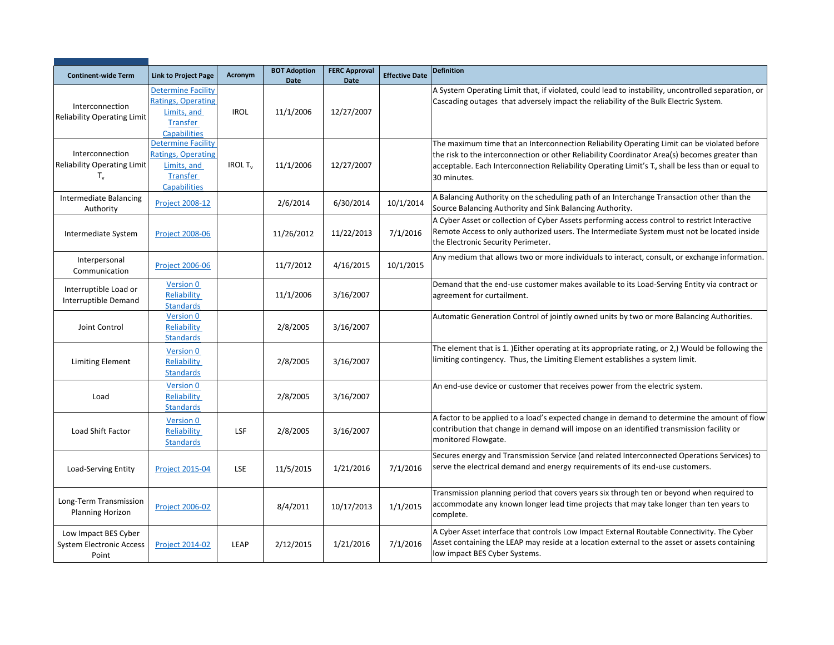|                                                                      |                                                                                                                 |                           | <b>BOT Adoption</b> | <b>FERC Approval</b> |                       | <b>Definition</b>                                                                                                                                                                                                                                                                                                           |
|----------------------------------------------------------------------|-----------------------------------------------------------------------------------------------------------------|---------------------------|---------------------|----------------------|-----------------------|-----------------------------------------------------------------------------------------------------------------------------------------------------------------------------------------------------------------------------------------------------------------------------------------------------------------------------|
| <b>Continent-wide Term</b>                                           | <b>Link to Project Page</b>                                                                                     | Acronym                   | <b>Date</b>         | <b>Date</b>          | <b>Effective Date</b> |                                                                                                                                                                                                                                                                                                                             |
| Interconnection<br><b>Reliability Operating Limit</b>                | <b>Determine Facility</b><br><b>Ratings, Operating</b><br>Limits, and<br>Transfer<br><b>Capabilities</b>        | <b>IROL</b>               | 11/1/2006           | 12/27/2007           |                       | A System Operating Limit that, if violated, could lead to instability, uncontrolled separation, or<br>Cascading outages that adversely impact the reliability of the Bulk Electric System.                                                                                                                                  |
| Interconnection<br><b>Reliability Operating Limit</b><br>$T_{\rm v}$ | <b>Determine Facility</b><br><b>Ratings, Operating</b><br>Limits, and<br><b>Transfer</b><br><b>Capabilities</b> | <b>IROL T<sub>v</sub></b> | 11/1/2006           | 12/27/2007           |                       | The maximum time that an Interconnection Reliability Operating Limit can be violated before<br>the risk to the interconnection or other Reliability Coordinator Area(s) becomes greater than<br>acceptable. Each Interconnection Reliability Operating Limit's T <sub>y</sub> shall be less than or equal to<br>30 minutes. |
| <b>Intermediate Balancing</b><br>Authority                           | <b>Project 2008-12</b>                                                                                          |                           | 2/6/2014            | 6/30/2014            | 10/1/2014             | A Balancing Authority on the scheduling path of an Interchange Transaction other than the<br>Source Balancing Authority and Sink Balancing Authority.                                                                                                                                                                       |
| Intermediate System                                                  | <b>Project 2008-06</b>                                                                                          |                           | 11/26/2012          | 11/22/2013           | 7/1/2016              | A Cyber Asset or collection of Cyber Assets performing access control to restrict Interactive<br>Remote Access to only authorized users. The Intermediate System must not be located inside<br>the Electronic Security Perimeter.                                                                                           |
| Interpersonal<br>Communication                                       | <b>Project 2006-06</b>                                                                                          |                           | 11/7/2012           | 4/16/2015            | 10/1/2015             | Any medium that allows two or more individuals to interact, consult, or exchange information.                                                                                                                                                                                                                               |
| Interruptible Load or<br>Interruptible Demand                        | Version 0<br>Reliability<br><b>Standards</b>                                                                    |                           | 11/1/2006           | 3/16/2007            |                       | Demand that the end-use customer makes available to its Load-Serving Entity via contract or<br>agreement for curtailment.                                                                                                                                                                                                   |
| Joint Control                                                        | Version 0<br>Reliability<br><b>Standards</b>                                                                    |                           | 2/8/2005            | 3/16/2007            |                       | Automatic Generation Control of jointly owned units by two or more Balancing Authorities.                                                                                                                                                                                                                                   |
| <b>Limiting Element</b>                                              | Version 0<br>Reliability<br><b>Standards</b>                                                                    |                           | 2/8/2005            | 3/16/2007            |                       | The element that is 1. )Either operating at its appropriate rating, or 2,) Would be following the<br>limiting contingency. Thus, the Limiting Element establishes a system limit.                                                                                                                                           |
| Load                                                                 | Version 0<br>Reliability<br><b>Standards</b>                                                                    |                           | 2/8/2005            | 3/16/2007            |                       | An end-use device or customer that receives power from the electric system.                                                                                                                                                                                                                                                 |
| Load Shift Factor                                                    | Version 0<br>Reliability<br><b>Standards</b>                                                                    | LSF                       | 2/8/2005            | 3/16/2007            |                       | A factor to be applied to a load's expected change in demand to determine the amount of flow<br>contribution that change in demand will impose on an identified transmission facility or<br>monitored Flowgate.                                                                                                             |
| Load-Serving Entity                                                  | <b>Project 2015-04</b>                                                                                          | LSE                       | 11/5/2015           | 1/21/2016            | 7/1/2016              | Secures energy and Transmission Service (and related Interconnected Operations Services) to<br>serve the electrical demand and energy requirements of its end-use customers.                                                                                                                                                |
| Long-Term Transmission<br>Planning Horizon                           | <b>Project 2006-02</b>                                                                                          |                           | 8/4/2011            | 10/17/2013           | 1/1/2015              | Transmission planning period that covers years six through ten or beyond when required to<br>accommodate any known longer lead time projects that may take longer than ten years to<br>complete.                                                                                                                            |
| Low Impact BES Cyber<br><b>System Electronic Access</b><br>Point     | <b>Project 2014-02</b>                                                                                          | LEAP                      | 2/12/2015           | 1/21/2016            | 7/1/2016              | A Cyber Asset interface that controls Low Impact External Routable Connectivity. The Cyber<br>Asset containing the LEAP may reside at a location external to the asset or assets containing<br>low impact BES Cyber Systems.                                                                                                |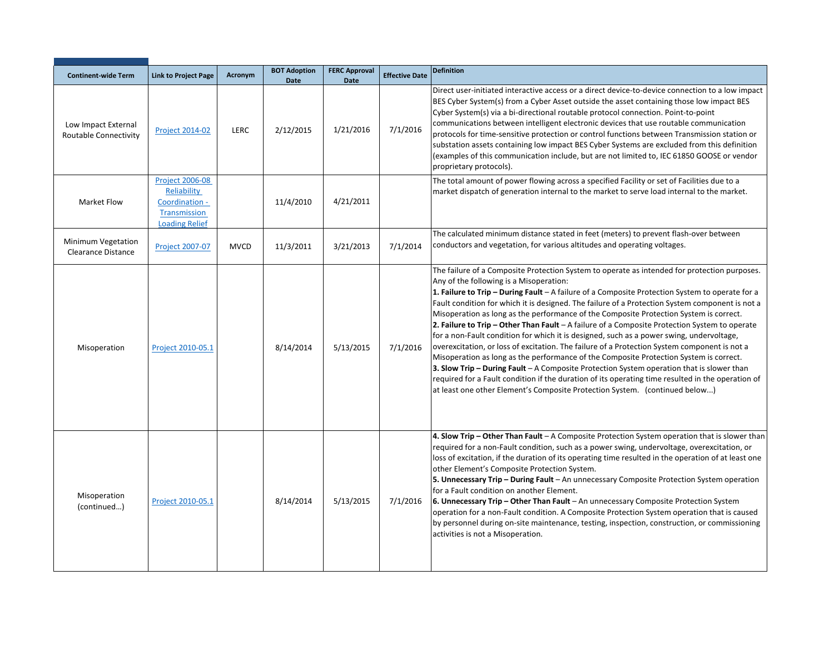| <b>Continent-wide Term</b>                      | <b>Link to Project Page</b>                                                                             | Acronym     | <b>BOT Adoption</b><br><b>Date</b> | <b>FERC Approval</b><br><b>Date</b> | <b>Effective Date</b> | <b>Definition</b>                                                                                                                                                                                                                                                                                                                                                                                                                                                                                                                                                                                                                                                                                                                                                                                                                                                                                                                                                                                                                                                                                                             |
|-------------------------------------------------|---------------------------------------------------------------------------------------------------------|-------------|------------------------------------|-------------------------------------|-----------------------|-------------------------------------------------------------------------------------------------------------------------------------------------------------------------------------------------------------------------------------------------------------------------------------------------------------------------------------------------------------------------------------------------------------------------------------------------------------------------------------------------------------------------------------------------------------------------------------------------------------------------------------------------------------------------------------------------------------------------------------------------------------------------------------------------------------------------------------------------------------------------------------------------------------------------------------------------------------------------------------------------------------------------------------------------------------------------------------------------------------------------------|
| Low Impact External<br>Routable Connectivity    | <b>Project 2014-02</b>                                                                                  | LERC        | 2/12/2015                          | 1/21/2016                           | 7/1/2016              | Direct user-initiated interactive access or a direct device-to-device connection to a low impact<br>BES Cyber System(s) from a Cyber Asset outside the asset containing those low impact BES<br>Cyber System(s) via a bi-directional routable protocol connection. Point-to-point<br>communications between intelligent electronic devices that use routable communication<br>protocols for time-sensitive protection or control functions between Transmission station or<br>substation assets containing low impact BES Cyber Systems are excluded from this definition<br>(examples of this communication include, but are not limited to, IEC 61850 GOOSE or vendor<br>proprietary protocols).                                                                                                                                                                                                                                                                                                                                                                                                                            |
| <b>Market Flow</b>                              | <b>Project 2006-08</b><br>Reliability<br>Coordination -<br><b>Transmission</b><br><b>Loading Relief</b> |             | 11/4/2010                          | 4/21/2011                           |                       | The total amount of power flowing across a specified Facility or set of Facilities due to a<br>market dispatch of generation internal to the market to serve load internal to the market.                                                                                                                                                                                                                                                                                                                                                                                                                                                                                                                                                                                                                                                                                                                                                                                                                                                                                                                                     |
| Minimum Vegetation<br><b>Clearance Distance</b> | <b>Project 2007-07</b>                                                                                  | <b>MVCD</b> | 11/3/2011                          | 3/21/2013                           | 7/1/2014              | The calculated minimum distance stated in feet (meters) to prevent flash-over between<br>conductors and vegetation, for various altitudes and operating voltages.                                                                                                                                                                                                                                                                                                                                                                                                                                                                                                                                                                                                                                                                                                                                                                                                                                                                                                                                                             |
| Misoperation                                    | Project 2010-05.1                                                                                       |             | 8/14/2014                          | 5/13/2015                           | 7/1/2016              | The failure of a Composite Protection System to operate as intended for protection purposes.<br>Any of the following is a Misoperation:<br><b>1. Failure to Trip - During Fault - A failure of a Composite Protection System to operate for a</b><br>Fault condition for which it is designed. The failure of a Protection System component is not a<br>Misoperation as long as the performance of the Composite Protection System is correct.<br>2. Failure to Trip – Other Than Fault – A failure of a Composite Protection System to operate<br>for a non-Fault condition for which it is designed, such as a power swing, undervoltage,<br>overexcitation, or loss of excitation. The failure of a Protection System component is not a<br>Misoperation as long as the performance of the Composite Protection System is correct.<br><b>3. Slow Trip - During Fault - A Composite Protection System operation that is slower than</b><br>required for a Fault condition if the duration of its operating time resulted in the operation of<br>at least one other Element's Composite Protection System. (continued below) |
| Misoperation<br>(continued)                     | Project 2010-05.1                                                                                       |             | 8/14/2014                          | 5/13/2015                           | 7/1/2016              | 4. Slow Trip - Other Than Fault - A Composite Protection System operation that is slower than<br>required for a non-Fault condition, such as a power swing, undervoltage, overexcitation, or<br>loss of excitation, if the duration of its operating time resulted in the operation of at least one<br>other Element's Composite Protection System.<br>5. Unnecessary Trip - During Fault - An unnecessary Composite Protection System operation<br>for a Fault condition on another Element.<br>6. Unnecessary Trip - Other Than Fault - An unnecessary Composite Protection System<br>operation for a non-Fault condition. A Composite Protection System operation that is caused<br>by personnel during on-site maintenance, testing, inspection, construction, or commissioning<br>activities is not a Misoperation.                                                                                                                                                                                                                                                                                                      |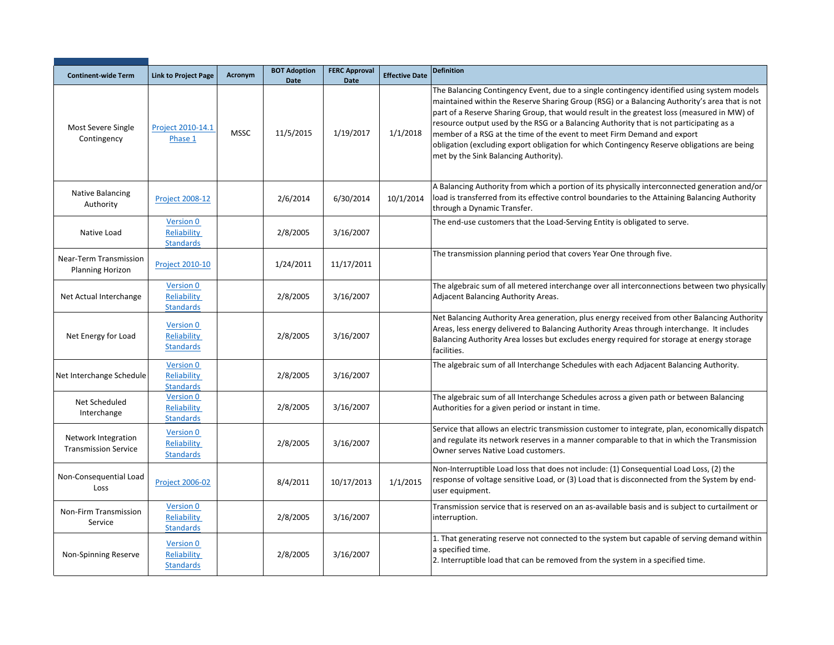| <b>Continent-wide Term</b>                         | <b>Link to Project Page</b>                         | Acronym     | <b>BOT Adoption</b><br><b>Date</b> | <b>FERC Approval</b><br><b>Date</b> | <b>Effective Date</b> | <b>Definition</b>                                                                                                                                                                                                                                                                                                                                                                                                                                                                                                                                                                                         |
|----------------------------------------------------|-----------------------------------------------------|-------------|------------------------------------|-------------------------------------|-----------------------|-----------------------------------------------------------------------------------------------------------------------------------------------------------------------------------------------------------------------------------------------------------------------------------------------------------------------------------------------------------------------------------------------------------------------------------------------------------------------------------------------------------------------------------------------------------------------------------------------------------|
| Most Severe Single<br>Contingency                  | Project 2010-14.1<br>Phase 1                        | <b>MSSC</b> | 11/5/2015                          | 1/19/2017                           | 1/1/2018              | The Balancing Contingency Event, due to a single contingency identified using system models<br>maintained within the Reserve Sharing Group (RSG) or a Balancing Authority's area that is not<br>part of a Reserve Sharing Group, that would result in the greatest loss (measured in MW) of<br>resource output used by the RSG or a Balancing Authority that is not participating as a<br>member of a RSG at the time of the event to meet Firm Demand and export<br>obligation (excluding export obligation for which Contingency Reserve obligations are being<br>met by the Sink Balancing Authority). |
| Native Balancing<br>Authority                      | <b>Project 2008-12</b>                              |             | 2/6/2014                           | 6/30/2014                           | 10/1/2014             | A Balancing Authority from which a portion of its physically interconnected generation and/or<br>load is transferred from its effective control boundaries to the Attaining Balancing Authority<br>through a Dynamic Transfer.                                                                                                                                                                                                                                                                                                                                                                            |
| Native Load                                        | <b>Version 0</b><br>Reliability<br><b>Standards</b> |             | 2/8/2005                           | 3/16/2007                           |                       | The end-use customers that the Load-Serving Entity is obligated to serve.                                                                                                                                                                                                                                                                                                                                                                                                                                                                                                                                 |
| Near-Term Transmission<br><b>Planning Horizon</b>  | <b>Project 2010-10</b>                              |             | 1/24/2011                          | 11/17/2011                          |                       | The transmission planning period that covers Year One through five.                                                                                                                                                                                                                                                                                                                                                                                                                                                                                                                                       |
| Net Actual Interchange                             | Version 0<br>Reliability<br><b>Standards</b>        |             | 2/8/2005                           | 3/16/2007                           |                       | The algebraic sum of all metered interchange over all interconnections between two physically<br>Adjacent Balancing Authority Areas.                                                                                                                                                                                                                                                                                                                                                                                                                                                                      |
| Net Energy for Load                                | Version 0<br>Reliability<br><b>Standards</b>        |             | 2/8/2005                           | 3/16/2007                           |                       | Net Balancing Authority Area generation, plus energy received from other Balancing Authority<br>Areas, less energy delivered to Balancing Authority Areas through interchange. It includes<br>Balancing Authority Area losses but excludes energy required for storage at energy storage<br>facilities.                                                                                                                                                                                                                                                                                                   |
| Net Interchange Schedule                           | Version 0<br>Reliability<br><b>Standards</b>        |             | 2/8/2005                           | 3/16/2007                           |                       | The algebraic sum of all Interchange Schedules with each Adjacent Balancing Authority.                                                                                                                                                                                                                                                                                                                                                                                                                                                                                                                    |
| Net Scheduled<br>Interchange                       | Version 0<br>Reliability<br><b>Standards</b>        |             | 2/8/2005                           | 3/16/2007                           |                       | The algebraic sum of all Interchange Schedules across a given path or between Balancing<br>Authorities for a given period or instant in time.                                                                                                                                                                                                                                                                                                                                                                                                                                                             |
| Network Integration<br><b>Transmission Service</b> | <b>Version 0</b><br>Reliability<br><b>Standards</b> |             | 2/8/2005                           | 3/16/2007                           |                       | Service that allows an electric transmission customer to integrate, plan, economically dispatch<br>and regulate its network reserves in a manner comparable to that in which the Transmission<br>Owner serves Native Load customers.                                                                                                                                                                                                                                                                                                                                                                      |
| Non-Consequential Load<br>Loss                     | <b>Project 2006-02</b>                              |             | 8/4/2011                           | 10/17/2013                          | 1/1/2015              | Non-Interruptible Load loss that does not include: (1) Consequential Load Loss, (2) the<br>response of voltage sensitive Load, or (3) Load that is disconnected from the System by end-<br>user equipment.                                                                                                                                                                                                                                                                                                                                                                                                |
| Non-Firm Transmission<br>Service                   | <b>Version 0</b><br>Reliability<br><b>Standards</b> |             | 2/8/2005                           | 3/16/2007                           |                       | Transmission service that is reserved on an as-available basis and is subject to curtailment or<br>interruption.                                                                                                                                                                                                                                                                                                                                                                                                                                                                                          |
| Non-Spinning Reserve                               | Version 0<br>Reliability<br><b>Standards</b>        |             | 2/8/2005                           | 3/16/2007                           |                       | 1. That generating reserve not connected to the system but capable of serving demand within<br>a specified time.<br>2. Interruptible load that can be removed from the system in a specified time.                                                                                                                                                                                                                                                                                                                                                                                                        |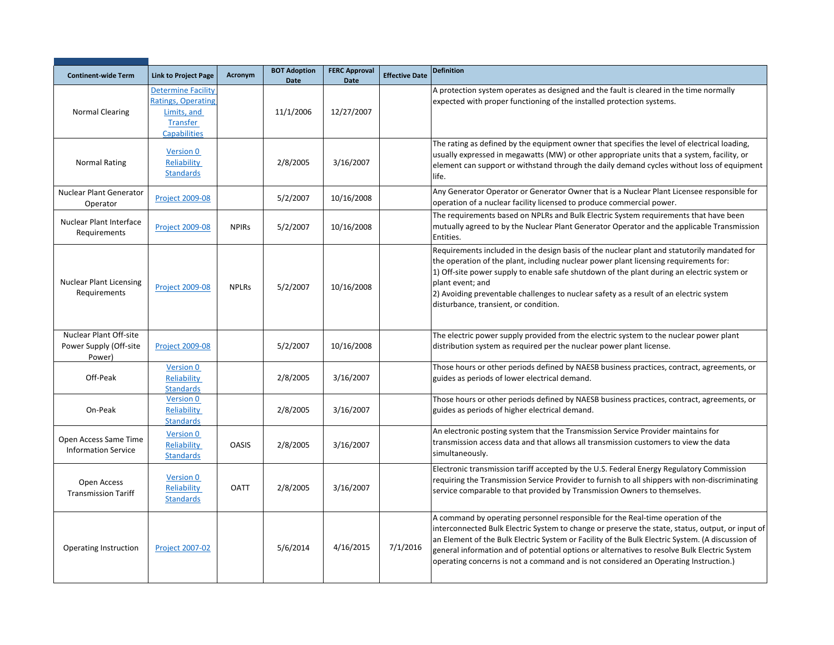| <b>Continent-wide Term</b>                                 | <b>Link to Project Page</b>                                                                              | Acronym      | <b>BOT Adoption</b><br>Date | <b>FERC Approval</b><br><b>Date</b> | <b>Effective Date</b> | <b>Definition</b>                                                                                                                                                                                                                                                                                                                                                                                                                                                               |
|------------------------------------------------------------|----------------------------------------------------------------------------------------------------------|--------------|-----------------------------|-------------------------------------|-----------------------|---------------------------------------------------------------------------------------------------------------------------------------------------------------------------------------------------------------------------------------------------------------------------------------------------------------------------------------------------------------------------------------------------------------------------------------------------------------------------------|
| <b>Normal Clearing</b>                                     | <b>Determine Facility</b><br><b>Ratings, Operating</b><br>Limits, and<br>Transfer<br><b>Capabilities</b> |              | 11/1/2006                   | 12/27/2007                          |                       | A protection system operates as designed and the fault is cleared in the time normally<br>expected with proper functioning of the installed protection systems.                                                                                                                                                                                                                                                                                                                 |
| <b>Normal Rating</b>                                       | Version 0<br>Reliability<br><b>Standards</b>                                                             |              | 2/8/2005                    | 3/16/2007                           |                       | The rating as defined by the equipment owner that specifies the level of electrical loading,<br>usually expressed in megawatts (MW) or other appropriate units that a system, facility, or<br>element can support or withstand through the daily demand cycles without loss of equipment<br>life.                                                                                                                                                                               |
| Nuclear Plant Generator<br>Operator                        | <b>Project 2009-08</b>                                                                                   |              | 5/2/2007                    | 10/16/2008                          |                       | Any Generator Operator or Generator Owner that is a Nuclear Plant Licensee responsible for<br>operation of a nuclear facility licensed to produce commercial power.                                                                                                                                                                                                                                                                                                             |
| <b>Nuclear Plant Interface</b><br>Requirements             | <b>Project 2009-08</b>                                                                                   | <b>NPIRS</b> | 5/2/2007                    | 10/16/2008                          |                       | The requirements based on NPLRs and Bulk Electric System requirements that have been<br>mutually agreed to by the Nuclear Plant Generator Operator and the applicable Transmission<br>Entities.                                                                                                                                                                                                                                                                                 |
| <b>Nuclear Plant Licensing</b><br>Requirements             | <b>Project 2009-08</b>                                                                                   | <b>NPLRs</b> | 5/2/2007                    | 10/16/2008                          |                       | Requirements included in the design basis of the nuclear plant and statutorily mandated for<br>the operation of the plant, including nuclear power plant licensing requirements for:<br>1) Off-site power supply to enable safe shutdown of the plant during an electric system or<br>plant event; and<br>2) Avoiding preventable challenges to nuclear safety as a result of an electric system<br>disturbance, transient, or condition.                                       |
| Nuclear Plant Off-site<br>Power Supply (Off-site<br>Power) | <b>Project 2009-08</b>                                                                                   |              | 5/2/2007                    | 10/16/2008                          |                       | The electric power supply provided from the electric system to the nuclear power plant<br>distribution system as required per the nuclear power plant license.                                                                                                                                                                                                                                                                                                                  |
| Off-Peak                                                   | <b>Version 0</b><br>Reliability<br><b>Standards</b>                                                      |              | 2/8/2005                    | 3/16/2007                           |                       | Those hours or other periods defined by NAESB business practices, contract, agreements, or<br>guides as periods of lower electrical demand.                                                                                                                                                                                                                                                                                                                                     |
| On-Peak                                                    | <b>Version 0</b><br>Reliability<br><b>Standards</b>                                                      |              | 2/8/2005                    | 3/16/2007                           |                       | Those hours or other periods defined by NAESB business practices, contract, agreements, or<br>guides as periods of higher electrical demand.                                                                                                                                                                                                                                                                                                                                    |
| Open Access Same Time<br><b>Information Service</b>        | Version 0<br>Reliability<br><b>Standards</b>                                                             | <b>OASIS</b> | 2/8/2005                    | 3/16/2007                           |                       | An electronic posting system that the Transmission Service Provider maintains for<br>transmission access data and that allows all transmission customers to view the data<br>simultaneously.                                                                                                                                                                                                                                                                                    |
| Open Access<br><b>Transmission Tariff</b>                  | Version 0<br>Reliability<br><b>Standards</b>                                                             | <b>OATT</b>  | 2/8/2005                    | 3/16/2007                           |                       | Electronic transmission tariff accepted by the U.S. Federal Energy Regulatory Commission<br>requiring the Transmission Service Provider to furnish to all shippers with non-discriminating<br>service comparable to that provided by Transmission Owners to themselves.                                                                                                                                                                                                         |
| <b>Operating Instruction</b>                               | <b>Project 2007-02</b>                                                                                   |              | 5/6/2014                    | 4/16/2015                           | 7/1/2016              | A command by operating personnel responsible for the Real-time operation of the<br>interconnected Bulk Electric System to change or preserve the state, status, output, or input of<br>an Element of the Bulk Electric System or Facility of the Bulk Electric System. (A discussion of<br>general information and of potential options or alternatives to resolve Bulk Electric System<br>operating concerns is not a command and is not considered an Operating Instruction.) |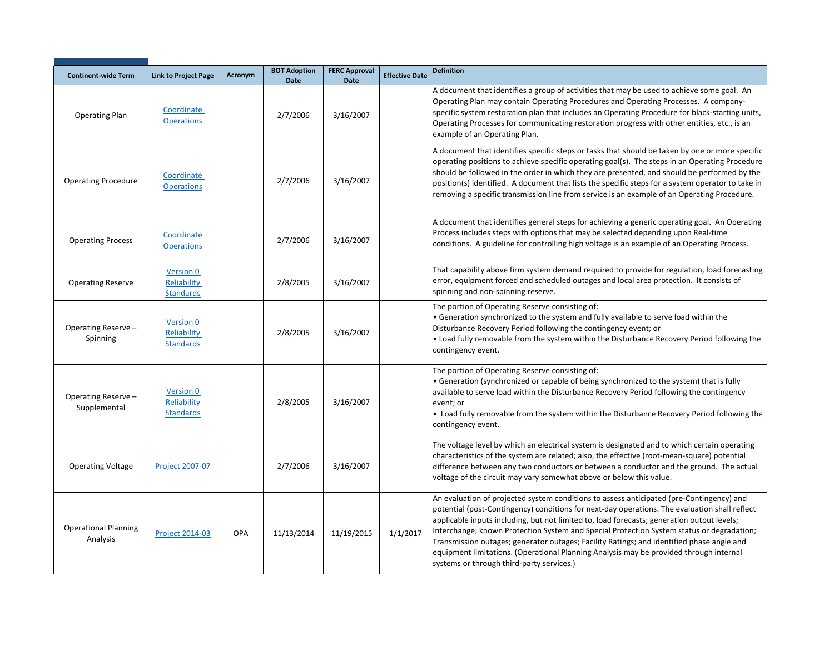| <b>Continent-wide Term</b>              | <b>Link to Project Page</b>                         | Acronym | <b>BOT Adoption</b><br><b>Date</b> | <b>FERC Approval</b><br><b>Date</b> | <b>Effective Date</b> | <b>Definition</b>                                                                                                                                                                                                                                                                                                                                                                                                                                                                                                                                                                                                        |
|-----------------------------------------|-----------------------------------------------------|---------|------------------------------------|-------------------------------------|-----------------------|--------------------------------------------------------------------------------------------------------------------------------------------------------------------------------------------------------------------------------------------------------------------------------------------------------------------------------------------------------------------------------------------------------------------------------------------------------------------------------------------------------------------------------------------------------------------------------------------------------------------------|
| <b>Operating Plan</b>                   | Coordinate<br><b>Operations</b>                     |         | 2/7/2006                           | 3/16/2007                           |                       | A document that identifies a group of activities that may be used to achieve some goal. An<br>Operating Plan may contain Operating Procedures and Operating Processes. A company-<br>specific system restoration plan that includes an Operating Procedure for black-starting units,<br>Operating Processes for communicating restoration progress with other entities, etc., is an<br>example of an Operating Plan.                                                                                                                                                                                                     |
| <b>Operating Procedure</b>              | Coordinate<br><b>Operations</b>                     |         | 2/7/2006                           | 3/16/2007                           |                       | A document that identifies specific steps or tasks that should be taken by one or more specific<br>operating positions to achieve specific operating goal(s). The steps in an Operating Procedure<br>should be followed in the order in which they are presented, and should be performed by the<br>position(s) identified. A document that lists the specific steps for a system operator to take in<br>removing a specific transmission line from service is an example of an Operating Procedure.                                                                                                                     |
| <b>Operating Process</b>                | Coordinate<br><b>Operations</b>                     |         | 2/7/2006                           | 3/16/2007                           |                       | A document that identifies general steps for achieving a generic operating goal. An Operating<br>Process includes steps with options that may be selected depending upon Real-time<br>conditions. A guideline for controlling high voltage is an example of an Operating Process.                                                                                                                                                                                                                                                                                                                                        |
| <b>Operating Reserve</b>                | <b>Version 0</b><br>Reliability<br><b>Standards</b> |         | 2/8/2005                           | 3/16/2007                           |                       | That capability above firm system demand required to provide for regulation, load forecasting<br>error, equipment forced and scheduled outages and local area protection. It consists of<br>spinning and non-spinning reserve.                                                                                                                                                                                                                                                                                                                                                                                           |
| Operating Reserve-<br>Spinning          | Version 0<br>Reliability<br><b>Standards</b>        |         | 2/8/2005                           | 3/16/2007                           |                       | The portion of Operating Reserve consisting of:<br>• Generation synchronized to the system and fully available to serve load within the<br>Disturbance Recovery Period following the contingency event; or<br>• Load fully removable from the system within the Disturbance Recovery Period following the<br>contingency event.                                                                                                                                                                                                                                                                                          |
| Operating Reserve-<br>Supplemental      | Version 0<br>Reliability<br><b>Standards</b>        |         | 2/8/2005                           | 3/16/2007                           |                       | The portion of Operating Reserve consisting of:<br>• Generation (synchronized or capable of being synchronized to the system) that is fully<br>available to serve load within the Disturbance Recovery Period following the contingency<br>event; or<br>• Load fully removable from the system within the Disturbance Recovery Period following the<br>contingency event.                                                                                                                                                                                                                                                |
| <b>Operating Voltage</b>                | Project 2007-07                                     |         | 2/7/2006                           | 3/16/2007                           |                       | The voltage level by which an electrical system is designated and to which certain operating<br>characteristics of the system are related; also, the effective (root-mean-square) potential<br>difference between any two conductors or between a conductor and the ground. The actual<br>voltage of the circuit may vary somewhat above or below this value.                                                                                                                                                                                                                                                            |
| <b>Operational Planning</b><br>Analysis | <b>Project 2014-03</b>                              | OPA     | 11/13/2014                         | 11/19/2015                          | 1/1/2017              | An evaluation of projected system conditions to assess anticipated (pre-Contingency) and<br>potential (post-Contingency) conditions for next-day operations. The evaluation shall reflect<br>applicable inputs including, but not limited to, load forecasts; generation output levels;<br>Interchange; known Protection System and Special Protection System status or degradation;<br>Transmission outages; generator outages; Facility Ratings; and identified phase angle and<br>equipment limitations. (Operational Planning Analysis may be provided through internal<br>systems or through third-party services.) |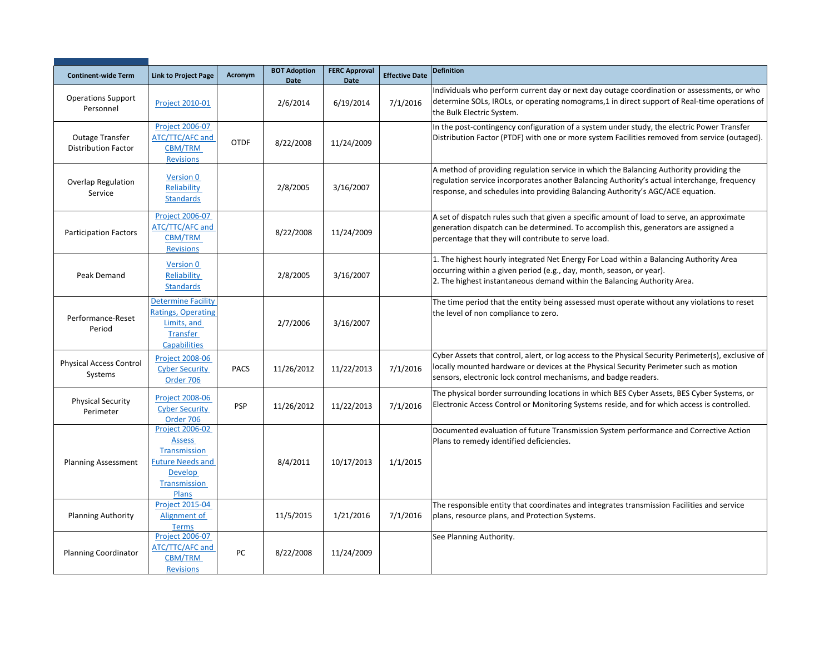| <b>Continent-wide Term</b>                           | <b>Link to Project Page</b>                                                                                                          | Acronym     | <b>BOT Adoption</b><br><b>Date</b> | <b>FERC Approval</b><br><b>Date</b> | <b>Effective Date</b> | <b>Definition</b>                                                                                                                                                                                                                                                        |
|------------------------------------------------------|--------------------------------------------------------------------------------------------------------------------------------------|-------------|------------------------------------|-------------------------------------|-----------------------|--------------------------------------------------------------------------------------------------------------------------------------------------------------------------------------------------------------------------------------------------------------------------|
| <b>Operations Support</b><br>Personnel               | <b>Project 2010-01</b>                                                                                                               |             | 2/6/2014                           | 6/19/2014                           | 7/1/2016              | Individuals who perform current day or next day outage coordination or assessments, or who<br>determine SOLs, IROLs, or operating nomograms, 1 in direct support of Real-time operations of<br>the Bulk Electric System.                                                 |
| <b>Outage Transfer</b><br><b>Distribution Factor</b> | <b>Project 2006-07</b><br>ATC/TTC/AFC and<br>CBM/TRM<br><b>Revisions</b>                                                             | <b>OTDF</b> | 8/22/2008                          | 11/24/2009                          |                       | In the post-contingency configuration of a system under study, the electric Power Transfer<br>Distribution Factor (PTDF) with one or more system Facilities removed from service (outaged).                                                                              |
| Overlap Regulation<br>Service                        | Version 0<br>Reliability<br><b>Standards</b>                                                                                         |             | 2/8/2005                           | 3/16/2007                           |                       | A method of providing regulation service in which the Balancing Authority providing the<br>regulation service incorporates another Balancing Authority's actual interchange, frequency<br>response, and schedules into providing Balancing Authority's AGC/ACE equation. |
| <b>Participation Factors</b>                         | <b>Project 2006-07</b><br>ATC/TTC/AFC and<br>CBM/TRM<br><b>Revisions</b>                                                             |             | 8/22/2008                          | 11/24/2009                          |                       | A set of dispatch rules such that given a specific amount of load to serve, an approximate<br>generation dispatch can be determined. To accomplish this, generators are assigned a<br>percentage that they will contribute to serve load.                                |
| Peak Demand                                          | Version 0<br>Reliability<br><b>Standards</b>                                                                                         |             | 2/8/2005                           | 3/16/2007                           |                       | 1. The highest hourly integrated Net Energy For Load within a Balancing Authority Area<br>occurring within a given period (e.g., day, month, season, or year).<br>2. The highest instantaneous demand within the Balancing Authority Area.                               |
| Performance-Reset<br>Period                          | <b>Determine Facility</b><br><b>Ratings, Operating</b><br>Limits, and<br><b>Transfer</b><br>Capabilities                             |             | 2/7/2006                           | 3/16/2007                           |                       | The time period that the entity being assessed must operate without any violations to reset<br>the level of non compliance to zero.                                                                                                                                      |
| <b>Physical Access Control</b><br>Systems            | <b>Project 2008-06</b><br><b>Cyber Security</b><br>Order 706                                                                         | <b>PACS</b> | 11/26/2012                         | 11/22/2013                          | 7/1/2016              | Cyber Assets that control, alert, or log access to the Physical Security Perimeter(s), exclusive of<br>locally mounted hardware or devices at the Physical Security Perimeter such as motion<br>sensors, electronic lock control mechanisms, and badge readers.          |
| <b>Physical Security</b><br>Perimeter                | <b>Project 2008-06</b><br><b>Cyber Security</b><br>Order 706                                                                         | <b>PSP</b>  | 11/26/2012                         | 11/22/2013                          | 7/1/2016              | The physical border surrounding locations in which BES Cyber Assets, BES Cyber Systems, or<br>Electronic Access Control or Monitoring Systems reside, and for which access is controlled.                                                                                |
| <b>Planning Assessment</b>                           | <b>Project 2006-02</b><br><b>Assess</b><br>Transmission<br><b>Future Needs and</b><br><b>Develop</b><br>Transmission<br><b>Plans</b> |             | 8/4/2011                           | 10/17/2013                          | 1/1/2015              | Documented evaluation of future Transmission System performance and Corrective Action<br>Plans to remedy identified deficiencies.                                                                                                                                        |
| <b>Planning Authority</b>                            | <b>Project 2015-04</b><br>Alignment of<br><b>Terms</b>                                                                               |             | 11/5/2015                          | 1/21/2016                           | 7/1/2016              | The responsible entity that coordinates and integrates transmission Facilities and service<br>plans, resource plans, and Protection Systems.                                                                                                                             |
| <b>Planning Coordinator</b>                          | Project 2006-07<br>ATC/TTC/AFC and<br><b>CBM/TRM</b><br><b>Revisions</b>                                                             | PC          | 8/22/2008                          | 11/24/2009                          |                       | See Planning Authority.                                                                                                                                                                                                                                                  |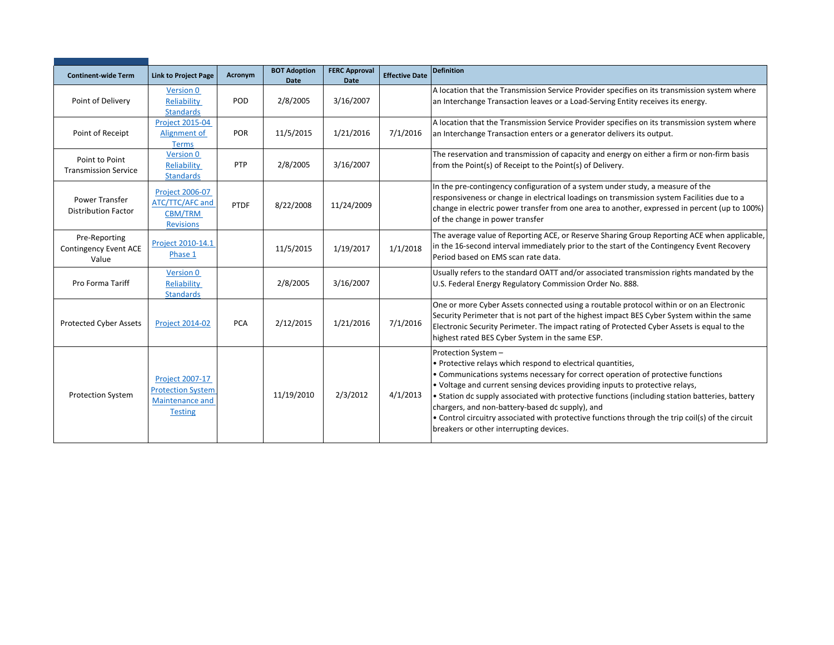| <b>Continent-wide Term</b>                             | <b>Link to Project Page</b>                                                             | Acronym    | <b>BOT Adoption</b> | <b>FERC Approval</b> | <b>Effective Date</b> | <b>Definition</b>                                                                                                                                                                                                                                                                                                                                                                                                                                                                                                                                          |
|--------------------------------------------------------|-----------------------------------------------------------------------------------------|------------|---------------------|----------------------|-----------------------|------------------------------------------------------------------------------------------------------------------------------------------------------------------------------------------------------------------------------------------------------------------------------------------------------------------------------------------------------------------------------------------------------------------------------------------------------------------------------------------------------------------------------------------------------------|
| Point of Delivery                                      | <b>Version 0</b><br>Reliability<br><b>Standards</b>                                     | POD        | Date<br>2/8/2005    | Date<br>3/16/2007    |                       | A location that the Transmission Service Provider specifies on its transmission system where<br>an Interchange Transaction leaves or a Load-Serving Entity receives its energy.                                                                                                                                                                                                                                                                                                                                                                            |
| Point of Receipt                                       | <b>Project 2015-04</b><br>Alignment of<br><b>Terms</b>                                  | POR        | 11/5/2015           | 1/21/2016            | 7/1/2016              | A location that the Transmission Service Provider specifies on its transmission system where<br>an Interchange Transaction enters or a generator delivers its output.                                                                                                                                                                                                                                                                                                                                                                                      |
| Point to Point<br><b>Transmission Service</b>          | Version 0<br>Reliability<br><b>Standards</b>                                            | PTP        | 2/8/2005            | 3/16/2007            |                       | The reservation and transmission of capacity and energy on either a firm or non-firm basis<br>from the Point(s) of Receipt to the Point(s) of Delivery.                                                                                                                                                                                                                                                                                                                                                                                                    |
| <b>Power Transfer</b><br><b>Distribution Factor</b>    | <b>Project 2006-07</b><br>ATC/TTC/AFC and<br><b>CBM/TRM</b><br><b>Revisions</b>         | PTDF       | 8/22/2008           | 11/24/2009           |                       | In the pre-contingency configuration of a system under study, a measure of the<br>responsiveness or change in electrical loadings on transmission system Facilities due to a<br>change in electric power transfer from one area to another, expressed in percent (up to 100%)<br>of the change in power transfer                                                                                                                                                                                                                                           |
| Pre-Reporting<br><b>Contingency Event ACE</b><br>Value | Project 2010-14.1<br>Phase 1                                                            |            | 11/5/2015           | 1/19/2017            | 1/1/2018              | The average value of Reporting ACE, or Reserve Sharing Group Reporting ACE when applicable,<br>in the 16-second interval immediately prior to the start of the Contingency Event Recovery<br>Period based on EMS scan rate data.                                                                                                                                                                                                                                                                                                                           |
| Pro Forma Tariff                                       | Version 0<br>Reliability<br><b>Standards</b>                                            |            | 2/8/2005            | 3/16/2007            |                       | Usually refers to the standard OATT and/or associated transmission rights mandated by the<br>U.S. Federal Energy Regulatory Commission Order No. 888.                                                                                                                                                                                                                                                                                                                                                                                                      |
| Protected Cyber Assets                                 | <b>Project 2014-02</b>                                                                  | <b>PCA</b> | 2/12/2015           | 1/21/2016            | 7/1/2016              | One or more Cyber Assets connected using a routable protocol within or on an Electronic<br>Security Perimeter that is not part of the highest impact BES Cyber System within the same<br>Electronic Security Perimeter. The impact rating of Protected Cyber Assets is equal to the<br>highest rated BES Cyber System in the same ESP.                                                                                                                                                                                                                     |
| <b>Protection System</b>                               | <b>Project 2007-17</b><br><b>Protection System</b><br>Maintenance and<br><b>Testing</b> |            | 11/19/2010          | 2/3/2012             | 4/1/2013              | Protection System -<br>• Protective relays which respond to electrical quantities,<br>• Communications systems necessary for correct operation of protective functions<br>. Voltage and current sensing devices providing inputs to protective relays,<br>• Station dc supply associated with protective functions (including station batteries, battery<br>chargers, and non-battery-based dc supply), and<br>• Control circuitry associated with protective functions through the trip coil(s) of the circuit<br>breakers or other interrupting devices. |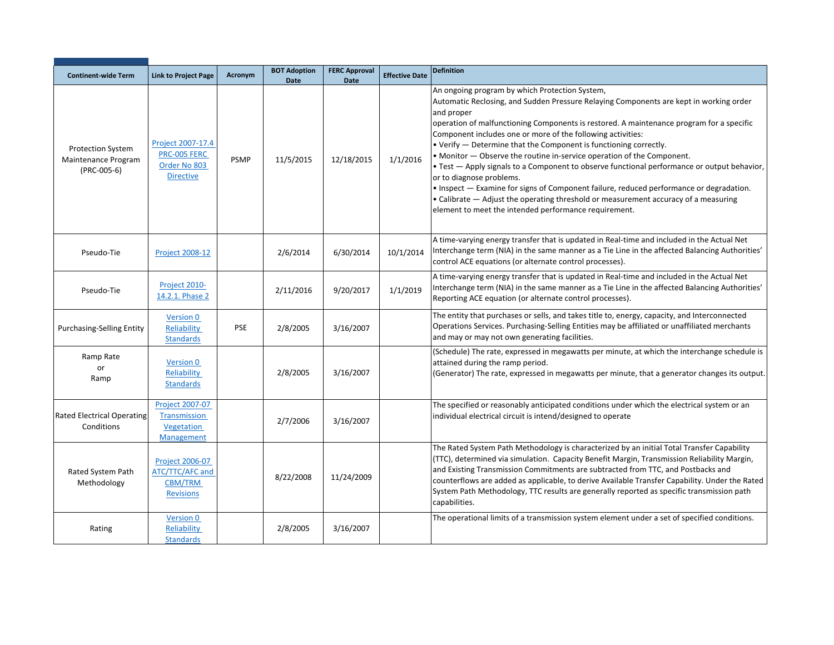| <b>Continent-wide Term</b>                                     | <b>Link to Project Page</b>                                              | Acronym     | <b>BOT Adoption</b><br><b>Date</b> | <b>FERC Approval</b><br><b>Date</b> | <b>Effective Date</b> | <b>Definition</b>                                                                                                                                                                                                                                                                                                                                                                                                                                                                                                                                                                                                                                                                                                                                                                                                                      |
|----------------------------------------------------------------|--------------------------------------------------------------------------|-------------|------------------------------------|-------------------------------------|-----------------------|----------------------------------------------------------------------------------------------------------------------------------------------------------------------------------------------------------------------------------------------------------------------------------------------------------------------------------------------------------------------------------------------------------------------------------------------------------------------------------------------------------------------------------------------------------------------------------------------------------------------------------------------------------------------------------------------------------------------------------------------------------------------------------------------------------------------------------------|
| <b>Protection System</b><br>Maintenance Program<br>(PRC-005-6) | Project 2007-17.4<br>PRC-005 FERC<br>Order No 803<br><b>Directive</b>    | <b>PSMP</b> | 11/5/2015                          | 12/18/2015                          | 1/1/2016              | An ongoing program by which Protection System,<br>Automatic Reclosing, and Sudden Pressure Relaying Components are kept in working order<br>and proper<br>operation of malfunctioning Components is restored. A maintenance program for a specific<br>Component includes one or more of the following activities:<br>. Verify - Determine that the Component is functioning correctly.<br>• Monitor - Observe the routine in-service operation of the Component.<br>. Test - Apply signals to a Component to observe functional performance or output behavior,<br>or to diagnose problems.<br>. Inspect — Examine for signs of Component failure, reduced performance or degradation.<br>• Calibrate – Adjust the operating threshold or measurement accuracy of a measuring<br>element to meet the intended performance requirement. |
| Pseudo-Tie                                                     | <b>Project 2008-12</b>                                                   |             | 2/6/2014                           | 6/30/2014                           | 10/1/2014             | A time-varying energy transfer that is updated in Real-time and included in the Actual Net<br>Interchange term (NIA) in the same manner as a Tie Line in the affected Balancing Authorities'<br>control ACE equations (or alternate control processes).                                                                                                                                                                                                                                                                                                                                                                                                                                                                                                                                                                                |
| Pseudo-Tie                                                     | Project 2010-<br>14.2.1. Phase 2                                         |             | 2/11/2016                          | 9/20/2017                           | 1/1/2019              | A time-varying energy transfer that is updated in Real-time and included in the Actual Net<br>Interchange term (NIA) in the same manner as a Tie Line in the affected Balancing Authorities'<br>Reporting ACE equation (or alternate control processes).                                                                                                                                                                                                                                                                                                                                                                                                                                                                                                                                                                               |
| <b>Purchasing-Selling Entity</b>                               | Version 0<br>Reliability<br><b>Standards</b>                             | <b>PSE</b>  | 2/8/2005                           | 3/16/2007                           |                       | The entity that purchases or sells, and takes title to, energy, capacity, and Interconnected<br>Operations Services. Purchasing-Selling Entities may be affiliated or unaffiliated merchants<br>and may or may not own generating facilities.                                                                                                                                                                                                                                                                                                                                                                                                                                                                                                                                                                                          |
| Ramp Rate<br>or<br>Ramp                                        | Version 0<br>Reliability<br><b>Standards</b>                             |             | 2/8/2005                           | 3/16/2007                           |                       | (Schedule) The rate, expressed in megawatts per minute, at which the interchange schedule is<br>attained during the ramp period.<br>(Generator) The rate, expressed in megawatts per minute, that a generator changes its output.                                                                                                                                                                                                                                                                                                                                                                                                                                                                                                                                                                                                      |
| <b>Rated Electrical Operating</b><br>Conditions                | Project 2007-07<br>Transmission<br>Vegetation<br>Management              |             | 2/7/2006                           | 3/16/2007                           |                       | The specified or reasonably anticipated conditions under which the electrical system or an<br>individual electrical circuit is intend/designed to operate                                                                                                                                                                                                                                                                                                                                                                                                                                                                                                                                                                                                                                                                              |
| Rated System Path<br>Methodology                               | <b>Project 2006-07</b><br>ATC/TTC/AFC and<br>CBM/TRM<br><b>Revisions</b> |             | 8/22/2008                          | 11/24/2009                          |                       | The Rated System Path Methodology is characterized by an initial Total Transfer Capability<br>(TTC), determined via simulation. Capacity Benefit Margin, Transmission Reliability Margin,<br>and Existing Transmission Commitments are subtracted from TTC, and Postbacks and<br>counterflows are added as applicable, to derive Available Transfer Capability. Under the Rated<br>System Path Methodology, TTC results are generally reported as specific transmission path<br>capabilities.                                                                                                                                                                                                                                                                                                                                          |
| Rating                                                         | <b>Version 0</b><br>Reliability<br><b>Standards</b>                      |             | 2/8/2005                           | 3/16/2007                           |                       | The operational limits of a transmission system element under a set of specified conditions.                                                                                                                                                                                                                                                                                                                                                                                                                                                                                                                                                                                                                                                                                                                                           |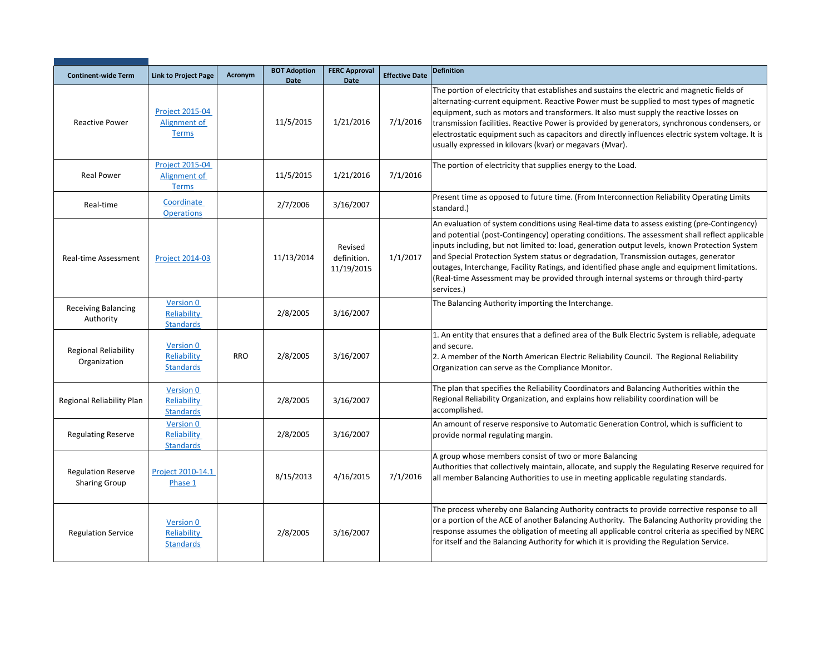| <b>Continent-wide Term</b>                        | <b>Link to Project Page</b>                            | Acronym    | <b>BOT Adoption</b><br><b>Date</b> | <b>FERC Approval</b><br><b>Date</b>  | <b>Effective Date</b> | <b>Definition</b>                                                                                                                                                                                                                                                                                                                                                                                                                                                                                                                                                                               |
|---------------------------------------------------|--------------------------------------------------------|------------|------------------------------------|--------------------------------------|-----------------------|-------------------------------------------------------------------------------------------------------------------------------------------------------------------------------------------------------------------------------------------------------------------------------------------------------------------------------------------------------------------------------------------------------------------------------------------------------------------------------------------------------------------------------------------------------------------------------------------------|
| <b>Reactive Power</b>                             | <b>Project 2015-04</b><br>Alignment of<br><b>Terms</b> |            | 11/5/2015                          | 1/21/2016                            | 7/1/2016              | The portion of electricity that establishes and sustains the electric and magnetic fields of<br>alternating-current equipment. Reactive Power must be supplied to most types of magnetic<br>equipment, such as motors and transformers. It also must supply the reactive losses on<br>transmission facilities. Reactive Power is provided by generators, synchronous condensers, or<br>electrostatic equipment such as capacitors and directly influences electric system voltage. It is<br>usually expressed in kilovars (kvar) or megavars (Mvar).                                            |
| <b>Real Power</b>                                 | <b>Project 2015-04</b><br>Alignment of<br><b>Terms</b> |            | 11/5/2015                          | 1/21/2016                            | 7/1/2016              | The portion of electricity that supplies energy to the Load.                                                                                                                                                                                                                                                                                                                                                                                                                                                                                                                                    |
| Real-time                                         | Coordinate<br><b>Operations</b>                        |            | 2/7/2006                           | 3/16/2007                            |                       | Present time as opposed to future time. (From Interconnection Reliability Operating Limits<br>standard.)                                                                                                                                                                                                                                                                                                                                                                                                                                                                                        |
| Real-time Assessment                              | <b>Project 2014-03</b>                                 |            | 11/13/2014                         | Revised<br>definition.<br>11/19/2015 | 1/1/2017              | An evaluation of system conditions using Real-time data to assess existing (pre-Contingency)<br>and potential (post-Contingency) operating conditions. The assessment shall reflect applicable<br>inputs including, but not limited to: load, generation output levels, known Protection System<br>and Special Protection System status or degradation, Transmission outages, generator<br>outages, Interchange, Facility Ratings, and identified phase angle and equipment limitations.<br>(Real-time Assessment may be provided through internal systems or through third-party<br>services.) |
| Receiving Balancing<br>Authority                  | Version 0<br>Reliability<br><b>Standards</b>           |            | 2/8/2005                           | 3/16/2007                            |                       | The Balancing Authority importing the Interchange.                                                                                                                                                                                                                                                                                                                                                                                                                                                                                                                                              |
| <b>Regional Reliability</b><br>Organization       | Version 0<br>Reliability<br><b>Standards</b>           | <b>RRO</b> | 2/8/2005                           | 3/16/2007                            |                       | 1. An entity that ensures that a defined area of the Bulk Electric System is reliable, adequate<br>and secure.<br>2. A member of the North American Electric Reliability Council. The Regional Reliability<br>Organization can serve as the Compliance Monitor.                                                                                                                                                                                                                                                                                                                                 |
| Regional Reliability Plan                         | Version 0<br>Reliability<br><b>Standards</b>           |            | 2/8/2005                           | 3/16/2007                            |                       | The plan that specifies the Reliability Coordinators and Balancing Authorities within the<br>Regional Reliability Organization, and explains how reliability coordination will be<br>accomplished.                                                                                                                                                                                                                                                                                                                                                                                              |
| <b>Regulating Reserve</b>                         | <b>Version 0</b><br>Reliability<br><b>Standards</b>    |            | 2/8/2005                           | 3/16/2007                            |                       | An amount of reserve responsive to Automatic Generation Control, which is sufficient to<br>provide normal regulating margin.                                                                                                                                                                                                                                                                                                                                                                                                                                                                    |
| <b>Regulation Reserve</b><br><b>Sharing Group</b> | Project 2010-14.1<br>Phase 1                           |            | 8/15/2013                          | 4/16/2015                            | 7/1/2016              | A group whose members consist of two or more Balancing<br>Authorities that collectively maintain, allocate, and supply the Regulating Reserve required for<br>all member Balancing Authorities to use in meeting applicable regulating standards.                                                                                                                                                                                                                                                                                                                                               |
| <b>Regulation Service</b>                         | <b>Version 0</b><br>Reliability<br><b>Standards</b>    |            | 2/8/2005                           | 3/16/2007                            |                       | The process whereby one Balancing Authority contracts to provide corrective response to all<br>or a portion of the ACE of another Balancing Authority. The Balancing Authority providing the<br>response assumes the obligation of meeting all applicable control criteria as specified by NERC<br>for itself and the Balancing Authority for which it is providing the Regulation Service.                                                                                                                                                                                                     |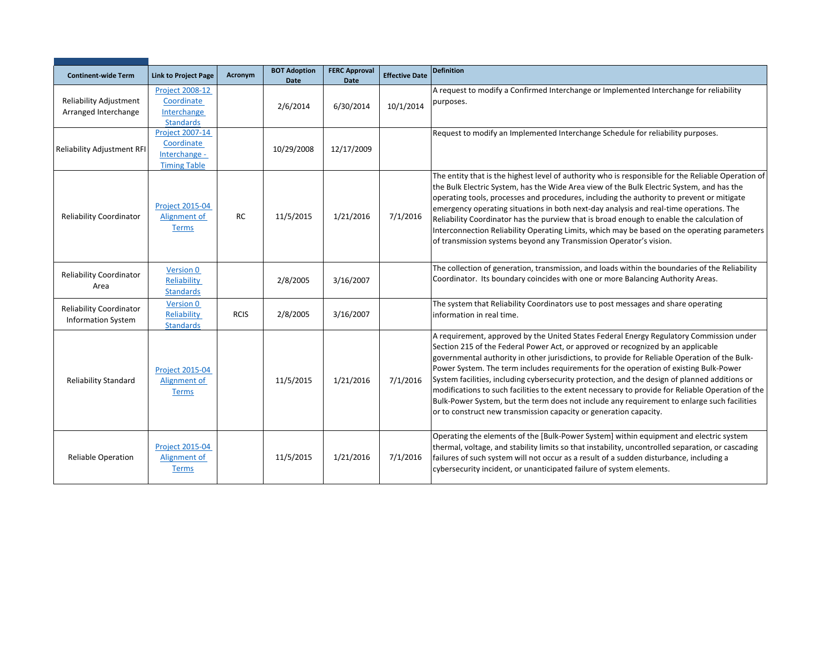| <b>Continent-wide Term</b>                                  | <b>Link to Project Page</b>                            | Acronym     | <b>BOT Adoption</b><br>Date | <b>FERC Approval</b><br>Date | <b>Effective Date</b> | <b>Definition</b>                                                                                                                                                                                                                                                                                                                                                                                                                                                                                                                                                                                                                                                                                                                               |
|-------------------------------------------------------------|--------------------------------------------------------|-------------|-----------------------------|------------------------------|-----------------------|-------------------------------------------------------------------------------------------------------------------------------------------------------------------------------------------------------------------------------------------------------------------------------------------------------------------------------------------------------------------------------------------------------------------------------------------------------------------------------------------------------------------------------------------------------------------------------------------------------------------------------------------------------------------------------------------------------------------------------------------------|
|                                                             | <b>Project 2008-12</b>                                 |             |                             |                              |                       | A request to modify a Confirmed Interchange or Implemented Interchange for reliability                                                                                                                                                                                                                                                                                                                                                                                                                                                                                                                                                                                                                                                          |
| Reliability Adjustment                                      | Coordinate                                             |             | 2/6/2014                    | 6/30/2014                    | 10/1/2014             | purposes.                                                                                                                                                                                                                                                                                                                                                                                                                                                                                                                                                                                                                                                                                                                                       |
| Arranged Interchange                                        | Interchange                                            |             |                             |                              |                       |                                                                                                                                                                                                                                                                                                                                                                                                                                                                                                                                                                                                                                                                                                                                                 |
|                                                             | <b>Standards</b>                                       |             |                             |                              |                       |                                                                                                                                                                                                                                                                                                                                                                                                                                                                                                                                                                                                                                                                                                                                                 |
|                                                             | <b>Project 2007-14</b>                                 |             |                             |                              |                       | Request to modify an Implemented Interchange Schedule for reliability purposes.                                                                                                                                                                                                                                                                                                                                                                                                                                                                                                                                                                                                                                                                 |
| <b>Reliability Adjustment RFI</b>                           | Coordinate                                             |             | 10/29/2008                  | 12/17/2009                   |                       |                                                                                                                                                                                                                                                                                                                                                                                                                                                                                                                                                                                                                                                                                                                                                 |
|                                                             | Interchange -                                          |             |                             |                              |                       |                                                                                                                                                                                                                                                                                                                                                                                                                                                                                                                                                                                                                                                                                                                                                 |
|                                                             | <b>Timing Table</b>                                    |             |                             |                              |                       |                                                                                                                                                                                                                                                                                                                                                                                                                                                                                                                                                                                                                                                                                                                                                 |
| <b>Reliability Coordinator</b>                              | <b>Project 2015-04</b><br>Alignment of<br><b>Terms</b> | <b>RC</b>   | 11/5/2015                   | 1/21/2016                    | 7/1/2016              | The entity that is the highest level of authority who is responsible for the Reliable Operation of<br>the Bulk Electric System, has the Wide Area view of the Bulk Electric System, and has the<br>operating tools, processes and procedures, including the authority to prevent or mitigate<br>emergency operating situations in both next-day analysis and real-time operations. The<br>Reliability Coordinator has the purview that is broad enough to enable the calculation of<br>Interconnection Reliability Operating Limits, which may be based on the operating parameters<br>of transmission systems beyond any Transmission Operator's vision.                                                                                       |
| <b>Reliability Coordinator</b><br>Area                      | Version 0<br>Reliability<br><b>Standards</b>           |             | 2/8/2005                    | 3/16/2007                    |                       | The collection of generation, transmission, and loads within the boundaries of the Reliability<br>Coordinator. Its boundary coincides with one or more Balancing Authority Areas.                                                                                                                                                                                                                                                                                                                                                                                                                                                                                                                                                               |
| <b>Reliability Coordinator</b><br><b>Information System</b> | Version 0<br>Reliability<br><b>Standards</b>           | <b>RCIS</b> | 2/8/2005                    | 3/16/2007                    |                       | The system that Reliability Coordinators use to post messages and share operating<br>information in real time.                                                                                                                                                                                                                                                                                                                                                                                                                                                                                                                                                                                                                                  |
| <b>Reliability Standard</b>                                 | <b>Project 2015-04</b><br>Alignment of<br><b>Terms</b> |             | 11/5/2015                   | 1/21/2016                    | 7/1/2016              | A requirement, approved by the United States Federal Energy Regulatory Commission under<br>Section 215 of the Federal Power Act, or approved or recognized by an applicable<br>governmental authority in other jurisdictions, to provide for Reliable Operation of the Bulk-<br>Power System. The term includes requirements for the operation of existing Bulk-Power<br>System facilities, including cybersecurity protection, and the design of planned additions or<br>modifications to such facilities to the extent necessary to provide for Reliable Operation of the<br>Bulk-Power System, but the term does not include any requirement to enlarge such facilities<br>or to construct new transmission capacity or generation capacity. |
| <b>Reliable Operation</b>                                   | <b>Project 2015-04</b><br>Alignment of<br><b>Terms</b> |             | 11/5/2015                   | 1/21/2016                    | 7/1/2016              | Operating the elements of the [Bulk-Power System] within equipment and electric system<br>thermal, voltage, and stability limits so that instability, uncontrolled separation, or cascading<br>failures of such system will not occur as a result of a sudden disturbance, including a<br>cybersecurity incident, or unanticipated failure of system elements.                                                                                                                                                                                                                                                                                                                                                                                  |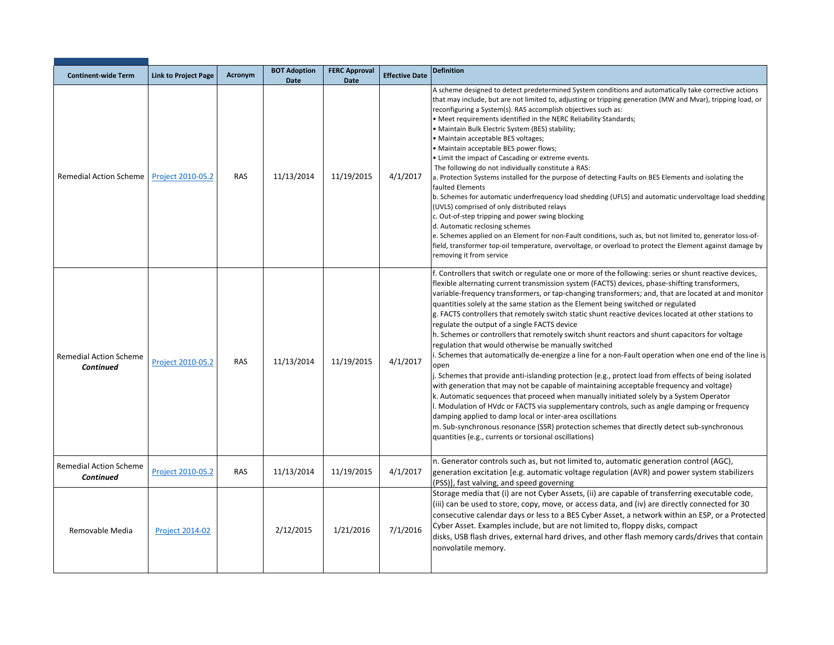| <b>Continent-wide Term</b>                        | <b>Link to Project Page</b> | Acronym    | <b>BOT Adoption</b><br><b>Date</b> | <b>FERC Approval</b><br><b>Date</b> | <b>Effective Date</b> | <b>Definition</b>                                                                                                                                                                                                                                                                                                                                                                                                                                                                                                                                                                                                                                                                                                                                                                                                                                                                                                                                                                                                                                                                                                                                                                                                                                                                                                                                                                                                                                          |
|---------------------------------------------------|-----------------------------|------------|------------------------------------|-------------------------------------|-----------------------|------------------------------------------------------------------------------------------------------------------------------------------------------------------------------------------------------------------------------------------------------------------------------------------------------------------------------------------------------------------------------------------------------------------------------------------------------------------------------------------------------------------------------------------------------------------------------------------------------------------------------------------------------------------------------------------------------------------------------------------------------------------------------------------------------------------------------------------------------------------------------------------------------------------------------------------------------------------------------------------------------------------------------------------------------------------------------------------------------------------------------------------------------------------------------------------------------------------------------------------------------------------------------------------------------------------------------------------------------------------------------------------------------------------------------------------------------------|
| <b>Remedial Action Scheme</b>                     | Project 2010-05.2           | <b>RAS</b> | 11/13/2014                         | 11/19/2015                          | 4/1/2017              | A scheme designed to detect predetermined System conditions and automatically take corrective actions<br>that may include, but are not limited to, adjusting or tripping generation (MW and Mvar), tripping load, or<br>reconfiguring a System(s). RAS accomplish objectives such as:<br>. Meet requirements identified in the NERC Reliability Standards;<br>• Maintain Bulk Electric System (BES) stability;<br>· Maintain acceptable BES voltages;<br>• Maintain acceptable BES power flows;<br>• Limit the impact of Cascading or extreme events.<br>The following do not individually constitute a RAS:<br>a. Protection Systems installed for the purpose of detecting Faults on BES Elements and isolating the<br>faulted Elements<br>b. Schemes for automatic underfrequency load shedding (UFLS) and automatic undervoltage load shedding<br>(UVLS) comprised of only distributed relays<br>c. Out-of-step tripping and power swing blocking<br>d. Automatic reclosing schemes<br>e. Schemes applied on an Element for non-Fault conditions, such as, but not limited to, generator loss-of-<br>field, transformer top-oil temperature, overvoltage, or overload to protect the Element against damage by<br>removing it from service                                                                                                                                                                                                             |
| <b>Remedial Action Scheme</b><br>Continued        | Project 2010-05.2           | <b>RAS</b> | 11/13/2014                         | 11/19/2015                          | 4/1/2017              | f. Controllers that switch or regulate one or more of the following: series or shunt reactive devices,<br>flexible alternating current transmission system (FACTS) devices, phase-shifting transformers,<br>variable-frequency transformers, or tap-changing transformers; and, that are located at and monitor<br>quantities solely at the same station as the Element being switched or regulated<br>g. FACTS controllers that remotely switch static shunt reactive devices located at other stations to<br>regulate the output of a single FACTS device<br>h. Schemes or controllers that remotely switch shunt reactors and shunt capacitors for voltage<br>regulation that would otherwise be manually switched<br>i. Schemes that automatically de-energize a line for a non-Fault operation when one end of the line is<br>open<br>J. Schemes that provide anti-islanding protection (e.g., protect load from effects of being isolated<br>with generation that may not be capable of maintaining acceptable frequency and voltage)<br>k. Automatic sequences that proceed when manually initiated solely by a System Operator<br>I. Modulation of HVdc or FACTS via supplementary controls, such as angle damping or frequency<br>damping applied to damp local or inter-area oscillations<br>m. Sub-synchronous resonance (SSR) protection schemes that directly detect sub-synchronous<br>quantities (e.g., currents or torsional oscillations) |
| <b>Remedial Action Scheme</b><br><b>Continued</b> | Project 2010-05.2           | RAS        | 11/13/2014                         | 11/19/2015                          | 4/1/2017              | n. Generator controls such as, but not limited to, automatic generation control (AGC),<br>generation excitation [e.g. automatic voltage regulation (AVR) and power system stabilizers<br>(PSS)], fast valving, and speed governing                                                                                                                                                                                                                                                                                                                                                                                                                                                                                                                                                                                                                                                                                                                                                                                                                                                                                                                                                                                                                                                                                                                                                                                                                         |
| Removable Media                                   | <b>Project 2014-02</b>      |            | 2/12/2015                          | 1/21/2016                           | 7/1/2016              | Storage media that (i) are not Cyber Assets, (ii) are capable of transferring executable code,<br>(iii) can be used to store, copy, move, or access data, and (iv) are directly connected for 30<br>consecutive calendar days or less to a BES Cyber Asset, a network within an ESP, or a Protected<br>Cyber Asset. Examples include, but are not limited to, floppy disks, compact<br>disks, USB flash drives, external hard drives, and other flash memory cards/drives that contain<br>nonvolatile memory.                                                                                                                                                                                                                                                                                                                                                                                                                                                                                                                                                                                                                                                                                                                                                                                                                                                                                                                                              |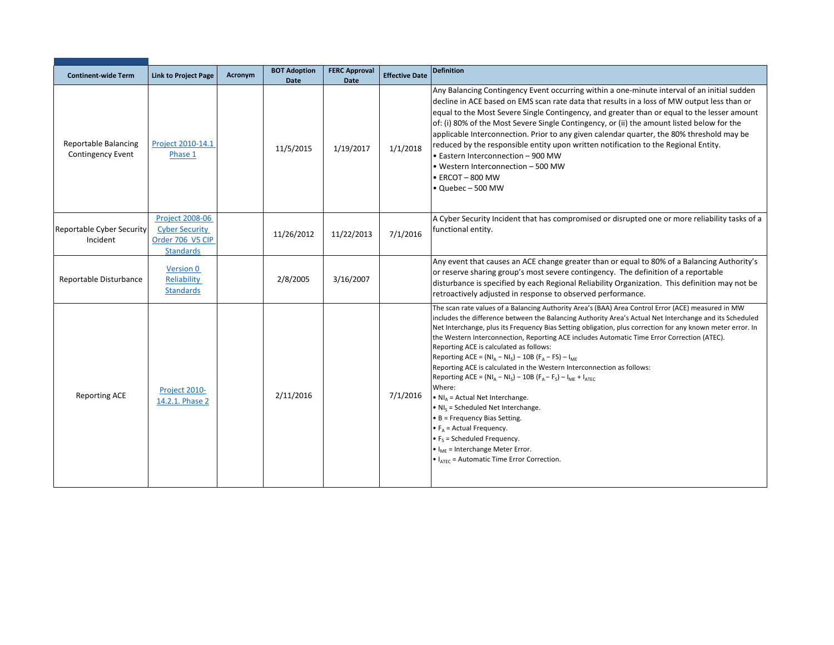| <b>Continent-wide Term</b>                              | <b>Link to Project Page</b>                                                             | Acronym | <b>BOT Adoption</b> | <b>FERC Approval</b>     | <b>Effective Date</b> | <b>Definition</b>                                                                                                                                                                                                                                                                                                                                                                                                                                                                                                                                                                                                                                                                                                                                                                                                                                                                                                                                                                                                                                                                      |
|---------------------------------------------------------|-----------------------------------------------------------------------------------------|---------|---------------------|--------------------------|-----------------------|----------------------------------------------------------------------------------------------------------------------------------------------------------------------------------------------------------------------------------------------------------------------------------------------------------------------------------------------------------------------------------------------------------------------------------------------------------------------------------------------------------------------------------------------------------------------------------------------------------------------------------------------------------------------------------------------------------------------------------------------------------------------------------------------------------------------------------------------------------------------------------------------------------------------------------------------------------------------------------------------------------------------------------------------------------------------------------------|
| <b>Reportable Balancing</b><br><b>Contingency Event</b> | Project 2010-14.1<br>Phase 1                                                            |         | Date<br>11/5/2015   | <b>Date</b><br>1/19/2017 | 1/1/2018              | Any Balancing Contingency Event occurring within a one-minute interval of an initial sudden<br>decline in ACE based on EMS scan rate data that results in a loss of MW output less than or<br>equal to the Most Severe Single Contingency, and greater than or equal to the lesser amount<br>of: (i) 80% of the Most Severe Single Contingency, or (ii) the amount listed below for the<br>applicable Interconnection. Prior to any given calendar quarter, the 80% threshold may be<br>reduced by the responsible entity upon written notification to the Regional Entity.<br>• Eastern Interconnection - 900 MW<br>• Western Interconnection – 500 MW<br>$\bullet$ ERCOT - 800 MW<br>• Quebec - 500 MW                                                                                                                                                                                                                                                                                                                                                                               |
| Reportable Cyber Security<br>Incident                   | <b>Project 2008-06</b><br><b>Cyber Security</b><br>Order 706 V5 CIP<br><b>Standards</b> |         | 11/26/2012          | 11/22/2013               | 7/1/2016              | A Cyber Security Incident that has compromised or disrupted one or more reliability tasks of a<br>functional entity.                                                                                                                                                                                                                                                                                                                                                                                                                                                                                                                                                                                                                                                                                                                                                                                                                                                                                                                                                                   |
| Reportable Disturbance                                  | Version 0<br>Reliability<br><b>Standards</b>                                            |         | 2/8/2005            | 3/16/2007                |                       | Any event that causes an ACE change greater than or equal to 80% of a Balancing Authority's<br>or reserve sharing group's most severe contingency. The definition of a reportable<br>disturbance is specified by each Regional Reliability Organization. This definition may not be<br>retroactively adjusted in response to observed performance.                                                                                                                                                                                                                                                                                                                                                                                                                                                                                                                                                                                                                                                                                                                                     |
| <b>Reporting ACE</b>                                    | Project 2010-<br>14.2.1. Phase 2                                                        |         | 2/11/2016           |                          | 7/1/2016              | The scan rate values of a Balancing Authority Area's (BAA) Area Control Error (ACE) measured in MW<br>includes the difference between the Balancing Authority Area's Actual Net Interchange and its Scheduled<br>Net Interchange, plus its Frequency Bias Setting obligation, plus correction for any known meter error. In<br>the Western Interconnection, Reporting ACE includes Automatic Time Error Correction (ATEC).<br>Reporting ACE is calculated as follows:<br>Reporting ACE = $(NI_A - NI_S) - 10B (F_A - FS) - I_{ME}$<br>Reporting ACE is calculated in the Western Interconnection as follows:<br>Reporting ACE = $(NI_A - NI_S) - 10B (F_A - F_S) - I_{MF} + I_{ATFC}$<br>Where:<br>$\bullet$ NI <sub>A</sub> = Actual Net Interchange.<br>$\bullet$ NI <sub>s</sub> = Scheduled Net Interchange.<br>$\bullet$ B = Frequency Bias Setting.<br>$\bullet$ F <sub>A</sub> = Actual Frequency.<br>$\bullet$ F <sub>s</sub> = Scheduled Frequency.<br>$\bullet$ I <sub>MF</sub> = Interchange Meter Error.<br>$\bullet$ I <sub>ATEC</sub> = Automatic Time Error Correction. |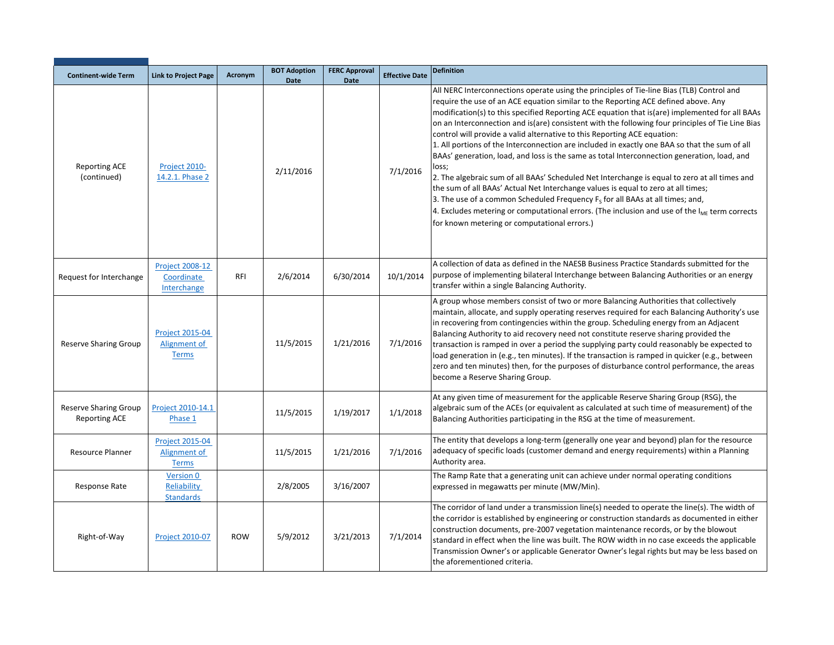| <b>Continent-wide Term</b>                           | <b>Link to Project Page</b>                            | Acronym    | <b>BOT Adoption</b><br><b>Date</b> | <b>FERC Approval</b><br>Date | <b>Effective Date</b> | <b>Definition</b>                                                                                                                                                                                                                                                                                                                                                                                                                                                                                                                                                                                                                                                                                                                                                                                                                                                                                                                                                                                                                                                                                         |
|------------------------------------------------------|--------------------------------------------------------|------------|------------------------------------|------------------------------|-----------------------|-----------------------------------------------------------------------------------------------------------------------------------------------------------------------------------------------------------------------------------------------------------------------------------------------------------------------------------------------------------------------------------------------------------------------------------------------------------------------------------------------------------------------------------------------------------------------------------------------------------------------------------------------------------------------------------------------------------------------------------------------------------------------------------------------------------------------------------------------------------------------------------------------------------------------------------------------------------------------------------------------------------------------------------------------------------------------------------------------------------|
| <b>Reporting ACE</b><br>(continued)                  | Project 2010-<br>14.2.1. Phase 2                       |            | 2/11/2016                          |                              | 7/1/2016              | All NERC Interconnections operate using the principles of Tie-line Bias (TLB) Control and<br>require the use of an ACE equation similar to the Reporting ACE defined above. Any<br>modification(s) to this specified Reporting ACE equation that is(are) implemented for all BAAs<br>on an Interconnection and is(are) consistent with the following four principles of Tie Line Bias<br>control will provide a valid alternative to this Reporting ACE equation:<br>1. All portions of the Interconnection are included in exactly one BAA so that the sum of all<br>BAAs' generation, load, and loss is the same as total Interconnection generation, load, and<br>loss;<br>2. The algebraic sum of all BAAs' Scheduled Net Interchange is equal to zero at all times and<br>the sum of all BAAs' Actual Net Interchange values is equal to zero at all times;<br>3. The use of a common Scheduled Frequency $Fs$ for all BAAs at all times; and,<br>4. Excludes metering or computational errors. (The inclusion and use of the $I_{MF}$ term corrects<br>for known metering or computational errors.) |
| Request for Interchange                              | <b>Project 2008-12</b><br>Coordinate<br>Interchange    | <b>RFI</b> | 2/6/2014                           | 6/30/2014                    | 10/1/2014             | A collection of data as defined in the NAESB Business Practice Standards submitted for the<br>purpose of implementing bilateral Interchange between Balancing Authorities or an energy<br>transfer within a single Balancing Authority.                                                                                                                                                                                                                                                                                                                                                                                                                                                                                                                                                                                                                                                                                                                                                                                                                                                                   |
| <b>Reserve Sharing Group</b>                         | <b>Project 2015-04</b><br>Alignment of<br><b>Terms</b> |            | 11/5/2015                          | 1/21/2016                    | 7/1/2016              | A group whose members consist of two or more Balancing Authorities that collectively<br>maintain, allocate, and supply operating reserves required for each Balancing Authority's use<br>in recovering from contingencies within the group. Scheduling energy from an Adjacent<br>Balancing Authority to aid recovery need not constitute reserve sharing provided the<br>transaction is ramped in over a period the supplying party could reasonably be expected to<br>load generation in (e.g., ten minutes). If the transaction is ramped in quicker (e.g., between<br>zero and ten minutes) then, for the purposes of disturbance control performance, the areas<br>become a Reserve Sharing Group.                                                                                                                                                                                                                                                                                                                                                                                                   |
| <b>Reserve Sharing Group</b><br><b>Reporting ACE</b> | Project 2010-14.1<br>Phase 1                           |            | 11/5/2015                          | 1/19/2017                    | 1/1/2018              | At any given time of measurement for the applicable Reserve Sharing Group (RSG), the<br>algebraic sum of the ACEs (or equivalent as calculated at such time of measurement) of the<br>Balancing Authorities participating in the RSG at the time of measurement.                                                                                                                                                                                                                                                                                                                                                                                                                                                                                                                                                                                                                                                                                                                                                                                                                                          |
| Resource Planner                                     | <b>Project 2015-04</b><br>Alignment of<br><b>Terms</b> |            | 11/5/2015                          | 1/21/2016                    | 7/1/2016              | The entity that develops a long-term (generally one year and beyond) plan for the resource<br>adequacy of specific loads (customer demand and energy requirements) within a Planning<br>Authority area.                                                                                                                                                                                                                                                                                                                                                                                                                                                                                                                                                                                                                                                                                                                                                                                                                                                                                                   |
| Response Rate                                        | <b>Version 0</b><br>Reliability<br><b>Standards</b>    |            | 2/8/2005                           | 3/16/2007                    |                       | The Ramp Rate that a generating unit can achieve under normal operating conditions<br>expressed in megawatts per minute (MW/Min).                                                                                                                                                                                                                                                                                                                                                                                                                                                                                                                                                                                                                                                                                                                                                                                                                                                                                                                                                                         |
| Right-of-Way                                         | <b>Project 2010-07</b>                                 | <b>ROW</b> | 5/9/2012                           | 3/21/2013                    | 7/1/2014              | The corridor of land under a transmission line(s) needed to operate the line(s). The width of<br>the corridor is established by engineering or construction standards as documented in either<br>construction documents, pre-2007 vegetation maintenance records, or by the blowout<br>standard in effect when the line was built. The ROW width in no case exceeds the applicable<br>Transmission Owner's or applicable Generator Owner's legal rights but may be less based on<br>the aforementioned criteria.                                                                                                                                                                                                                                                                                                                                                                                                                                                                                                                                                                                          |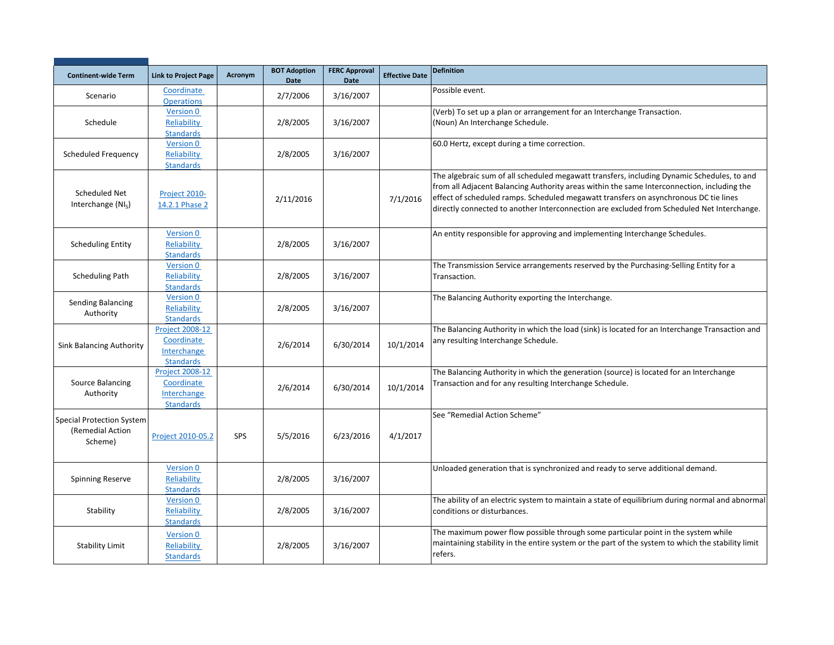| <b>Continent-wide Term</b>                                      | <b>Link to Project Page</b>                                             | Acronym | <b>BOT Adoption</b><br>Date | <b>FERC Approval</b><br>Date | <b>Effective Date</b> | <b>Definition</b>                                                                                                                                                                                                                                                                                                                                                              |
|-----------------------------------------------------------------|-------------------------------------------------------------------------|---------|-----------------------------|------------------------------|-----------------------|--------------------------------------------------------------------------------------------------------------------------------------------------------------------------------------------------------------------------------------------------------------------------------------------------------------------------------------------------------------------------------|
| Scenario                                                        | Coordinate<br><b>Operations</b>                                         |         | 2/7/2006                    | 3/16/2007                    |                       | Possible event.                                                                                                                                                                                                                                                                                                                                                                |
| Schedule                                                        | Version 0<br>Reliability<br><b>Standards</b>                            |         | 2/8/2005                    | 3/16/2007                    |                       | (Verb) To set up a plan or arrangement for an Interchange Transaction.<br>(Noun) An Interchange Schedule.                                                                                                                                                                                                                                                                      |
| Scheduled Frequency                                             | Version 0<br>Reliability<br><b>Standards</b>                            |         | 2/8/2005                    | 3/16/2007                    |                       | 60.0 Hertz, except during a time correction.                                                                                                                                                                                                                                                                                                                                   |
| <b>Scheduled Net</b><br>Interchange (NI <sub>s</sub> )          | Project 2010-<br>14.2.1 Phase 2                                         |         | 2/11/2016                   |                              | 7/1/2016              | The algebraic sum of all scheduled megawatt transfers, including Dynamic Schedules, to and<br>from all Adjacent Balancing Authority areas within the same Interconnection, including the<br>effect of scheduled ramps. Scheduled megawatt transfers on asynchronous DC tie lines<br>directly connected to another Interconnection are excluded from Scheduled Net Interchange. |
| <b>Scheduling Entity</b>                                        | Version 0<br>Reliability<br><b>Standards</b>                            |         | 2/8/2005                    | 3/16/2007                    |                       | An entity responsible for approving and implementing Interchange Schedules.                                                                                                                                                                                                                                                                                                    |
| <b>Scheduling Path</b>                                          | Version 0<br>Reliability<br><b>Standards</b>                            |         | 2/8/2005                    | 3/16/2007                    |                       | The Transmission Service arrangements reserved by the Purchasing-Selling Entity for a<br>Transaction.                                                                                                                                                                                                                                                                          |
| Sending Balancing<br>Authority                                  | Version 0<br>Reliability<br><b>Standards</b>                            |         | 2/8/2005                    | 3/16/2007                    |                       | The Balancing Authority exporting the Interchange.                                                                                                                                                                                                                                                                                                                             |
| <b>Sink Balancing Authority</b>                                 | <b>Project 2008-12</b><br>Coordinate<br>Interchange<br><b>Standards</b> |         | 2/6/2014                    | 6/30/2014                    | 10/1/2014             | The Balancing Authority in which the load (sink) is located for an Interchange Transaction and<br>any resulting Interchange Schedule.                                                                                                                                                                                                                                          |
| Source Balancing<br>Authority                                   | <b>Project 2008-12</b><br>Coordinate<br>Interchange<br><b>Standards</b> |         | 2/6/2014                    | 6/30/2014                    | 10/1/2014             | The Balancing Authority in which the generation (source) is located for an Interchange<br>Transaction and for any resulting Interchange Schedule.                                                                                                                                                                                                                              |
| <b>Special Protection System</b><br>(Remedial Action<br>Scheme) | Project 2010-05.2                                                       | SPS     | 5/5/2016                    | 6/23/2016                    | 4/1/2017              | See "Remedial Action Scheme"                                                                                                                                                                                                                                                                                                                                                   |
| <b>Spinning Reserve</b>                                         | Version 0<br>Reliability<br><b>Standards</b>                            |         | 2/8/2005                    | 3/16/2007                    |                       | Unloaded generation that is synchronized and ready to serve additional demand.                                                                                                                                                                                                                                                                                                 |
| Stability                                                       | Version 0<br>Reliability<br><b>Standards</b>                            |         | 2/8/2005                    | 3/16/2007                    |                       | The ability of an electric system to maintain a state of equilibrium during normal and abnormal<br>conditions or disturbances.                                                                                                                                                                                                                                                 |
| <b>Stability Limit</b>                                          | Version 0<br>Reliability<br><b>Standards</b>                            |         | 2/8/2005                    | 3/16/2007                    |                       | The maximum power flow possible through some particular point in the system while<br>maintaining stability in the entire system or the part of the system to which the stability limit<br>refers.                                                                                                                                                                              |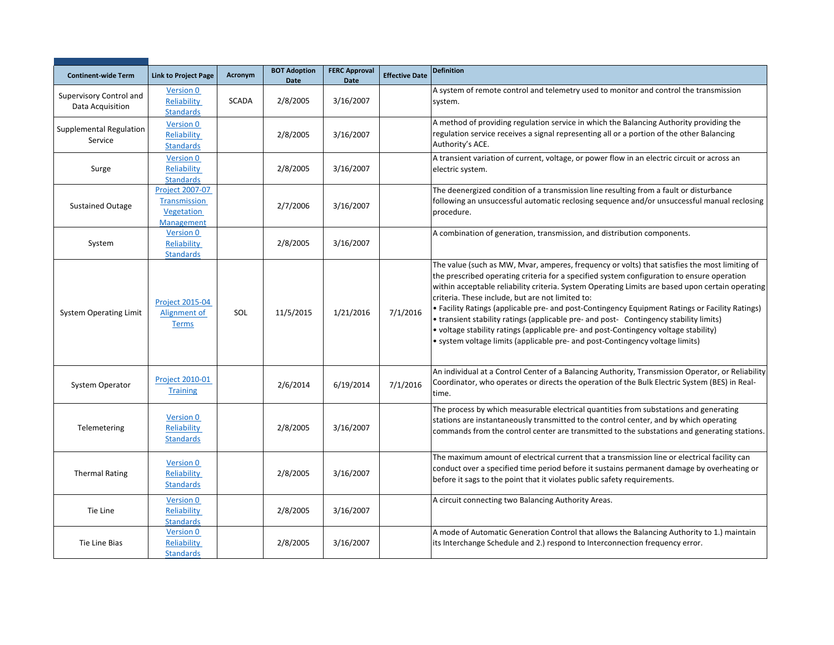| <b>Continent-wide Term</b>                  | <b>Link to Project Page</b>                                        | Acronym      | <b>BOT Adoption</b><br><b>Date</b> | <b>FERC Approval</b><br><b>Date</b> | <b>Effective Date</b> | <b>Definition</b>                                                                                                                                                                                                                                                                                                                                                                                                                                                                                                                                                                                                                                                                                                         |
|---------------------------------------------|--------------------------------------------------------------------|--------------|------------------------------------|-------------------------------------|-----------------------|---------------------------------------------------------------------------------------------------------------------------------------------------------------------------------------------------------------------------------------------------------------------------------------------------------------------------------------------------------------------------------------------------------------------------------------------------------------------------------------------------------------------------------------------------------------------------------------------------------------------------------------------------------------------------------------------------------------------------|
| Supervisory Control and<br>Data Acquisition | Version 0<br>Reliability<br><b>Standards</b>                       | <b>SCADA</b> | 2/8/2005                           | 3/16/2007                           |                       | A system of remote control and telemetry used to monitor and control the transmission<br>system.                                                                                                                                                                                                                                                                                                                                                                                                                                                                                                                                                                                                                          |
| Supplemental Regulation<br>Service          | <b>Version 0</b><br>Reliability<br><b>Standards</b>                |              | 2/8/2005                           | 3/16/2007                           |                       | A method of providing regulation service in which the Balancing Authority providing the<br>regulation service receives a signal representing all or a portion of the other Balancing<br>Authority's ACE.                                                                                                                                                                                                                                                                                                                                                                                                                                                                                                                  |
| Surge                                       | Version 0<br>Reliability<br><b>Standards</b>                       |              | 2/8/2005                           | 3/16/2007                           |                       | A transient variation of current, voltage, or power flow in an electric circuit or across an<br>electric system.                                                                                                                                                                                                                                                                                                                                                                                                                                                                                                                                                                                                          |
| <b>Sustained Outage</b>                     | <b>Project 2007-07</b><br>Transmission<br>Vegetation<br>Management |              | 2/7/2006                           | 3/16/2007                           |                       | The deenergized condition of a transmission line resulting from a fault or disturbance<br>following an unsuccessful automatic reclosing sequence and/or unsuccessful manual reclosing<br>procedure.                                                                                                                                                                                                                                                                                                                                                                                                                                                                                                                       |
| System                                      | <b>Version 0</b><br>Reliability<br><b>Standards</b>                |              | 2/8/2005                           | 3/16/2007                           |                       | A combination of generation, transmission, and distribution components.                                                                                                                                                                                                                                                                                                                                                                                                                                                                                                                                                                                                                                                   |
| <b>System Operating Limit</b>               | <b>Project 2015-04</b><br>Alignment of<br><b>Terms</b>             | SOL          | 11/5/2015                          | 1/21/2016                           | 7/1/2016              | The value (such as MW, Mvar, amperes, frequency or volts) that satisfies the most limiting of<br>the prescribed operating criteria for a specified system configuration to ensure operation<br>within acceptable reliability criteria. System Operating Limits are based upon certain operating<br>criteria. These include, but are not limited to:<br>• Facility Ratings (applicable pre- and post-Contingency Equipment Ratings or Facility Ratings)<br>• transient stability ratings (applicable pre- and post- Contingency stability limits)<br>· voltage stability ratings (applicable pre- and post-Contingency voltage stability)<br>• system voltage limits (applicable pre- and post-Contingency voltage limits) |
| System Operator                             | <b>Project 2010-01</b><br><b>Training</b>                          |              | 2/6/2014                           | 6/19/2014                           | 7/1/2016              | An individual at a Control Center of a Balancing Authority, Transmission Operator, or Reliability<br>Coordinator, who operates or directs the operation of the Bulk Electric System (BES) in Real-<br>time.                                                                                                                                                                                                                                                                                                                                                                                                                                                                                                               |
| Telemetering                                | Version 0<br>Reliability<br><b>Standards</b>                       |              | 2/8/2005                           | 3/16/2007                           |                       | The process by which measurable electrical quantities from substations and generating<br>stations are instantaneously transmitted to the control center, and by which operating<br>commands from the control center are transmitted to the substations and generating stations.                                                                                                                                                                                                                                                                                                                                                                                                                                           |
| <b>Thermal Rating</b>                       | <b>Version 0</b><br>Reliability<br><b>Standards</b>                |              | 2/8/2005                           | 3/16/2007                           |                       | The maximum amount of electrical current that a transmission line or electrical facility can<br>conduct over a specified time period before it sustains permanent damage by overheating or<br>before it sags to the point that it violates public safety requirements.                                                                                                                                                                                                                                                                                                                                                                                                                                                    |
| Tie Line                                    | <b>Version 0</b><br>Reliability<br><b>Standards</b>                |              | 2/8/2005                           | 3/16/2007                           |                       | A circuit connecting two Balancing Authority Areas.                                                                                                                                                                                                                                                                                                                                                                                                                                                                                                                                                                                                                                                                       |
| Tie Line Bias                               | Version 0<br>Reliability<br><b>Standards</b>                       |              | 2/8/2005                           | 3/16/2007                           |                       | A mode of Automatic Generation Control that allows the Balancing Authority to 1.) maintain<br>its Interchange Schedule and 2.) respond to Interconnection frequency error.                                                                                                                                                                                                                                                                                                                                                                                                                                                                                                                                                |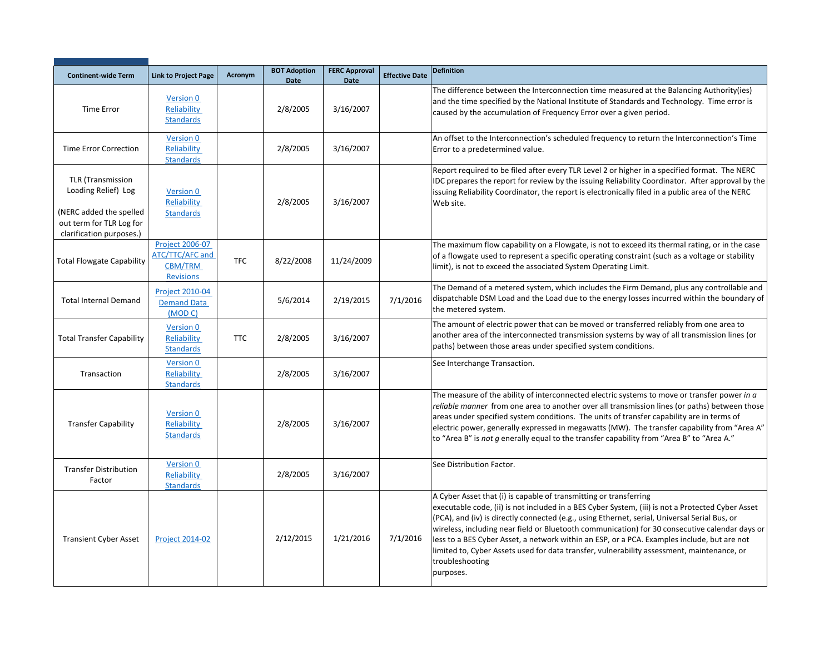| <b>Continent-wide Term</b>                                                 | <b>Link to Project Page</b>                                              | Acronym    | <b>BOT Adoption</b><br>Date | <b>FERC Approval</b><br>Date | <b>Effective Date</b> | <b>Definition</b>                                                                                                                                                                                                                                                                                                                                                                                                                                                                                                                                                                                      |
|----------------------------------------------------------------------------|--------------------------------------------------------------------------|------------|-----------------------------|------------------------------|-----------------------|--------------------------------------------------------------------------------------------------------------------------------------------------------------------------------------------------------------------------------------------------------------------------------------------------------------------------------------------------------------------------------------------------------------------------------------------------------------------------------------------------------------------------------------------------------------------------------------------------------|
| Time Error                                                                 | Version 0<br>Reliability<br><b>Standards</b>                             |            | 2/8/2005                    | 3/16/2007                    |                       | The difference between the Interconnection time measured at the Balancing Authority(ies)<br>and the time specified by the National Institute of Standards and Technology. Time error is<br>caused by the accumulation of Frequency Error over a given period.                                                                                                                                                                                                                                                                                                                                          |
| <b>Time Error Correction</b>                                               | <b>Version 0</b><br>Reliability<br><b>Standards</b>                      |            | 2/8/2005                    | 3/16/2007                    |                       | An offset to the Interconnection's scheduled frequency to return the Interconnection's Time<br>Error to a predetermined value.                                                                                                                                                                                                                                                                                                                                                                                                                                                                         |
| <b>TLR (Transmission</b><br>Loading Relief) Log<br>(NERC added the spelled | <b>Version 0</b><br>Reliability<br><b>Standards</b>                      |            | 2/8/2005                    | 3/16/2007                    |                       | Report required to be filed after every TLR Level 2 or higher in a specified format. The NERC<br>IDC prepares the report for review by the issuing Reliability Coordinator. After approval by the<br>issuing Reliability Coordinator, the report is electronically filed in a public area of the NERC<br>Web site.                                                                                                                                                                                                                                                                                     |
| out term for TLR Log for<br>clarification purposes.)                       |                                                                          |            |                             |                              |                       |                                                                                                                                                                                                                                                                                                                                                                                                                                                                                                                                                                                                        |
| <b>Total Flowgate Capability</b>                                           | <b>Project 2006-07</b><br>ATC/TTC/AFC and<br>CBM/TRM<br><b>Revisions</b> | <b>TFC</b> | 8/22/2008                   | 11/24/2009                   |                       | The maximum flow capability on a Flowgate, is not to exceed its thermal rating, or in the case<br>of a flowgate used to represent a specific operating constraint (such as a voltage or stability<br>limit), is not to exceed the associated System Operating Limit.                                                                                                                                                                                                                                                                                                                                   |
| <b>Total Internal Demand</b>                                               | <b>Project 2010-04</b><br><b>Demand Data</b><br>(MODC)                   |            | 5/6/2014                    | 2/19/2015                    | 7/1/2016              | The Demand of a metered system, which includes the Firm Demand, plus any controllable and<br>dispatchable DSM Load and the Load due to the energy losses incurred within the boundary of<br>the metered system.                                                                                                                                                                                                                                                                                                                                                                                        |
| <b>Total Transfer Capability</b>                                           | <b>Version 0</b><br>Reliability<br><b>Standards</b>                      | <b>TTC</b> | 2/8/2005                    | 3/16/2007                    |                       | The amount of electric power that can be moved or transferred reliably from one area to<br>another area of the interconnected transmission systems by way of all transmission lines (or<br>paths) between those areas under specified system conditions.                                                                                                                                                                                                                                                                                                                                               |
| Transaction                                                                | <b>Version 0</b><br>Reliability<br><b>Standards</b>                      |            | 2/8/2005                    | 3/16/2007                    |                       | See Interchange Transaction.                                                                                                                                                                                                                                                                                                                                                                                                                                                                                                                                                                           |
| <b>Transfer Capability</b>                                                 | Version 0<br>Reliability<br><b>Standards</b>                             |            | 2/8/2005                    | 3/16/2007                    |                       | The measure of the ability of interconnected electric systems to move or transfer power in a<br>reliable manner from one area to another over all transmission lines (or paths) between those<br>areas under specified system conditions. The units of transfer capability are in terms of<br>electric power, generally expressed in megawatts (MW). The transfer capability from "Area A"<br>to "Area B" is not q enerally equal to the transfer capability from "Area B" to "Area A."                                                                                                                |
| <b>Transfer Distribution</b><br>Factor                                     | <b>Version 0</b><br>Reliability<br><b>Standards</b>                      |            | 2/8/2005                    | 3/16/2007                    |                       | See Distribution Factor.                                                                                                                                                                                                                                                                                                                                                                                                                                                                                                                                                                               |
| <b>Transient Cyber Asset</b>                                               | <b>Project 2014-02</b>                                                   |            | 2/12/2015                   | 1/21/2016                    | 7/1/2016              | A Cyber Asset that (i) is capable of transmitting or transferring<br>executable code, (ii) is not included in a BES Cyber System, (iii) is not a Protected Cyber Asset<br>(PCA), and (iv) is directly connected (e.g., using Ethernet, serial, Universal Serial Bus, or<br>wireless, including near field or Bluetooth communication) for 30 consecutive calendar days or<br>less to a BES Cyber Asset, a network within an ESP, or a PCA. Examples include, but are not<br>limited to, Cyber Assets used for data transfer, vulnerability assessment, maintenance, or<br>troubleshooting<br>purposes. |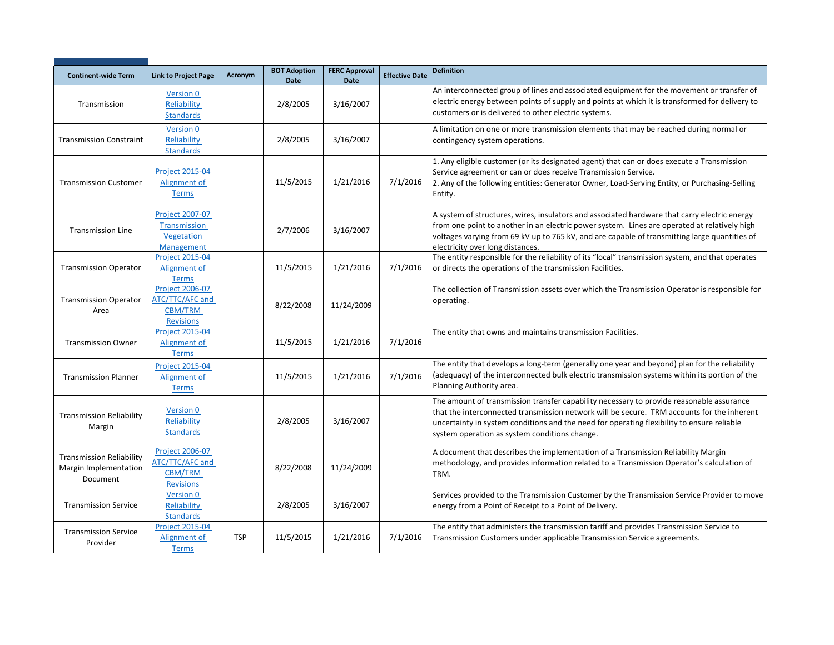| <b>Continent-wide Term</b>                                           | <b>Link to Project Page</b>                                               | Acronym    | <b>BOT Adoption</b><br>Date | <b>FERC Approval</b><br><b>Date</b> | <b>Effective Date</b> | <b>Definition</b>                                                                                                                                                                                                                                                                                                                     |
|----------------------------------------------------------------------|---------------------------------------------------------------------------|------------|-----------------------------|-------------------------------------|-----------------------|---------------------------------------------------------------------------------------------------------------------------------------------------------------------------------------------------------------------------------------------------------------------------------------------------------------------------------------|
| Transmission                                                         | Version 0<br>Reliability<br><b>Standards</b>                              |            | 2/8/2005                    | 3/16/2007                           |                       | An interconnected group of lines and associated equipment for the movement or transfer of<br>electric energy between points of supply and points at which it is transformed for delivery to<br>customers or is delivered to other electric systems.                                                                                   |
| <b>Transmission Constraint</b>                                       | <b>Version 0</b><br>Reliability<br><b>Standards</b>                       |            | 2/8/2005                    | 3/16/2007                           |                       | A limitation on one or more transmission elements that may be reached during normal or<br>contingency system operations.                                                                                                                                                                                                              |
| <b>Transmission Customer</b>                                         | <b>Project 2015-04</b><br>Alignment of<br><b>Terms</b>                    |            | 11/5/2015                   | 1/21/2016                           | 7/1/2016              | 1. Any eligible customer (or its designated agent) that can or does execute a Transmission<br>Service agreement or can or does receive Transmission Service.<br>2. Any of the following entities: Generator Owner, Load-Serving Entity, or Purchasing-Selling<br>Entity.                                                              |
| <b>Transmission Line</b>                                             | <b>Project 2007-07</b><br>Transmission<br>Vegetation<br><b>Management</b> |            | 2/7/2006                    | 3/16/2007                           |                       | A system of structures, wires, insulators and associated hardware that carry electric energy<br>from one point to another in an electric power system. Lines are operated at relatively high<br>voltages varying from 69 kV up to 765 kV, and are capable of transmitting large quantities of<br>electricity over long distances.     |
| <b>Transmission Operator</b>                                         | <b>Project 2015-04</b><br>Alignment of<br><b>Terms</b>                    |            | 11/5/2015                   | 1/21/2016                           | 7/1/2016              | The entity responsible for the reliability of its "local" transmission system, and that operates<br>or directs the operations of the transmission Facilities.                                                                                                                                                                         |
| <b>Transmission Operator</b><br>Area                                 | <b>Project 2006-07</b><br>ATC/TTC/AFC and<br>CBM/TRM<br><b>Revisions</b>  |            | 8/22/2008                   | 11/24/2009                          |                       | The collection of Transmission assets over which the Transmission Operator is responsible for<br>operating.                                                                                                                                                                                                                           |
| <b>Transmission Owner</b>                                            | <b>Project 2015-04</b><br>Alignment of<br><b>Terms</b>                    |            | 11/5/2015                   | 1/21/2016                           | 7/1/2016              | The entity that owns and maintains transmission Facilities.                                                                                                                                                                                                                                                                           |
| <b>Transmission Planner</b>                                          | <b>Project 2015-04</b><br>Alignment of<br><b>Terms</b>                    |            | 11/5/2015                   | 1/21/2016                           | 7/1/2016              | The entity that develops a long-term (generally one year and beyond) plan for the reliability<br>(adequacy) of the interconnected bulk electric transmission systems within its portion of the<br>Planning Authority area.                                                                                                            |
| <b>Transmission Reliability</b><br>Margin                            | Version 0<br>Reliability<br><b>Standards</b>                              |            | 2/8/2005                    | 3/16/2007                           |                       | The amount of transmission transfer capability necessary to provide reasonable assurance<br>that the interconnected transmission network will be secure. TRM accounts for the inherent<br>uncertainty in system conditions and the need for operating flexibility to ensure reliable<br>system operation as system conditions change. |
| <b>Transmission Reliability</b><br>Margin Implementation<br>Document | <b>Project 2006-07</b><br>ATC/TTC/AFC and<br>CBM/TRM<br><b>Revisions</b>  |            | 8/22/2008                   | 11/24/2009                          |                       | A document that describes the implementation of a Transmission Reliability Margin<br>methodology, and provides information related to a Transmission Operator's calculation of<br>TRM.                                                                                                                                                |
| <b>Transmission Service</b>                                          | Version 0<br>Reliability<br><b>Standards</b>                              |            | 2/8/2005                    | 3/16/2007                           |                       | Services provided to the Transmission Customer by the Transmission Service Provider to move<br>energy from a Point of Receipt to a Point of Delivery.                                                                                                                                                                                 |
| <b>Transmission Service</b><br>Provider                              | <b>Project 2015-04</b><br>Alignment of<br><b>Terms</b>                    | <b>TSP</b> | 11/5/2015                   | 1/21/2016                           | 7/1/2016              | The entity that administers the transmission tariff and provides Transmission Service to<br>Transmission Customers under applicable Transmission Service agreements.                                                                                                                                                                  |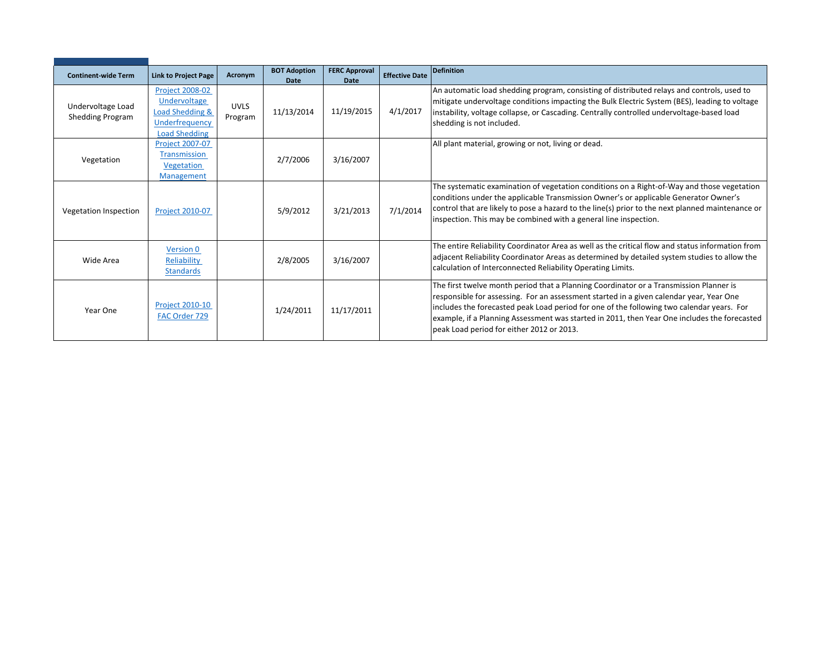| <b>Continent-wide Term</b> | <b>Link to Project Page</b> | Acronym     | <b>BOT Adoption</b> | <b>FERC Approval</b> | <b>Effective Date</b> | <b>Definition</b>                                                                                |
|----------------------------|-----------------------------|-------------|---------------------|----------------------|-----------------------|--------------------------------------------------------------------------------------------------|
|                            |                             |             | <b>Date</b>         | Date                 |                       |                                                                                                  |
|                            | <b>Project 2008-02</b>      |             |                     |                      |                       | An automatic load shedding program, consisting of distributed relays and controls, used to       |
|                            | Undervoltage                |             |                     |                      |                       | mitigate undervoltage conditions impacting the Bulk Electric System (BES), leading to voltage    |
| Undervoltage Load          | Load Shedding &             | <b>UVLS</b> | 11/13/2014          | 11/19/2015           | 4/1/2017              | instability, voltage collapse, or Cascading. Centrally controlled undervoltage-based load        |
| <b>Shedding Program</b>    | Underfrequency              | Program     |                     |                      |                       | shedding is not included.                                                                        |
|                            | <b>Load Shedding</b>        |             |                     |                      |                       |                                                                                                  |
|                            | <b>Project 2007-07</b>      |             |                     |                      |                       | All plant material, growing or not, living or dead.                                              |
|                            |                             |             |                     |                      |                       |                                                                                                  |
| Vegetation                 | Transmission                |             | 2/7/2006            | 3/16/2007            |                       |                                                                                                  |
|                            | Vegetation                  |             |                     |                      |                       |                                                                                                  |
|                            | Management                  |             |                     |                      |                       |                                                                                                  |
|                            |                             |             |                     |                      |                       | The systematic examination of vegetation conditions on a Right-of-Way and those vegetation       |
|                            |                             |             |                     |                      |                       | conditions under the applicable Transmission Owner's or applicable Generator Owner's             |
| Vegetation Inspection      | <b>Project 2010-07</b>      |             | 5/9/2012            | 3/21/2013            | 7/1/2014              | control that are likely to pose a hazard to the line(s) prior to the next planned maintenance or |
|                            |                             |             |                     |                      |                       | inspection. This may be combined with a general line inspection.                                 |
|                            |                             |             |                     |                      |                       |                                                                                                  |
|                            |                             |             |                     |                      |                       |                                                                                                  |
|                            | Version 0                   |             |                     |                      |                       | The entire Reliability Coordinator Area as well as the critical flow and status information from |
| Wide Area                  | Reliability                 |             | 2/8/2005            | 3/16/2007            |                       | adjacent Reliability Coordinator Areas as determined by detailed system studies to allow the     |
|                            | <b>Standards</b>            |             |                     |                      |                       | calculation of Interconnected Reliability Operating Limits.                                      |
|                            |                             |             |                     |                      |                       |                                                                                                  |
|                            |                             |             |                     |                      |                       | The first twelve month period that a Planning Coordinator or a Transmission Planner is           |
|                            |                             |             |                     |                      |                       | responsible for assessing. For an assessment started in a given calendar year, Year One          |
| Year One                   | <b>Project 2010-10</b>      |             | 1/24/2011           | 11/17/2011           |                       | includes the forecasted peak Load period for one of the following two calendar years. For        |
|                            | FAC Order 729               |             |                     |                      |                       | example, if a Planning Assessment was started in 2011, then Year One includes the forecasted     |
|                            |                             |             |                     |                      |                       | peak Load period for either 2012 or 2013.                                                        |
|                            |                             |             |                     |                      |                       |                                                                                                  |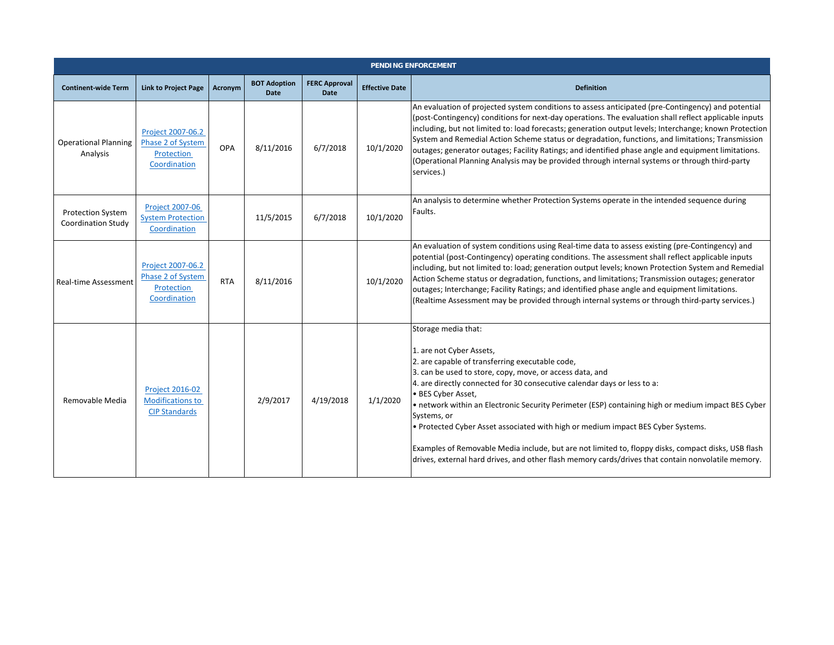|                                                       | <b>PENDING ENFORCEMENT</b>                                                  |            |                                    |                                     |                       |                                                                                                                                                                                                                                                                                                                                                                                                                                                                                                                                                                                                                                                                                        |  |  |  |  |  |  |
|-------------------------------------------------------|-----------------------------------------------------------------------------|------------|------------------------------------|-------------------------------------|-----------------------|----------------------------------------------------------------------------------------------------------------------------------------------------------------------------------------------------------------------------------------------------------------------------------------------------------------------------------------------------------------------------------------------------------------------------------------------------------------------------------------------------------------------------------------------------------------------------------------------------------------------------------------------------------------------------------------|--|--|--|--|--|--|
| <b>Continent-wide Term</b>                            | <b>Link to Project Page</b>                                                 | Acronym    | <b>BOT Adoption</b><br><b>Date</b> | <b>FERC Approval</b><br><b>Date</b> | <b>Effective Date</b> | <b>Definition</b>                                                                                                                                                                                                                                                                                                                                                                                                                                                                                                                                                                                                                                                                      |  |  |  |  |  |  |
| <b>Operational Planning</b><br>Analysis               | Project 2007-06.2<br>Phase 2 of System<br>Protection<br>Coordination        | OPA        | 8/11/2016                          | 6/7/2018                            | 10/1/2020             | An evaluation of projected system conditions to assess anticipated (pre-Contingency) and potential<br>(post-Contingency) conditions for next-day operations. The evaluation shall reflect applicable inputs<br>including, but not limited to: load forecasts; generation output levels; Interchange; known Protection<br>System and Remedial Action Scheme status or degradation, functions, and limitations; Transmission<br>outages; generator outages; Facility Ratings; and identified phase angle and equipment limitations.<br>(Operational Planning Analysis may be provided through internal systems or through third-party<br>services.)                                      |  |  |  |  |  |  |
| <b>Protection System</b><br><b>Coordination Study</b> | <b>Project 2007-06</b><br><b>System Protection</b><br>Coordination          |            | 11/5/2015                          | 6/7/2018                            | 10/1/2020             | An analysis to determine whether Protection Systems operate in the intended sequence during<br>Faults.                                                                                                                                                                                                                                                                                                                                                                                                                                                                                                                                                                                 |  |  |  |  |  |  |
| <b>Real-time Assessment</b>                           | Project 2007-06.2<br>Phase 2 of System<br><b>Protection</b><br>Coordination | <b>RTA</b> | 8/11/2016                          |                                     | 10/1/2020             | An evaluation of system conditions using Real-time data to assess existing (pre-Contingency) and<br>potential (post-Contingency) operating conditions. The assessment shall reflect applicable inputs<br>including, but not limited to: load; generation output levels; known Protection System and Remedial<br>Action Scheme status or degradation, functions, and limitations; Transmission outages; generator<br>outages; Interchange; Facility Ratings; and identified phase angle and equipment limitations.<br>(Realtime Assessment may be provided through internal systems or through third-party services.)                                                                   |  |  |  |  |  |  |
| Removable Media                                       | <b>Project 2016-02</b><br><b>Modifications to</b><br><b>CIP Standards</b>   |            | 2/9/2017                           | 4/19/2018                           | 1/1/2020              | Storage media that:<br>1. are not Cyber Assets,<br>2. are capable of transferring executable code,<br>3. can be used to store, copy, move, or access data, and<br>4. are directly connected for 30 consecutive calendar days or less to a:<br>• BES Cyber Asset,<br>• network within an Electronic Security Perimeter (ESP) containing high or medium impact BES Cyber<br>Systems, or<br>. Protected Cyber Asset associated with high or medium impact BES Cyber Systems.<br>Examples of Removable Media include, but are not limited to, floppy disks, compact disks, USB flash<br>drives, external hard drives, and other flash memory cards/drives that contain nonvolatile memory. |  |  |  |  |  |  |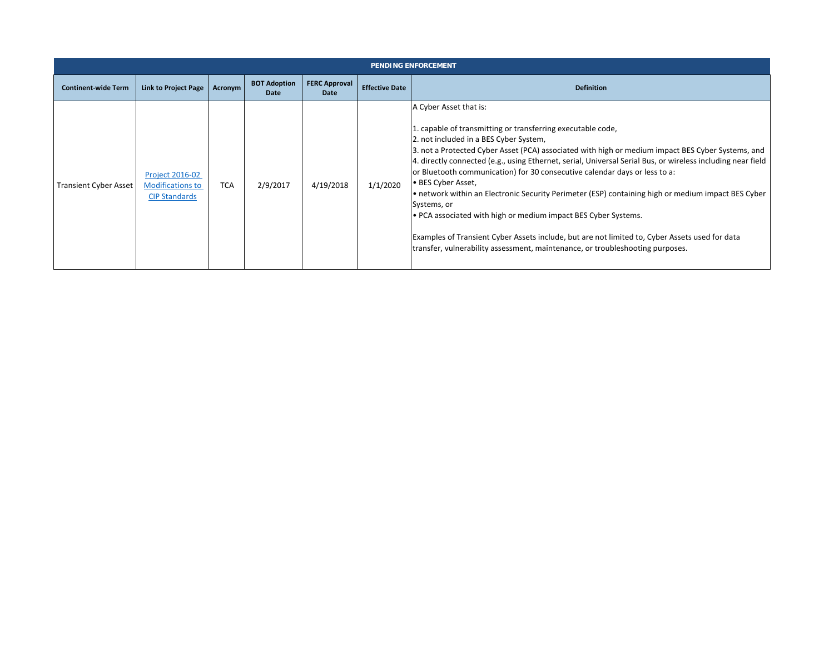|                              | <b>PENDING ENFORCEMENT</b>                                                |            |                             |                              |                       |                                                                                                                                                                                                                                                                                                                                                                                                                                                                                                                                                                                                                                                                                                                                                                                                                                    |  |  |  |  |  |  |
|------------------------------|---------------------------------------------------------------------------|------------|-----------------------------|------------------------------|-----------------------|------------------------------------------------------------------------------------------------------------------------------------------------------------------------------------------------------------------------------------------------------------------------------------------------------------------------------------------------------------------------------------------------------------------------------------------------------------------------------------------------------------------------------------------------------------------------------------------------------------------------------------------------------------------------------------------------------------------------------------------------------------------------------------------------------------------------------------|--|--|--|--|--|--|
| <b>Continent-wide Term</b>   | Link to Project Page                                                      | Acronym    | <b>BOT Adoption</b><br>Date | <b>FERC Approval</b><br>Date | <b>Effective Date</b> | <b>Definition</b>                                                                                                                                                                                                                                                                                                                                                                                                                                                                                                                                                                                                                                                                                                                                                                                                                  |  |  |  |  |  |  |
| <b>Transient Cyber Asset</b> | <b>Project 2016-02</b><br><b>Modifications to</b><br><b>CIP Standards</b> | <b>TCA</b> | 2/9/2017                    | 4/19/2018                    | 1/1/2020              | A Cyber Asset that is:<br>1. capable of transmitting or transferring executable code,<br>2. not included in a BES Cyber System,<br>3. not a Protected Cyber Asset (PCA) associated with high or medium impact BES Cyber Systems, and<br>4. directly connected (e.g., using Ethernet, serial, Universal Serial Bus, or wireless including near field<br>or Bluetooth communication) for 30 consecutive calendar days or less to a:<br>l• BES Cyber Asset,<br>• network within an Electronic Security Perimeter (ESP) containing high or medium impact BES Cyber<br>Systems, or<br>• PCA associated with high or medium impact BES Cyber Systems.<br>Examples of Transient Cyber Assets include, but are not limited to, Cyber Assets used for data<br>transfer, vulnerability assessment, maintenance, or troubleshooting purposes. |  |  |  |  |  |  |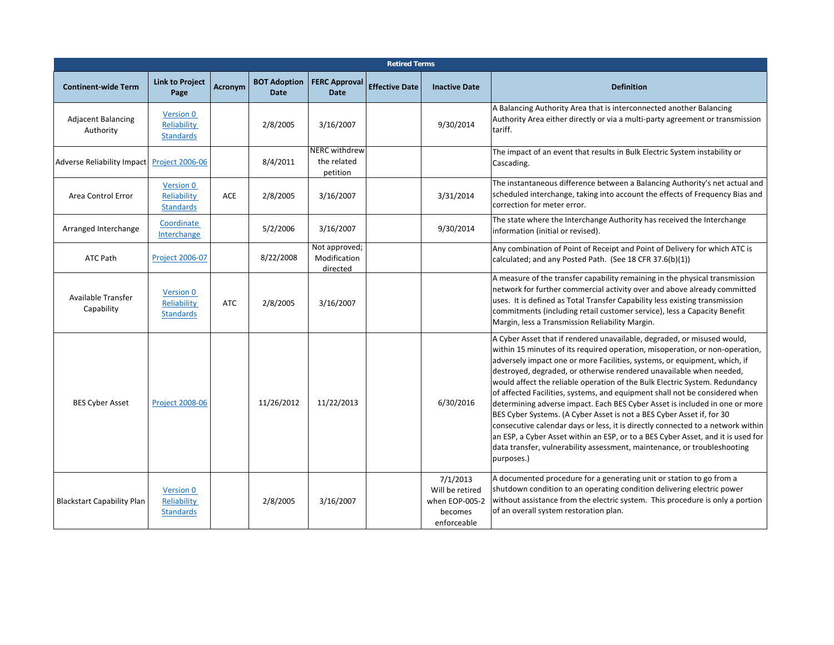|                                            | <b>Retired Terms</b>                                |            |                                    |                                                 |                       |                                                                         |                                                                                                                                                                                                                                                                                                                                                                                                                                                                                                                                                                                                                                                                                                                                                                                                                                                                                                    |  |  |  |  |  |
|--------------------------------------------|-----------------------------------------------------|------------|------------------------------------|-------------------------------------------------|-----------------------|-------------------------------------------------------------------------|----------------------------------------------------------------------------------------------------------------------------------------------------------------------------------------------------------------------------------------------------------------------------------------------------------------------------------------------------------------------------------------------------------------------------------------------------------------------------------------------------------------------------------------------------------------------------------------------------------------------------------------------------------------------------------------------------------------------------------------------------------------------------------------------------------------------------------------------------------------------------------------------------|--|--|--|--|--|
| <b>Continent-wide Term</b>                 | <b>Link to Project</b><br>Page                      | Acronym    | <b>BOT Adoption</b><br><b>Date</b> | <b>FERC Approval</b><br><b>Date</b>             | <b>Effective Date</b> | <b>Inactive Date</b>                                                    | <b>Definition</b>                                                                                                                                                                                                                                                                                                                                                                                                                                                                                                                                                                                                                                                                                                                                                                                                                                                                                  |  |  |  |  |  |
| <b>Adjacent Balancing</b><br>Authority     | Version 0<br>Reliability<br><b>Standards</b>        |            | 2/8/2005                           | 3/16/2007                                       |                       | 9/30/2014                                                               | A Balancing Authority Area that is interconnected another Balancing<br>Authority Area either directly or via a multi-party agreement or transmission<br>tariff.                                                                                                                                                                                                                                                                                                                                                                                                                                                                                                                                                                                                                                                                                                                                    |  |  |  |  |  |
| Adverse Reliability Impact Project 2006-06 |                                                     |            | 8/4/2011                           | <b>NERC withdrew</b><br>the related<br>petition |                       |                                                                         | The impact of an event that results in Bulk Electric System instability or<br>Cascading.                                                                                                                                                                                                                                                                                                                                                                                                                                                                                                                                                                                                                                                                                                                                                                                                           |  |  |  |  |  |
| Area Control Error                         | Version 0<br>Reliability<br><b>Standards</b>        | ACE        | 2/8/2005                           | 3/16/2007                                       |                       | 3/31/2014                                                               | The instantaneous difference between a Balancing Authority's net actual and<br>scheduled interchange, taking into account the effects of Frequency Bias and<br>correction for meter error.                                                                                                                                                                                                                                                                                                                                                                                                                                                                                                                                                                                                                                                                                                         |  |  |  |  |  |
| Arranged Interchange                       | Coordinate<br>Interchange                           |            | 5/2/2006                           | 3/16/2007                                       |                       | 9/30/2014                                                               | The state where the Interchange Authority has received the Interchange<br>information (initial or revised).                                                                                                                                                                                                                                                                                                                                                                                                                                                                                                                                                                                                                                                                                                                                                                                        |  |  |  |  |  |
| ATC Path                                   | <b>Project 2006-07</b>                              |            | 8/22/2008                          | Not approved;<br>Modification<br>directed       |                       |                                                                         | Any combination of Point of Receipt and Point of Delivery for which ATC is<br>calculated; and any Posted Path. (See 18 CFR 37.6(b)(1))                                                                                                                                                                                                                                                                                                                                                                                                                                                                                                                                                                                                                                                                                                                                                             |  |  |  |  |  |
| Available Transfer<br>Capability           | Version 0<br>Reliability<br><b>Standards</b>        | <b>ATC</b> | 2/8/2005                           | 3/16/2007                                       |                       |                                                                         | A measure of the transfer capability remaining in the physical transmission<br>network for further commercial activity over and above already committed<br>uses. It is defined as Total Transfer Capability less existing transmission<br>commitments (including retail customer service), less a Capacity Benefit<br>Margin, less a Transmission Reliability Margin.                                                                                                                                                                                                                                                                                                                                                                                                                                                                                                                              |  |  |  |  |  |
| <b>BES Cyber Asset</b>                     | <b>Project 2008-06</b>                              |            | 11/26/2012                         | 11/22/2013                                      |                       | 6/30/2016                                                               | A Cyber Asset that if rendered unavailable, degraded, or misused would,<br>within 15 minutes of its required operation, misoperation, or non-operation,<br>adversely impact one or more Facilities, systems, or equipment, which, if<br>destroyed, degraded, or otherwise rendered unavailable when needed,<br>would affect the reliable operation of the Bulk Electric System. Redundancy<br>of affected Facilities, systems, and equipment shall not be considered when<br>determining adverse impact. Each BES Cyber Asset is included in one or more<br>BES Cyber Systems. (A Cyber Asset is not a BES Cyber Asset if, for 30<br>consecutive calendar days or less, it is directly connected to a network within<br>an ESP, a Cyber Asset within an ESP, or to a BES Cyber Asset, and it is used for<br>data transfer, vulnerability assessment, maintenance, or troubleshooting<br>purposes.) |  |  |  |  |  |
| <b>Blackstart Capability Plan</b>          | <b>Version 0</b><br>Reliability<br><b>Standards</b> |            | 2/8/2005                           | 3/16/2007                                       |                       | 7/1/2013<br>Will be retired<br>when EOP-005-2<br>becomes<br>enforceable | A documented procedure for a generating unit or station to go from a<br>shutdown condition to an operating condition delivering electric power<br>without assistance from the electric system. This procedure is only a portion<br>of an overall system restoration plan.                                                                                                                                                                                                                                                                                                                                                                                                                                                                                                                                                                                                                          |  |  |  |  |  |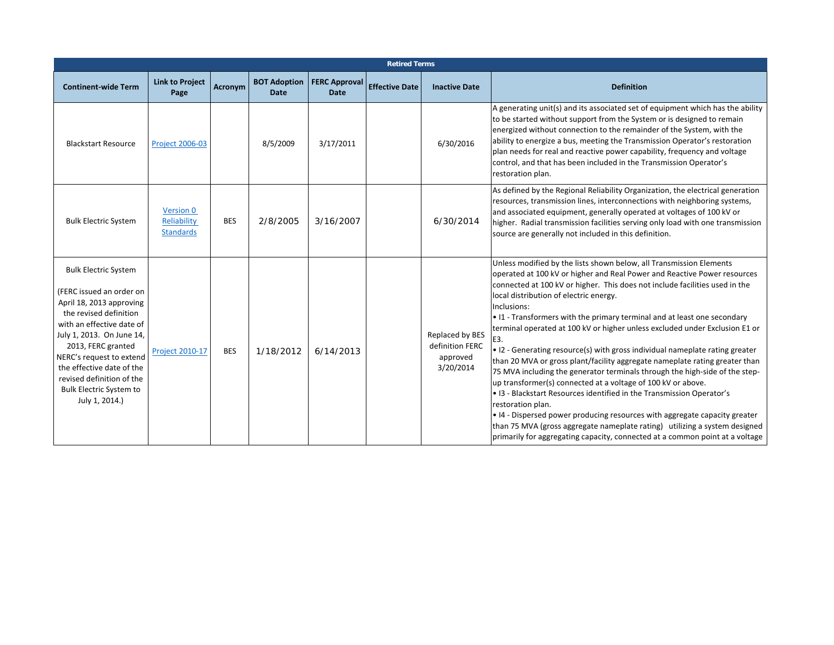| <b>Retired Terms</b>                                                                                                                                                                                                                                                                                                                    |                                              |            |                             |                                     |                       |                                                             |                                                                                                                                                                                                                                                                                                                                                                                                                                                                                                                                                                                                                                                                                                                                                                                                                                                                                                                                                                                                                                                                                                                   |  |  |  |
|-----------------------------------------------------------------------------------------------------------------------------------------------------------------------------------------------------------------------------------------------------------------------------------------------------------------------------------------|----------------------------------------------|------------|-----------------------------|-------------------------------------|-----------------------|-------------------------------------------------------------|-------------------------------------------------------------------------------------------------------------------------------------------------------------------------------------------------------------------------------------------------------------------------------------------------------------------------------------------------------------------------------------------------------------------------------------------------------------------------------------------------------------------------------------------------------------------------------------------------------------------------------------------------------------------------------------------------------------------------------------------------------------------------------------------------------------------------------------------------------------------------------------------------------------------------------------------------------------------------------------------------------------------------------------------------------------------------------------------------------------------|--|--|--|
| <b>Continent-wide Term</b>                                                                                                                                                                                                                                                                                                              | <b>Link to Project</b><br>Page               | Acronym    | <b>BOT Adoption</b><br>Date | <b>FERC Approval</b><br><b>Date</b> | <b>Effective Date</b> | <b>Inactive Date</b>                                        | <b>Definition</b>                                                                                                                                                                                                                                                                                                                                                                                                                                                                                                                                                                                                                                                                                                                                                                                                                                                                                                                                                                                                                                                                                                 |  |  |  |
| <b>Blackstart Resource</b>                                                                                                                                                                                                                                                                                                              | <b>Project 2006-03</b>                       |            | 8/5/2009                    | 3/17/2011                           |                       | 6/30/2016                                                   | A generating unit(s) and its associated set of equipment which has the ability<br>to be started without support from the System or is designed to remain<br>energized without connection to the remainder of the System, with the<br>ability to energize a bus, meeting the Transmission Operator's restoration<br>plan needs for real and reactive power capability, frequency and voltage<br>control, and that has been included in the Transmission Operator's<br>restoration plan.                                                                                                                                                                                                                                                                                                                                                                                                                                                                                                                                                                                                                            |  |  |  |
| <b>Bulk Electric System</b>                                                                                                                                                                                                                                                                                                             | Version 0<br>Reliability<br><b>Standards</b> | <b>BES</b> | 2/8/2005                    | 3/16/2007                           |                       | 6/30/2014                                                   | As defined by the Regional Reliability Organization, the electrical generation<br>resources, transmission lines, interconnections with neighboring systems,<br>and associated equipment, generally operated at voltages of 100 kV or<br>higher. Radial transmission facilities serving only load with one transmission<br>source are generally not included in this definition.                                                                                                                                                                                                                                                                                                                                                                                                                                                                                                                                                                                                                                                                                                                                   |  |  |  |
| <b>Bulk Electric System</b><br>(FERC issued an order on<br>April 18, 2013 approving<br>the revised definition<br>with an effective date of<br>July 1, 2013. On June 14,<br>2013, FERC granted<br>NERC's request to extend<br>the effective date of the<br>revised definition of the<br><b>Bulk Electric System to</b><br>July 1, 2014.) | <b>Project 2010-17</b>                       | <b>BES</b> | 1/18/2012                   | 6/14/2013                           |                       | Replaced by BES<br>definition FERC<br>approved<br>3/20/2014 | Unless modified by the lists shown below, all Transmission Elements<br>operated at 100 kV or higher and Real Power and Reactive Power resources<br>connected at 100 kV or higher. This does not include facilities used in the<br>local distribution of electric energy.<br>Inclusions:<br>• I1 - Transformers with the primary terminal and at least one secondary<br>terminal operated at 100 kV or higher unless excluded under Exclusion E1 or<br>E3.<br>• I2 - Generating resource(s) with gross individual nameplate rating greater<br>than 20 MVA or gross plant/facility aggregate nameplate rating greater than<br>75 MVA including the generator terminals through the high-side of the step-<br>up transformer(s) connected at a voltage of 100 kV or above.<br>• I3 - Blackstart Resources identified in the Transmission Operator's<br>restoration plan.<br>• I4 - Dispersed power producing resources with aggregate capacity greater<br>than 75 MVA (gross aggregate nameplate rating) utilizing a system designed<br>primarily for aggregating capacity, connected at a common point at a voltage |  |  |  |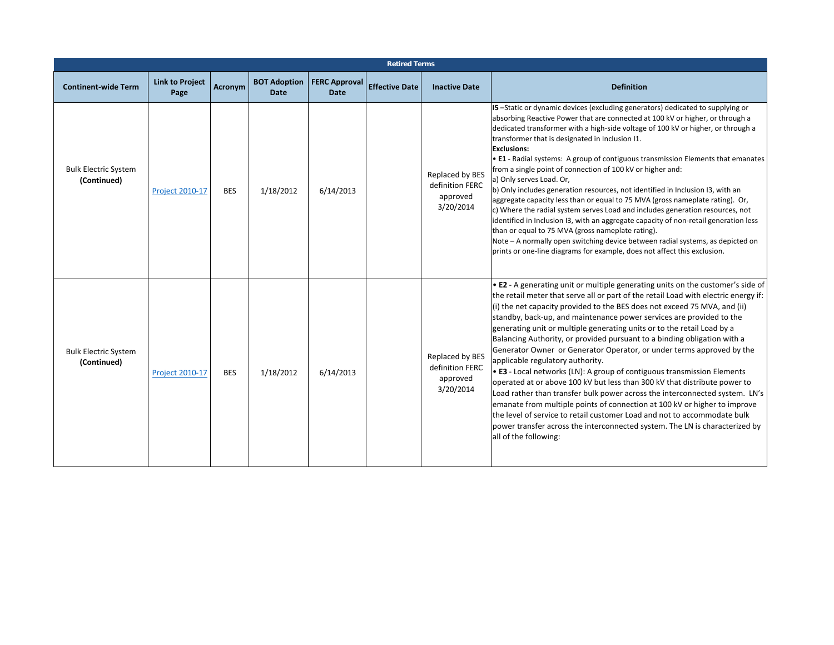|                                            | <b>Retired Terms</b>           |            |                                    |                                     |                       |                                                             |                                                                                                                                                                                                                                                                                                                                                                                                                                                                                                                                                                                                                                                                                                                                                                                                                                                                                                                                                                                                                                                                                                         |  |  |  |  |
|--------------------------------------------|--------------------------------|------------|------------------------------------|-------------------------------------|-----------------------|-------------------------------------------------------------|---------------------------------------------------------------------------------------------------------------------------------------------------------------------------------------------------------------------------------------------------------------------------------------------------------------------------------------------------------------------------------------------------------------------------------------------------------------------------------------------------------------------------------------------------------------------------------------------------------------------------------------------------------------------------------------------------------------------------------------------------------------------------------------------------------------------------------------------------------------------------------------------------------------------------------------------------------------------------------------------------------------------------------------------------------------------------------------------------------|--|--|--|--|
| <b>Continent-wide Term</b>                 | <b>Link to Project</b><br>Page | Acronym    | <b>BOT Adoption</b><br><b>Date</b> | <b>FERC Approval</b><br><b>Date</b> | <b>Effective Date</b> | <b>Inactive Date</b>                                        | <b>Definition</b>                                                                                                                                                                                                                                                                                                                                                                                                                                                                                                                                                                                                                                                                                                                                                                                                                                                                                                                                                                                                                                                                                       |  |  |  |  |
| <b>Bulk Electric System</b><br>(Continued) | <b>Project 2010-17</b>         | <b>BES</b> | 1/18/2012                          | 6/14/2013                           |                       | Replaced by BES<br>definition FERC<br>approved<br>3/20/2014 | I5-Static or dynamic devices (excluding generators) dedicated to supplying or<br>absorbing Reactive Power that are connected at 100 kV or higher, or through a<br>dedicated transformer with a high-side voltage of 100 kV or higher, or through a<br>transformer that is designated in Inclusion I1.<br><b>Exclusions:</b><br>• E1 - Radial systems: A group of contiguous transmission Elements that emanates<br>from a single point of connection of 100 kV or higher and:<br>a) Only serves Load. Or,<br>b) Only includes generation resources, not identified in Inclusion I3, with an<br>aggregate capacity less than or equal to 75 MVA (gross nameplate rating). Or,<br>c) Where the radial system serves Load and includes generation resources, not<br>identified in Inclusion I3, with an aggregate capacity of non-retail generation less<br>than or equal to 75 MVA (gross nameplate rating).<br>Note - A normally open switching device between radial systems, as depicted on<br>prints or one-line diagrams for example, does not affect this exclusion.                                |  |  |  |  |
| <b>Bulk Electric System</b><br>(Continued) | <b>Project 2010-17</b>         | <b>BES</b> | 1/18/2012                          | 6/14/2013                           |                       | Replaced by BES<br>definition FERC<br>approved<br>3/20/2014 | • E2 - A generating unit or multiple generating units on the customer's side of<br>the retail meter that serve all or part of the retail Load with electric energy if:<br>(i) the net capacity provided to the BES does not exceed 75 MVA, and (ii)<br>standby, back-up, and maintenance power services are provided to the<br>generating unit or multiple generating units or to the retail Load by a<br>Balancing Authority, or provided pursuant to a binding obligation with a<br>Generator Owner or Generator Operator, or under terms approved by the<br>applicable regulatory authority.<br>• E3 - Local networks (LN): A group of contiguous transmission Elements<br>operated at or above 100 kV but less than 300 kV that distribute power to<br>Load rather than transfer bulk power across the interconnected system. LN's<br>emanate from multiple points of connection at 100 kV or higher to improve<br>the level of service to retail customer Load and not to accommodate bulk<br>power transfer across the interconnected system. The LN is characterized by<br>all of the following: |  |  |  |  |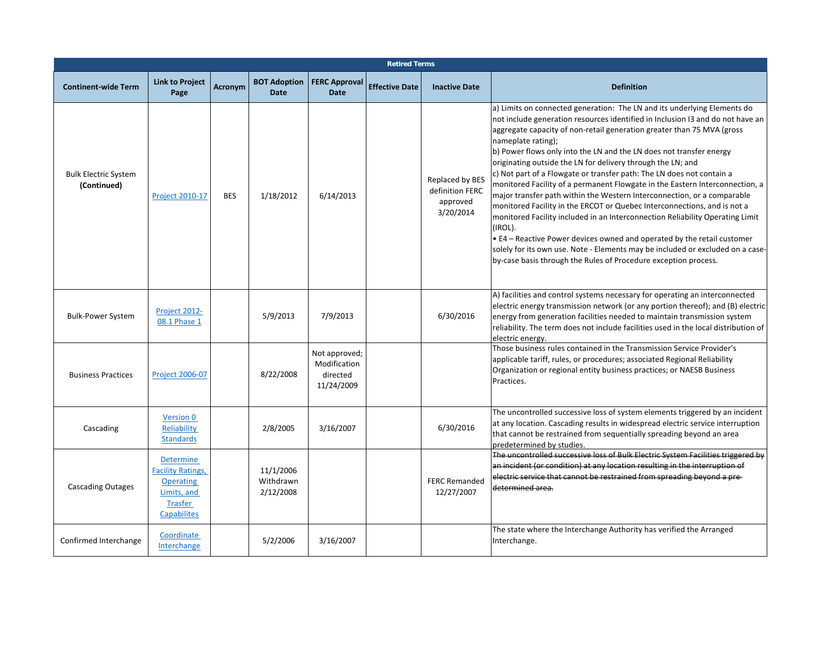|                                            |                                                                                                                  |                |                                     |                                                         | <b>Retired Terms</b>  |                                                             |                                                                                                                                                                                                                                                                                                                                                                                                                                                                                                                                                                                                                                                                                                                                                                                                                                                                                                                                                                                                                                              |
|--------------------------------------------|------------------------------------------------------------------------------------------------------------------|----------------|-------------------------------------|---------------------------------------------------------|-----------------------|-------------------------------------------------------------|----------------------------------------------------------------------------------------------------------------------------------------------------------------------------------------------------------------------------------------------------------------------------------------------------------------------------------------------------------------------------------------------------------------------------------------------------------------------------------------------------------------------------------------------------------------------------------------------------------------------------------------------------------------------------------------------------------------------------------------------------------------------------------------------------------------------------------------------------------------------------------------------------------------------------------------------------------------------------------------------------------------------------------------------|
| <b>Continent-wide Term</b>                 | <b>Link to Project</b><br>Page                                                                                   | <b>Acronym</b> | <b>BOT Adoption</b><br><b>Date</b>  | <b>FERC Approval</b><br><b>Date</b>                     | <b>Effective Date</b> | <b>Inactive Date</b>                                        | <b>Definition</b>                                                                                                                                                                                                                                                                                                                                                                                                                                                                                                                                                                                                                                                                                                                                                                                                                                                                                                                                                                                                                            |
| <b>Bulk Electric System</b><br>(Continued) | Project 2010-17                                                                                                  | <b>BES</b>     | 1/18/2012                           | 6/14/2013                                               |                       | Replaced by BES<br>definition FERC<br>approved<br>3/20/2014 | a) Limits on connected generation: The LN and its underlying Elements do<br>not include generation resources identified in Inclusion I3 and do not have an<br>aggregate capacity of non-retail generation greater than 75 MVA (gross<br>nameplate rating);<br>b) Power flows only into the LN and the LN does not transfer energy<br>originating outside the LN for delivery through the LN; and<br>c) Not part of a Flowgate or transfer path: The LN does not contain a<br>monitored Facility of a permanent Flowgate in the Eastern Interconnection, a<br>major transfer path within the Western Interconnection, or a comparable<br>monitored Facility in the ERCOT or Quebec Interconnections, and is not a<br>monitored Facility included in an Interconnection Reliability Operating Limit<br>(IROL).<br>• E4 – Reactive Power devices owned and operated by the retail customer<br>solely for its own use. Note - Elements may be included or excluded on a case-<br>by-case basis through the Rules of Procedure exception process. |
| <b>Bulk-Power System</b>                   | Project 2012-<br>08.1 Phase 1                                                                                    |                | 5/9/2013                            | 7/9/2013                                                |                       | 6/30/2016                                                   | A) facilities and control systems necessary for operating an interconnected<br>electric energy transmission network (or any portion thereof); and (B) electric<br>energy from generation facilities needed to maintain transmission system<br>reliability. The term does not include facilities used in the local distribution of<br>electric energy.                                                                                                                                                                                                                                                                                                                                                                                                                                                                                                                                                                                                                                                                                        |
| <b>Business Practices</b>                  | <b>Project 2006-07</b>                                                                                           |                | 8/22/2008                           | Not approved;<br>Modification<br>directed<br>11/24/2009 |                       |                                                             | Those business rules contained in the Transmission Service Provider's<br>applicable tariff, rules, or procedures; associated Regional Reliability<br>Organization or regional entity business practices; or NAESB Business<br>Practices.                                                                                                                                                                                                                                                                                                                                                                                                                                                                                                                                                                                                                                                                                                                                                                                                     |
| Cascading                                  | Version 0<br>Reliability<br><b>Standards</b>                                                                     |                | 2/8/2005                            | 3/16/2007                                               |                       | 6/30/2016                                                   | The uncontrolled successive loss of system elements triggered by an incident<br>at any location. Cascading results in widespread electric service interruption<br>that cannot be restrained from sequentially spreading beyond an area<br>predetermined by studies.                                                                                                                                                                                                                                                                                                                                                                                                                                                                                                                                                                                                                                                                                                                                                                          |
| <b>Cascading Outages</b>                   | <b>Determine</b><br><b>Facility Ratings,</b><br><b>Operating</b><br>Limits, and<br>Trasfer<br><b>Capabilites</b> |                | 11/1/2006<br>Withdrawn<br>2/12/2008 |                                                         |                       | <b>FERC Remanded</b><br>12/27/2007                          | The uncontrolled successive loss of Bulk Electric System Facilities triggered by<br>an incident (or condition) at any location resulting in the interruption of<br>electric service that cannot be restrained from spreading beyond a pre-<br>determined area.                                                                                                                                                                                                                                                                                                                                                                                                                                                                                                                                                                                                                                                                                                                                                                               |
| Confirmed Interchange                      | Coordinate<br>Interchange                                                                                        |                | 5/2/2006                            | 3/16/2007                                               |                       |                                                             | The state where the Interchange Authority has verified the Arranged<br>Interchange.                                                                                                                                                                                                                                                                                                                                                                                                                                                                                                                                                                                                                                                                                                                                                                                                                                                                                                                                                          |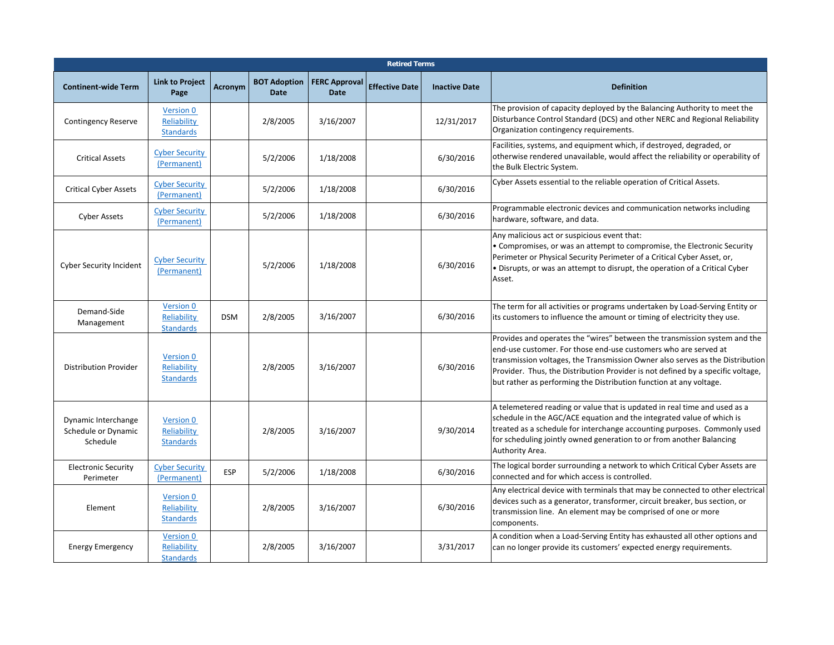|                                                        |                                                     |            |                                    |                                     | <b>Retired Terms</b>  |                      |                                                                                                                                                                                                                                                                                                                                                                                        |
|--------------------------------------------------------|-----------------------------------------------------|------------|------------------------------------|-------------------------------------|-----------------------|----------------------|----------------------------------------------------------------------------------------------------------------------------------------------------------------------------------------------------------------------------------------------------------------------------------------------------------------------------------------------------------------------------------------|
| <b>Continent-wide Term</b>                             | <b>Link to Project</b><br>Page                      | Acronym    | <b>BOT Adoption</b><br><b>Date</b> | <b>FERC Approval</b><br><b>Date</b> | <b>Effective Date</b> | <b>Inactive Date</b> | <b>Definition</b>                                                                                                                                                                                                                                                                                                                                                                      |
| <b>Contingency Reserve</b>                             | <b>Version 0</b><br>Reliability<br><b>Standards</b> |            | 2/8/2005                           | 3/16/2007                           |                       | 12/31/2017           | The provision of capacity deployed by the Balancing Authority to meet the<br>Disturbance Control Standard (DCS) and other NERC and Regional Reliability<br>Organization contingency requirements.                                                                                                                                                                                      |
| <b>Critical Assets</b>                                 | <b>Cyber Security</b><br>(Permanent)                |            | 5/2/2006                           | 1/18/2008                           |                       | 6/30/2016            | Facilities, systems, and equipment which, if destroyed, degraded, or<br>otherwise rendered unavailable, would affect the reliability or operability of<br>the Bulk Electric System.                                                                                                                                                                                                    |
| <b>Critical Cyber Assets</b>                           | <b>Cyber Security</b><br>(Permanent)                |            | 5/2/2006                           | 1/18/2008                           |                       | 6/30/2016            | Cyber Assets essential to the reliable operation of Critical Assets.                                                                                                                                                                                                                                                                                                                   |
| <b>Cyber Assets</b>                                    | <b>Cyber Security</b><br>(Permanent)                |            | 5/2/2006                           | 1/18/2008                           |                       | 6/30/2016            | Programmable electronic devices and communication networks including<br>hardware, software, and data.                                                                                                                                                                                                                                                                                  |
| Cyber Security Incident                                | <b>Cyber Security</b><br>(Permanent)                |            | 5/2/2006                           | 1/18/2008                           |                       | 6/30/2016            | Any malicious act or suspicious event that:<br>• Compromises, or was an attempt to compromise, the Electronic Security<br>Perimeter or Physical Security Perimeter of a Critical Cyber Asset, or,<br>. Disrupts, or was an attempt to disrupt, the operation of a Critical Cyber<br>Asset.                                                                                             |
| Demand-Side<br>Management                              | <b>Version 0</b><br>Reliability<br><b>Standards</b> | <b>DSM</b> | 2/8/2005                           | 3/16/2007                           |                       | 6/30/2016            | The term for all activities or programs undertaken by Load-Serving Entity or<br>its customers to influence the amount or timing of electricity they use.                                                                                                                                                                                                                               |
| <b>Distribution Provider</b>                           | Version 0<br>Reliability<br><b>Standards</b>        |            | 2/8/2005                           | 3/16/2007                           |                       | 6/30/2016            | Provides and operates the "wires" between the transmission system and the<br>end-use customer. For those end-use customers who are served at<br>transmission voltages, the Transmission Owner also serves as the Distribution<br>Provider. Thus, the Distribution Provider is not defined by a specific voltage,<br>but rather as performing the Distribution function at any voltage. |
| Dynamic Interchange<br>Schedule or Dynamic<br>Schedule | Version 0<br>Reliability<br><b>Standards</b>        |            | 2/8/2005                           | 3/16/2007                           |                       | 9/30/2014            | A telemetered reading or value that is updated in real time and used as a<br>schedule in the AGC/ACE equation and the integrated value of which is<br>treated as a schedule for interchange accounting purposes. Commonly used<br>for scheduling jointly owned generation to or from another Balancing<br>Authority Area.                                                              |
| <b>Electronic Security</b><br>Perimeter                | <b>Cyber Security</b><br>(Permanent)                | <b>ESP</b> | 5/2/2006                           | 1/18/2008                           |                       | 6/30/2016            | The logical border surrounding a network to which Critical Cyber Assets are<br>connected and for which access is controlled.                                                                                                                                                                                                                                                           |
| Element                                                | <b>Version 0</b><br>Reliability<br><b>Standards</b> |            | 2/8/2005                           | 3/16/2007                           |                       | 6/30/2016            | Any electrical device with terminals that may be connected to other electrical<br>devices such as a generator, transformer, circuit breaker, bus section, or<br>transmission line. An element may be comprised of one or more<br>components.                                                                                                                                           |
| <b>Energy Emergency</b>                                | <b>Version 0</b><br>Reliability<br><b>Standards</b> |            | 2/8/2005                           | 3/16/2007                           |                       | 3/31/2017            | A condition when a Load-Serving Entity has exhausted all other options and<br>can no longer provide its customers' expected energy requirements.                                                                                                                                                                                                                                       |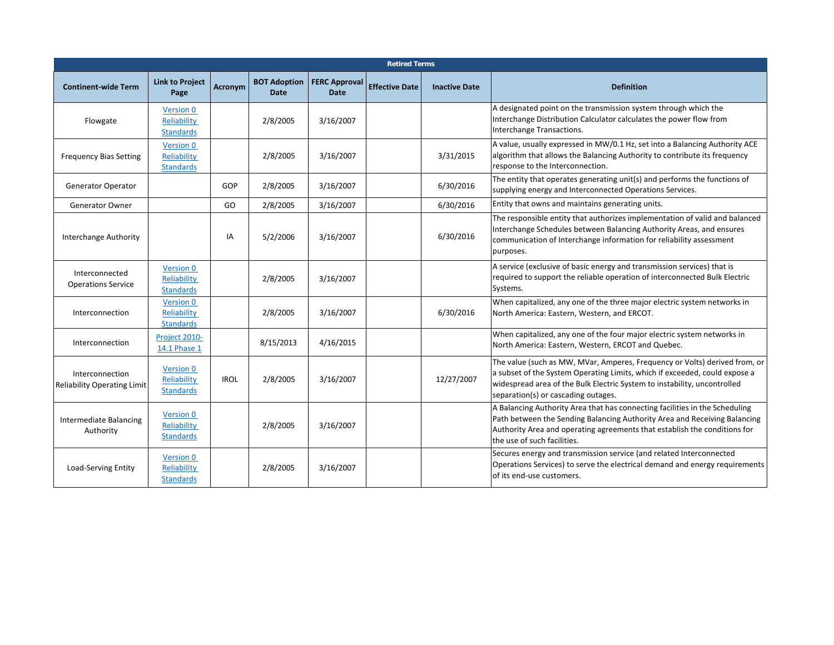|                                                       |                                                     |             |                                    |                                     | <b>Retired Terms</b>  |                      |                                                                                                                                                                                                                                                                             |
|-------------------------------------------------------|-----------------------------------------------------|-------------|------------------------------------|-------------------------------------|-----------------------|----------------------|-----------------------------------------------------------------------------------------------------------------------------------------------------------------------------------------------------------------------------------------------------------------------------|
| <b>Continent-wide Term</b>                            | <b>Link to Project</b><br>Page                      | Acronym     | <b>BOT Adoption</b><br><b>Date</b> | <b>FERC Approval</b><br><b>Date</b> | <b>Effective Date</b> | <b>Inactive Date</b> | <b>Definition</b>                                                                                                                                                                                                                                                           |
| Flowgate                                              | <b>Version 0</b><br>Reliability<br><b>Standards</b> |             | 2/8/2005                           | 3/16/2007                           |                       |                      | A designated point on the transmission system through which the<br>Interchange Distribution Calculator calculates the power flow from<br>Interchange Transactions.                                                                                                          |
| <b>Frequency Bias Setting</b>                         | Version 0<br>Reliability<br><b>Standards</b>        |             | 2/8/2005                           | 3/16/2007                           |                       | 3/31/2015            | A value, usually expressed in MW/0.1 Hz, set into a Balancing Authority ACE<br>algorithm that allows the Balancing Authority to contribute its frequency<br>response to the Interconnection.                                                                                |
| <b>Generator Operator</b>                             |                                                     | GOP         | 2/8/2005                           | 3/16/2007                           |                       | 6/30/2016            | The entity that operates generating unit(s) and performs the functions of<br>supplying energy and Interconnected Operations Services.                                                                                                                                       |
| Generator Owner                                       |                                                     | GO.         | 2/8/2005                           | 3/16/2007                           |                       | 6/30/2016            | Entity that owns and maintains generating units.                                                                                                                                                                                                                            |
| Interchange Authority                                 |                                                     | IA          | 5/2/2006                           | 3/16/2007                           |                       | 6/30/2016            | The responsible entity that authorizes implementation of valid and balanced<br>Interchange Schedules between Balancing Authority Areas, and ensures<br>communication of Interchange information for reliability assessment<br>purposes.                                     |
| Interconnected<br><b>Operations Service</b>           | Version 0<br>Reliability<br><b>Standards</b>        |             | 2/8/2005                           | 3/16/2007                           |                       |                      | A service (exclusive of basic energy and transmission services) that is<br>required to support the reliable operation of interconnected Bulk Electric<br>Systems.                                                                                                           |
| Interconnection                                       | <b>Version 0</b><br>Reliability<br><b>Standards</b> |             | 2/8/2005                           | 3/16/2007                           |                       | 6/30/2016            | When capitalized, any one of the three major electric system networks in<br>North America: Eastern, Western, and ERCOT.                                                                                                                                                     |
| Interconnection                                       | Project 2010-<br>14.1 Phase 1                       |             | 8/15/2013                          | 4/16/2015                           |                       |                      | When capitalized, any one of the four major electric system networks in<br>North America: Eastern, Western, ERCOT and Quebec.                                                                                                                                               |
| Interconnection<br><b>Reliability Operating Limit</b> | Version 0<br>Reliability<br><b>Standards</b>        | <b>IROL</b> | 2/8/2005                           | 3/16/2007                           |                       | 12/27/2007           | The value (such as MW, MVar, Amperes, Frequency or Volts) derived from, or<br>a subset of the System Operating Limits, which if exceeded, could expose a<br>widespread area of the Bulk Electric System to instability, uncontrolled<br>separation(s) or cascading outages. |
| Intermediate Balancing<br>Authority                   | Version 0<br>Reliability<br><b>Standards</b>        |             | 2/8/2005                           | 3/16/2007                           |                       |                      | A Balancing Authority Area that has connecting facilities in the Scheduling<br>Path between the Sending Balancing Authority Area and Receiving Balancing<br>Authority Area and operating agreements that establish the conditions for<br>the use of such facilities.        |
| Load-Serving Entity                                   | Version 0<br>Reliability<br><b>Standards</b>        |             | 2/8/2005                           | 3/16/2007                           |                       |                      | Secures energy and transmission service (and related Interconnected<br>Operations Services) to serve the electrical demand and energy requirements<br>of its end-use customers.                                                                                             |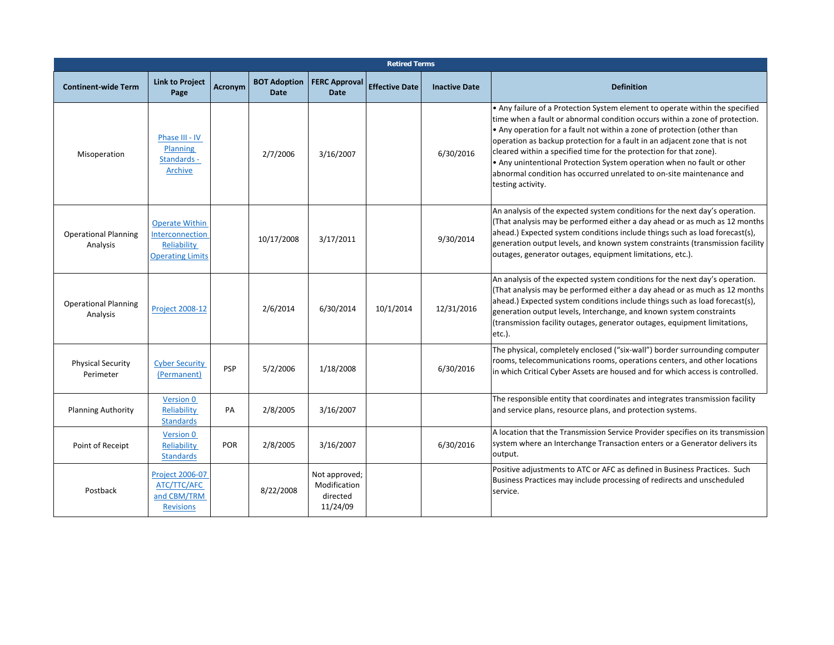|                                         | <b>Retired Terms</b>                                                               |                |                                    |                                                       |                       |                      |                                                                                                                                                                                                                                                                                                                                                                                                                                                                                                                                                                   |  |  |  |  |  |
|-----------------------------------------|------------------------------------------------------------------------------------|----------------|------------------------------------|-------------------------------------------------------|-----------------------|----------------------|-------------------------------------------------------------------------------------------------------------------------------------------------------------------------------------------------------------------------------------------------------------------------------------------------------------------------------------------------------------------------------------------------------------------------------------------------------------------------------------------------------------------------------------------------------------------|--|--|--|--|--|
| <b>Continent-wide Term</b>              | <b>Link to Project</b><br>Page                                                     | <b>Acronym</b> | <b>BOT Adoption</b><br><b>Date</b> | <b>FERC Approval</b><br><b>Date</b>                   | <b>Effective Date</b> | <b>Inactive Date</b> | <b>Definition</b>                                                                                                                                                                                                                                                                                                                                                                                                                                                                                                                                                 |  |  |  |  |  |
| Misoperation                            | Phase III - IV<br><b>Planning</b><br>Standards -<br>Archive                        |                | 2/7/2006                           | 3/16/2007                                             |                       | 6/30/2016            | • Any failure of a Protection System element to operate within the specified<br>time when a fault or abnormal condition occurs within a zone of protection.<br>• Any operation for a fault not within a zone of protection (other than<br>operation as backup protection for a fault in an adjacent zone that is not<br>cleared within a specified time for the protection for that zone).<br>• Any unintentional Protection System operation when no fault or other<br>abnormal condition has occurred unrelated to on-site maintenance and<br>testing activity. |  |  |  |  |  |
| <b>Operational Planning</b><br>Analysis | <b>Operate Within</b><br>Interconnection<br>Reliability<br><b>Operating Limits</b> |                | 10/17/2008                         | 3/17/2011                                             |                       | 9/30/2014            | An analysis of the expected system conditions for the next day's operation.<br>(That analysis may be performed either a day ahead or as much as 12 months<br>ahead.) Expected system conditions include things such as load forecast(s),<br>generation output levels, and known system constraints (transmission facility<br>outages, generator outages, equipment limitations, etc.).                                                                                                                                                                            |  |  |  |  |  |
| <b>Operational Planning</b><br>Analysis | <b>Project 2008-12</b>                                                             |                | 2/6/2014                           | 6/30/2014                                             | 10/1/2014             | 12/31/2016           | An analysis of the expected system conditions for the next day's operation.<br>(That analysis may be performed either a day ahead or as much as 12 months<br>ahead.) Expected system conditions include things such as load forecast(s),<br>generation output levels, Interchange, and known system constraints<br>(transmission facility outages, generator outages, equipment limitations,<br>$etc.$ ).                                                                                                                                                         |  |  |  |  |  |
| <b>Physical Security</b><br>Perimeter   | <b>Cyber Security</b><br>(Permanent)                                               | <b>PSP</b>     | 5/2/2006                           | 1/18/2008                                             |                       | 6/30/2016            | The physical, completely enclosed ("six-wall") border surrounding computer<br>rooms, telecommunications rooms, operations centers, and other locations<br>in which Critical Cyber Assets are housed and for which access is controlled.                                                                                                                                                                                                                                                                                                                           |  |  |  |  |  |
| <b>Planning Authority</b>               | Version 0<br>Reliability<br><b>Standards</b>                                       | PA             | 2/8/2005                           | 3/16/2007                                             |                       |                      | The responsible entity that coordinates and integrates transmission facility<br>and service plans, resource plans, and protection systems.                                                                                                                                                                                                                                                                                                                                                                                                                        |  |  |  |  |  |
| Point of Receipt                        | Version 0<br>Reliability<br><b>Standards</b>                                       | POR            | 2/8/2005                           | 3/16/2007                                             |                       | 6/30/2016            | A location that the Transmission Service Provider specifies on its transmission<br>system where an Interchange Transaction enters or a Generator delivers its<br>output.                                                                                                                                                                                                                                                                                                                                                                                          |  |  |  |  |  |
| Postback                                | <b>Project 2006-07</b><br>ATC/TTC/AFC<br>and CBM/TRM<br><b>Revisions</b>           |                | 8/22/2008                          | Not approved;<br>Modification<br>directed<br>11/24/09 |                       |                      | Positive adjustments to ATC or AFC as defined in Business Practices. Such<br>Business Practices may include processing of redirects and unscheduled<br>service.                                                                                                                                                                                                                                                                                                                                                                                                   |  |  |  |  |  |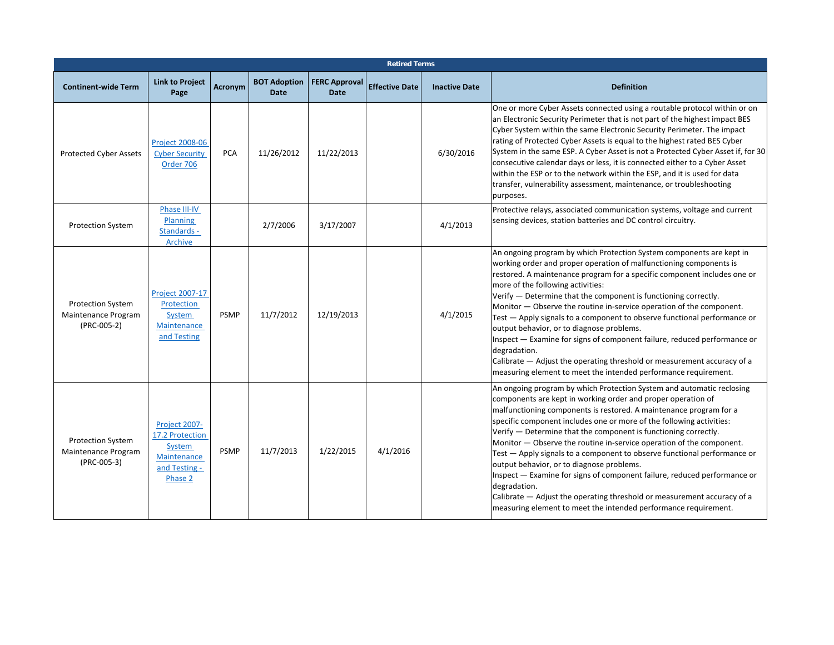| <b>Retired Terms</b>                                           |                                                                                       |                |                                    |                                     |                       |                      |                                                                                                                                                                                                                                                                                                                                                                                                                                                                                                                                                                                                                                                                                                                                                                                                   |  |  |  |
|----------------------------------------------------------------|---------------------------------------------------------------------------------------|----------------|------------------------------------|-------------------------------------|-----------------------|----------------------|---------------------------------------------------------------------------------------------------------------------------------------------------------------------------------------------------------------------------------------------------------------------------------------------------------------------------------------------------------------------------------------------------------------------------------------------------------------------------------------------------------------------------------------------------------------------------------------------------------------------------------------------------------------------------------------------------------------------------------------------------------------------------------------------------|--|--|--|
| <b>Continent-wide Term</b>                                     | <b>Link to Project</b><br>Page                                                        | <b>Acronym</b> | <b>BOT Adoption</b><br><b>Date</b> | <b>FERC Approval</b><br><b>Date</b> | <b>Effective Date</b> | <b>Inactive Date</b> | <b>Definition</b>                                                                                                                                                                                                                                                                                                                                                                                                                                                                                                                                                                                                                                                                                                                                                                                 |  |  |  |
| <b>Protected Cyber Assets</b>                                  | <b>Project 2008-06</b><br><b>Cyber Security</b><br>Order 706                          | PCA            | 11/26/2012                         | 11/22/2013                          |                       | 6/30/2016            | One or more Cyber Assets connected using a routable protocol within or on<br>an Electronic Security Perimeter that is not part of the highest impact BES<br>Cyber System within the same Electronic Security Perimeter. The impact<br>rating of Protected Cyber Assets is equal to the highest rated BES Cyber<br>System in the same ESP. A Cyber Asset is not a Protected Cyber Asset if, for 30<br>consecutive calendar days or less, it is connected either to a Cyber Asset<br>within the ESP or to the network within the ESP, and it is used for data<br>transfer, vulnerability assessment, maintenance, or troubleshooting<br>purposes.                                                                                                                                                   |  |  |  |
| <b>Protection System</b>                                       | Phase III-IV<br><b>Planning</b><br>Standards -<br><b>Archive</b>                      |                | 2/7/2006                           | 3/17/2007                           |                       | 4/1/2013             | Protective relays, associated communication systems, voltage and current<br>sensing devices, station batteries and DC control circuitry.                                                                                                                                                                                                                                                                                                                                                                                                                                                                                                                                                                                                                                                          |  |  |  |
| <b>Protection System</b><br>Maintenance Program<br>(PRC-005-2) | Project 2007-17<br>Protection<br>System<br>Maintenance<br>and Testing                 | <b>PSMP</b>    | 11/7/2012                          | 12/19/2013                          |                       | 4/1/2015             | An ongoing program by which Protection System components are kept in<br>working order and proper operation of malfunctioning components is<br>restored. A maintenance program for a specific component includes one or<br>more of the following activities:<br>Verify - Determine that the component is functioning correctly.<br>Monitor - Observe the routine in-service operation of the component.<br>Test - Apply signals to a component to observe functional performance or<br>output behavior, or to diagnose problems.<br>Inspect - Examine for signs of component failure, reduced performance or<br>degradation.<br>Calibrate – Adjust the operating threshold or measurement accuracy of a<br>measuring element to meet the intended performance requirement.                         |  |  |  |
| <b>Protection System</b><br>Maintenance Program<br>(PRC-005-3) | Project 2007-<br>17.2 Protection<br>System<br>Maintenance<br>and Testing -<br>Phase 2 | <b>PSMP</b>    | 11/7/2013                          | 1/22/2015                           | 4/1/2016              |                      | An ongoing program by which Protection System and automatic reclosing<br>components are kept in working order and proper operation of<br>malfunctioning components is restored. A maintenance program for a<br>specific component includes one or more of the following activities:<br>Verify - Determine that the component is functioning correctly.<br>Monitor — Observe the routine in-service operation of the component.<br>Test - Apply signals to a component to observe functional performance or<br>output behavior, or to diagnose problems.<br>Inspect - Examine for signs of component failure, reduced performance or<br>degradation.<br>Calibrate - Adjust the operating threshold or measurement accuracy of a<br>measuring element to meet the intended performance requirement. |  |  |  |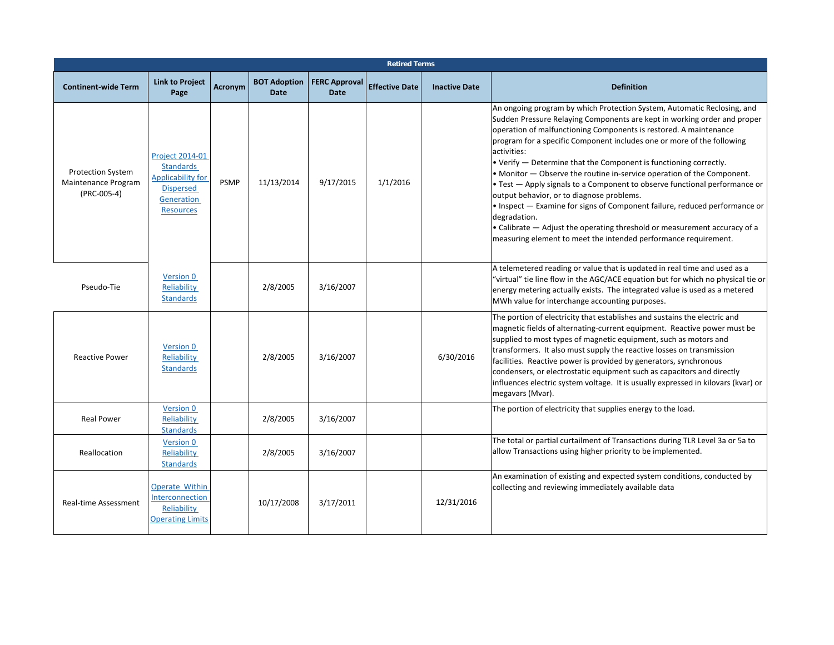|                                                                |                                                                                                                       |             |                                    |                                     | <b>Retired Terms</b>  |                      |                                                                                                                                                                                                                                                                                                                                                                                                                                                                                                                                                                                                                                                                                                                                                                                                                                           |
|----------------------------------------------------------------|-----------------------------------------------------------------------------------------------------------------------|-------------|------------------------------------|-------------------------------------|-----------------------|----------------------|-------------------------------------------------------------------------------------------------------------------------------------------------------------------------------------------------------------------------------------------------------------------------------------------------------------------------------------------------------------------------------------------------------------------------------------------------------------------------------------------------------------------------------------------------------------------------------------------------------------------------------------------------------------------------------------------------------------------------------------------------------------------------------------------------------------------------------------------|
| <b>Continent-wide Term</b>                                     | <b>Link to Project</b><br>Page                                                                                        | Acronym     | <b>BOT Adoption</b><br><b>Date</b> | <b>FERC Approval</b><br><b>Date</b> | <b>Effective Date</b> | <b>Inactive Date</b> | <b>Definition</b>                                                                                                                                                                                                                                                                                                                                                                                                                                                                                                                                                                                                                                                                                                                                                                                                                         |
| <b>Protection System</b><br>Maintenance Program<br>(PRC-005-4) | <b>Project 2014-01</b><br><b>Standards</b><br>Applicability for<br><b>Dispersed</b><br>Generation<br><b>Resources</b> | <b>PSMP</b> | 11/13/2014                         | 9/17/2015                           | 1/1/2016              |                      | An ongoing program by which Protection System, Automatic Reclosing, and<br>Sudden Pressure Relaying Components are kept in working order and proper<br>operation of malfunctioning Components is restored. A maintenance<br>program for a specific Component includes one or more of the following<br>activities:<br>• Verify - Determine that the Component is functioning correctly.<br>• Monitor - Observe the routine in-service operation of the Component.<br>• Test - Apply signals to a Component to observe functional performance or<br>output behavior, or to diagnose problems.<br>• Inspect - Examine for signs of Component failure, reduced performance or<br>degradation.<br>• Calibrate - Adjust the operating threshold or measurement accuracy of a<br>measuring element to meet the intended performance requirement. |
| Pseudo-Tie                                                     | Version 0<br>Reliability<br><b>Standards</b>                                                                          |             | 2/8/2005                           | 3/16/2007                           |                       |                      | A telemetered reading or value that is updated in real time and used as a<br>"virtual" tie line flow in the AGC/ACE equation but for which no physical tie or<br>energy metering actually exists. The integrated value is used as a metered<br>MWh value for interchange accounting purposes.                                                                                                                                                                                                                                                                                                                                                                                                                                                                                                                                             |
| <b>Reactive Power</b>                                          | Version 0<br>Reliability<br><b>Standards</b>                                                                          |             | 2/8/2005                           | 3/16/2007                           |                       | 6/30/2016            | The portion of electricity that establishes and sustains the electric and<br>magnetic fields of alternating-current equipment. Reactive power must be<br>supplied to most types of magnetic equipment, such as motors and<br>transformers. It also must supply the reactive losses on transmission<br>facilities. Reactive power is provided by generators, synchronous<br>condensers, or electrostatic equipment such as capacitors and directly<br>influences electric system voltage. It is usually expressed in kilovars (kvar) or<br>megavars (Mvar).                                                                                                                                                                                                                                                                                |
| <b>Real Power</b>                                              | <b>Version 0</b><br>Reliability<br><b>Standards</b>                                                                   |             | 2/8/2005                           | 3/16/2007                           |                       |                      | The portion of electricity that supplies energy to the load.                                                                                                                                                                                                                                                                                                                                                                                                                                                                                                                                                                                                                                                                                                                                                                              |
| Reallocation                                                   | Version 0<br>Reliability<br><b>Standards</b>                                                                          |             | 2/8/2005                           | 3/16/2007                           |                       |                      | The total or partial curtailment of Transactions during TLR Level 3a or 5a to<br>allow Transactions using higher priority to be implemented.                                                                                                                                                                                                                                                                                                                                                                                                                                                                                                                                                                                                                                                                                              |
| Real-time Assessment                                           | <b>Operate Within</b><br>Interconnection<br>Reliability<br><b>Operating Limits</b>                                    |             | 10/17/2008                         | 3/17/2011                           |                       | 12/31/2016           | An examination of existing and expected system conditions, conducted by<br>collecting and reviewing immediately available data                                                                                                                                                                                                                                                                                                                                                                                                                                                                                                                                                                                                                                                                                                            |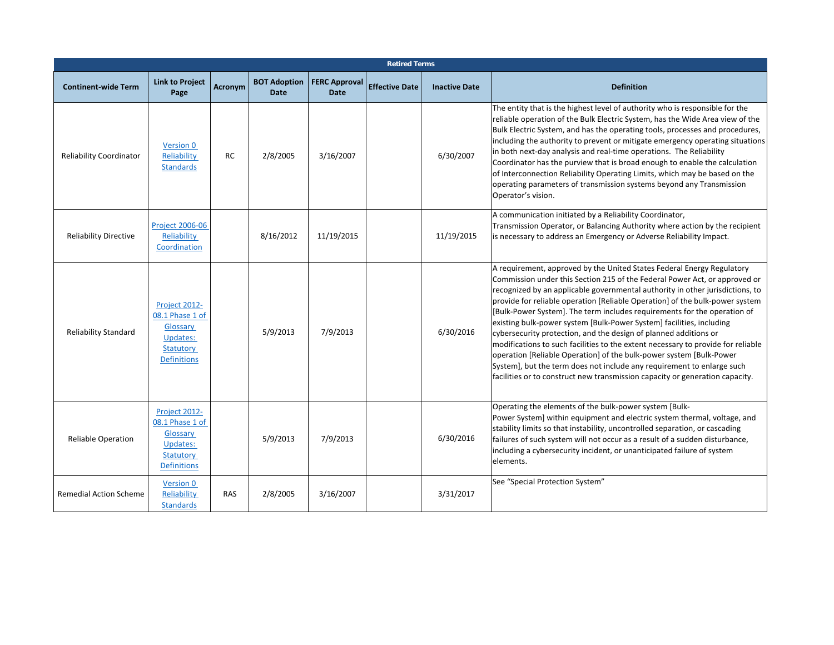|                                | <b>Retired Terms</b>                                                                        |            |                                    |                                     |                       |                      |                                                                                                                                                                                                                                                                                                                                                                                                                                                                                                                                                                                                                                                                                                                                                                                                                                                                    |  |  |  |  |  |
|--------------------------------|---------------------------------------------------------------------------------------------|------------|------------------------------------|-------------------------------------|-----------------------|----------------------|--------------------------------------------------------------------------------------------------------------------------------------------------------------------------------------------------------------------------------------------------------------------------------------------------------------------------------------------------------------------------------------------------------------------------------------------------------------------------------------------------------------------------------------------------------------------------------------------------------------------------------------------------------------------------------------------------------------------------------------------------------------------------------------------------------------------------------------------------------------------|--|--|--|--|--|
| <b>Continent-wide Term</b>     | <b>Link to Project</b><br>Page                                                              | Acronym    | <b>BOT Adoption</b><br><b>Date</b> | <b>FERC Approval</b><br><b>Date</b> | <b>Effective Date</b> | <b>Inactive Date</b> | <b>Definition</b>                                                                                                                                                                                                                                                                                                                                                                                                                                                                                                                                                                                                                                                                                                                                                                                                                                                  |  |  |  |  |  |
| <b>Reliability Coordinator</b> | Version 0<br>Reliability<br><b>Standards</b>                                                | RC         | 2/8/2005                           | 3/16/2007                           |                       | 6/30/2007            | The entity that is the highest level of authority who is responsible for the<br>reliable operation of the Bulk Electric System, has the Wide Area view of the<br>Bulk Electric System, and has the operating tools, processes and procedures,<br>including the authority to prevent or mitigate emergency operating situations<br>in both next-day analysis and real-time operations. The Reliability<br>Coordinator has the purview that is broad enough to enable the calculation<br>of Interconnection Reliability Operating Limits, which may be based on the<br>operating parameters of transmission systems beyond any Transmission<br>Operator's vision.                                                                                                                                                                                                    |  |  |  |  |  |
| <b>Reliability Directive</b>   | <b>Project 2006-06</b><br>Reliability<br>Coordination                                       |            | 8/16/2012                          | 11/19/2015                          |                       | 11/19/2015           | A communication initiated by a Reliability Coordinator,<br>Transmission Operator, or Balancing Authority where action by the recipient<br>is necessary to address an Emergency or Adverse Reliability Impact.                                                                                                                                                                                                                                                                                                                                                                                                                                                                                                                                                                                                                                                      |  |  |  |  |  |
| <b>Reliability Standard</b>    | Project 2012-<br>08.1 Phase 1 of<br>Glossary<br>Updates:<br>Statutory<br><b>Definitions</b> |            | 5/9/2013                           | 7/9/2013                            |                       | 6/30/2016            | A requirement, approved by the United States Federal Energy Regulatory<br>Commission under this Section 215 of the Federal Power Act, or approved or<br>recognized by an applicable governmental authority in other jurisdictions, to<br>provide for reliable operation [Reliable Operation] of the bulk-power system<br>[Bulk-Power System]. The term includes requirements for the operation of<br>existing bulk-power system [Bulk-Power System] facilities, including<br>cybersecurity protection, and the design of planned additions or<br>modifications to such facilities to the extent necessary to provide for reliable<br>operation [Reliable Operation] of the bulk-power system [Bulk-Power<br>System], but the term does not include any requirement to enlarge such<br>facilities or to construct new transmission capacity or generation capacity. |  |  |  |  |  |
| <b>Reliable Operation</b>      | Project 2012-<br>08.1 Phase 1 of<br>Glossary<br>Updates:<br>Statutory<br><b>Definitions</b> |            | 5/9/2013                           | 7/9/2013                            |                       | 6/30/2016            | Operating the elements of the bulk-power system [Bulk-<br>Power System] within equipment and electric system thermal, voltage, and<br>stability limits so that instability, uncontrolled separation, or cascading<br>failures of such system will not occur as a result of a sudden disturbance,<br>including a cybersecurity incident, or unanticipated failure of system<br>elements.                                                                                                                                                                                                                                                                                                                                                                                                                                                                            |  |  |  |  |  |
| <b>Remedial Action Scheme</b>  | Version 0<br>Reliability<br><b>Standards</b>                                                | <b>RAS</b> | 2/8/2005                           | 3/16/2007                           |                       | 3/31/2017            | See "Special Protection System"                                                                                                                                                                                                                                                                                                                                                                                                                                                                                                                                                                                                                                                                                                                                                                                                                                    |  |  |  |  |  |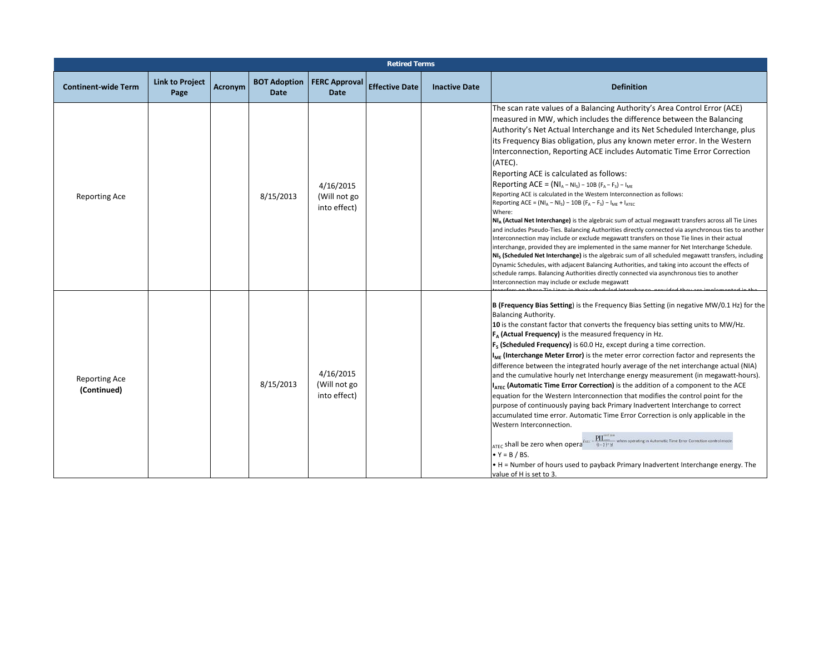|                                     |                                |                |                                    |                                           | <b>Retired Terms</b>  |                      |                                                                                                                                                                                                                                                                                                                                                                                                                                                                                                                                                                                                                                                                                                                                                                                                                                                                                                                                                                                                                                                                                                                                                                                                                                                                                                                                                                                                                                                                      |
|-------------------------------------|--------------------------------|----------------|------------------------------------|-------------------------------------------|-----------------------|----------------------|----------------------------------------------------------------------------------------------------------------------------------------------------------------------------------------------------------------------------------------------------------------------------------------------------------------------------------------------------------------------------------------------------------------------------------------------------------------------------------------------------------------------------------------------------------------------------------------------------------------------------------------------------------------------------------------------------------------------------------------------------------------------------------------------------------------------------------------------------------------------------------------------------------------------------------------------------------------------------------------------------------------------------------------------------------------------------------------------------------------------------------------------------------------------------------------------------------------------------------------------------------------------------------------------------------------------------------------------------------------------------------------------------------------------------------------------------------------------|
| <b>Continent-wide Term</b>          | <b>Link to Project</b><br>Page | <b>Acronym</b> | <b>BOT Adoption</b><br><b>Date</b> | <b>FERC Approval</b><br><b>Date</b>       | <b>Effective Date</b> | <b>Inactive Date</b> | <b>Definition</b>                                                                                                                                                                                                                                                                                                                                                                                                                                                                                                                                                                                                                                                                                                                                                                                                                                                                                                                                                                                                                                                                                                                                                                                                                                                                                                                                                                                                                                                    |
| Reporting Ace                       |                                |                | 8/15/2013                          | 4/16/2015<br>(Will not go<br>into effect) |                       |                      | The scan rate values of a Balancing Authority's Area Control Error (ACE)<br>measured in MW, which includes the difference between the Balancing<br>Authority's Net Actual Interchange and its Net Scheduled Interchange, plus<br>its Frequency Bias obligation, plus any known meter error. In the Western<br>Interconnection, Reporting ACE includes Automatic Time Error Correction<br>(ATEC).<br>Reporting ACE is calculated as follows:<br>Reporting ACE = $(NI_A - NI_S) - 10B (F_A - F_S) - I_{MF}$<br>Reporting ACE is calculated in the Western Interconnection as follows:<br>Reporting ACE = $(NI_A - NI_S) - 10B (F_A - F_S) - I_{ME} + I_{ATEC}$<br>Where:<br>NI <sub>A</sub> (Actual Net Interchange) is the algebraic sum of actual megawatt transfers across all Tie Lines<br>and includes Pseudo-Ties. Balancing Authorities directly connected via asynchronous ties to another<br>Interconnection may include or exclude megawatt transfers on those Tie lines in their actual<br>interchange, provided they are implemented in the same manner for Net Interchange Schedule.<br>NI <sub>s</sub> (Scheduled Net Interchange) is the algebraic sum of all scheduled megawatt transfers, including<br>Dynamic Schedules, with adjacent Balancing Authorities, and taking into account the effects of<br>schedule ramps. Balancing Authorities directly connected via asynchronous ties to another<br>Interconnection may include or exclude megawatt |
| <b>Reporting Ace</b><br>(Continued) |                                |                | 8/15/2013                          | 4/16/2015<br>(Will not go<br>into effect) |                       |                      | B (Frequency Bias Setting) is the Frequency Bias Setting (in negative MW/0.1 Hz) for the<br>Balancing Authority.<br>10 is the constant factor that converts the frequency bias setting units to MW/Hz.<br>$F_{\alpha}$ (Actual Frequency) is the measured frequency in Hz.<br>$Fs$ (Scheduled Frequency) is 60.0 Hz, except during a time correction.<br>I <sub>MF</sub> (Interchange Meter Error) is the meter error correction factor and represents the<br>difference between the integrated hourly average of the net interchange actual (NIA)<br>and the cumulative hourly net Interchange energy measurement (in megawatt-hours).<br>IATEC (Automatic Time Error Correction) is the addition of a component to the ACE<br>equation for the Western Interconnection that modifies the control point for the<br>purpose of continuously paying back Primary Inadvertent Interchange to correct<br>accumulated time error. Automatic Time Error Correction is only applicable in the<br>Western Interconnection.<br>$Lzzc = \frac{PII^{max\_max}_{conv}}{(1 - Y)^{\nu}H}$ when operating in Automatic Time Error Correction control mode.<br>ATEC shall be zero when opera<br>$\bullet$ Y = B / BS.<br>• H = Number of hours used to payback Primary Inadvertent Interchange energy. The<br>value of H is set to 3.                                                                                                                                               |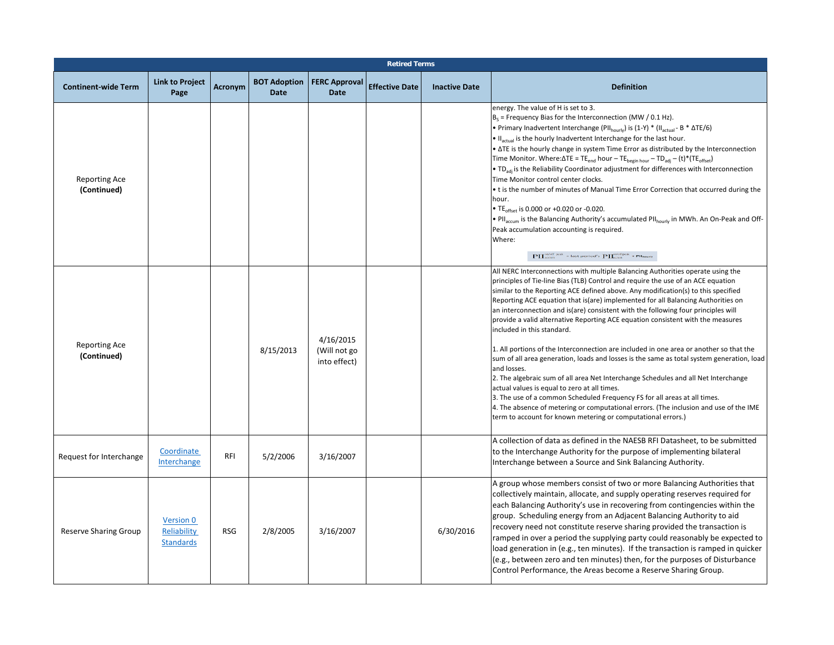|                                     |                                              |            |                                    |                                           | <b>Retired Terms</b>  |                      |                                                                                                                                                                                                                                                                                                                                                                                                                                                                                                                                                                                                                                                                                                                                                                                                                                                                                                                                                                                                                                                                                                                                      |
|-------------------------------------|----------------------------------------------|------------|------------------------------------|-------------------------------------------|-----------------------|----------------------|--------------------------------------------------------------------------------------------------------------------------------------------------------------------------------------------------------------------------------------------------------------------------------------------------------------------------------------------------------------------------------------------------------------------------------------------------------------------------------------------------------------------------------------------------------------------------------------------------------------------------------------------------------------------------------------------------------------------------------------------------------------------------------------------------------------------------------------------------------------------------------------------------------------------------------------------------------------------------------------------------------------------------------------------------------------------------------------------------------------------------------------|
| <b>Continent-wide Term</b>          | <b>Link to Project</b><br>Page               | Acronym    | <b>BOT Adoption</b><br><b>Date</b> | <b>FERC Approval</b><br><b>Date</b>       | <b>Effective Date</b> | <b>Inactive Date</b> | <b>Definition</b>                                                                                                                                                                                                                                                                                                                                                                                                                                                                                                                                                                                                                                                                                                                                                                                                                                                                                                                                                                                                                                                                                                                    |
| <b>Reporting Ace</b><br>(Continued) |                                              |            |                                    |                                           |                       |                      | energy. The value of H is set to 3.<br>$B_s$ = Frequency Bias for the Interconnection (MW / 0.1 Hz).<br>• Primary Inadvertent Interchange (PII <sub>hourly</sub> ) is (1-Y) * (II <sub>actual</sub> - B * ΔTE/6)<br>. Il <sub>actual</sub> is the hourly Inadvertent Interchange for the last hour.<br>• ATE is the hourly change in system Time Error as distributed by the Interconnection<br>Time Monitor. Where: $\Delta TE = TE_{end}$ hour - $TE_{begin}$ hour - $TD_{adi}$ - $(t)^*(TE_{offset})$<br>• TD <sub>adi</sub> is the Reliability Coordinator adjustment for differences with Interconnection<br>Time Monitor control center clocks.<br>• t is the number of minutes of Manual Time Error Correction that occurred during the<br>hour.<br>• TE <sub>offset</sub> is 0.000 or +0.020 or -0.020.<br>• Pll <sub>accum</sub> is the Balancing Authority's accumulated Pll <sub>hourly</sub> in MWh. An On-Peak and Off-<br>Peak accumulation accounting is required.<br>Where:<br>$\mathbf{P}\mathbf{\Pi}^{\text{cutoff peak}}$ = last period's $\mathbf{P}\mathbf{\Pi}^{\text{coefficient}}_{\text{ccum}}$ + Plhaurly  |
| <b>Reporting Ace</b><br>(Continued) |                                              |            | 8/15/2013                          | 4/16/2015<br>(Will not go<br>into effect) |                       |                      | All NERC Interconnections with multiple Balancing Authorities operate using the<br>principles of Tie-line Bias (TLB) Control and require the use of an ACE equation<br>similar to the Reporting ACE defined above. Any modification(s) to this specified<br>Reporting ACE equation that is(are) implemented for all Balancing Authorities on<br>an interconnection and is(are) consistent with the following four principles will<br>provide a valid alternative Reporting ACE equation consistent with the measures<br>included in this standard.<br>1. All portions of the Interconnection are included in one area or another so that the<br>sum of all area generation, loads and losses is the same as total system generation, load<br>and losses.<br>2. The algebraic sum of all area Net Interchange Schedules and all Net Interchange<br>actual values is equal to zero at all times.<br>3. The use of a common Scheduled Frequency FS for all areas at all times.<br>4. The absence of metering or computational errors. (The inclusion and use of the IME<br>term to account for known metering or computational errors.) |
| Request for Interchange             | Coordinate<br>Interchange                    | <b>RFI</b> | 5/2/2006                           | 3/16/2007                                 |                       |                      | A collection of data as defined in the NAESB RFI Datasheet, to be submitted<br>to the Interchange Authority for the purpose of implementing bilateral<br>Interchange between a Source and Sink Balancing Authority.                                                                                                                                                                                                                                                                                                                                                                                                                                                                                                                                                                                                                                                                                                                                                                                                                                                                                                                  |
| <b>Reserve Sharing Group</b>        | Version 0<br>Reliability<br><b>Standards</b> | <b>RSG</b> | 2/8/2005                           | 3/16/2007                                 |                       | 6/30/2016            | A group whose members consist of two or more Balancing Authorities that<br>collectively maintain, allocate, and supply operating reserves required for<br>each Balancing Authority's use in recovering from contingencies within the<br>group. Scheduling energy from an Adjacent Balancing Authority to aid<br>recovery need not constitute reserve sharing provided the transaction is<br>ramped in over a period the supplying party could reasonably be expected to<br>load generation in (e.g., ten minutes). If the transaction is ramped in quicker<br>(e.g., between zero and ten minutes) then, for the purposes of Disturbance<br>Control Performance, the Areas become a Reserve Sharing Group.                                                                                                                                                                                                                                                                                                                                                                                                                           |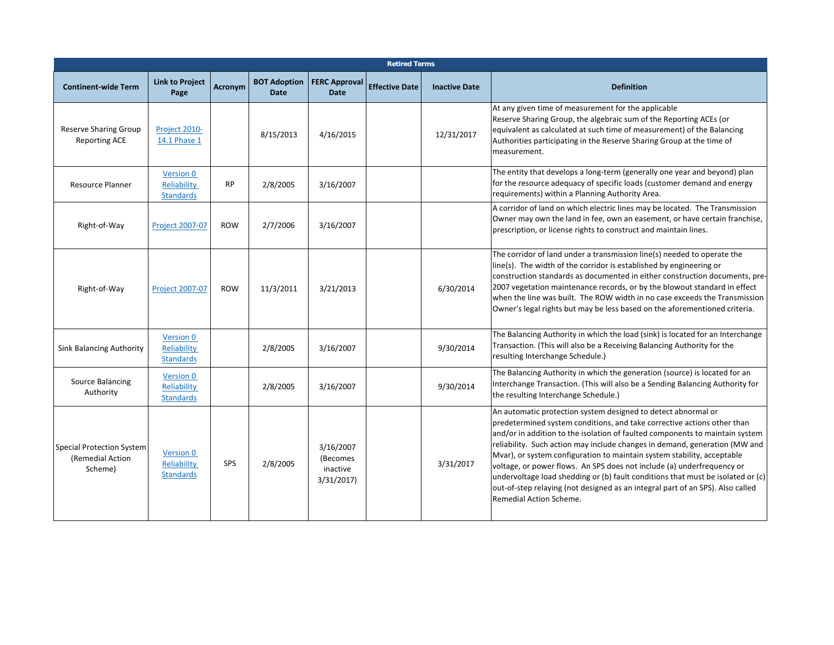|                                                                 | <b>Retired Terms</b>                                |            |                                    |                                                |                       |                      |                                                                                                                                                                                                                                                                                                                                                                                                                                                                                                                                                                                                                                                             |  |  |  |  |
|-----------------------------------------------------------------|-----------------------------------------------------|------------|------------------------------------|------------------------------------------------|-----------------------|----------------------|-------------------------------------------------------------------------------------------------------------------------------------------------------------------------------------------------------------------------------------------------------------------------------------------------------------------------------------------------------------------------------------------------------------------------------------------------------------------------------------------------------------------------------------------------------------------------------------------------------------------------------------------------------------|--|--|--|--|
| <b>Continent-wide Term</b>                                      | <b>Link to Project</b><br>Page                      | Acronym    | <b>BOT Adoption</b><br><b>Date</b> | <b>FERC Approval</b><br><b>Date</b>            | <b>Effective Date</b> | <b>Inactive Date</b> | <b>Definition</b>                                                                                                                                                                                                                                                                                                                                                                                                                                                                                                                                                                                                                                           |  |  |  |  |
| <b>Reserve Sharing Group</b><br><b>Reporting ACE</b>            | Project 2010-<br>14.1 Phase 1                       |            | 8/15/2013                          | 4/16/2015                                      |                       | 12/31/2017           | At any given time of measurement for the applicable<br>Reserve Sharing Group, the algebraic sum of the Reporting ACEs (or<br>equivalent as calculated at such time of measurement) of the Balancing<br>Authorities participating in the Reserve Sharing Group at the time of<br>measurement.                                                                                                                                                                                                                                                                                                                                                                |  |  |  |  |
| <b>Resource Planner</b>                                         | <b>Version 0</b><br>Reliability<br><b>Standards</b> | <b>RP</b>  | 2/8/2005                           | 3/16/2007                                      |                       |                      | The entity that develops a long-term (generally one year and beyond) plan<br>for the resource adequacy of specific loads (customer demand and energy<br>requirements) within a Planning Authority Area.                                                                                                                                                                                                                                                                                                                                                                                                                                                     |  |  |  |  |
| Right-of-Way                                                    | <b>Project 2007-07</b>                              | <b>ROW</b> | 2/7/2006                           | 3/16/2007                                      |                       |                      | A corridor of land on which electric lines may be located. The Transmission<br>Owner may own the land in fee, own an easement, or have certain franchise,<br>prescription, or license rights to construct and maintain lines.                                                                                                                                                                                                                                                                                                                                                                                                                               |  |  |  |  |
| Right-of-Way                                                    | <b>Project 2007-07</b>                              | <b>ROW</b> | 11/3/2011                          | 3/21/2013                                      |                       | 6/30/2014            | The corridor of land under a transmission line(s) needed to operate the<br>line(s). The width of the corridor is established by engineering or<br>construction standards as documented in either construction documents, pre-<br>2007 vegetation maintenance records, or by the blowout standard in effect<br>when the line was built. The ROW width in no case exceeds the Transmission<br>Owner's legal rights but may be less based on the aforementioned criteria.                                                                                                                                                                                      |  |  |  |  |
| <b>Sink Balancing Authority</b>                                 | Version 0<br>Reliability<br><b>Standards</b>        |            | 2/8/2005                           | 3/16/2007                                      |                       | 9/30/2014            | The Balancing Authority in which the load (sink) is located for an Interchange<br>Transaction. (This will also be a Receiving Balancing Authority for the<br>resulting Interchange Schedule.)                                                                                                                                                                                                                                                                                                                                                                                                                                                               |  |  |  |  |
| Source Balancing<br>Authority                                   | <b>Version 0</b><br>Reliability<br><b>Standards</b> |            | 2/8/2005                           | 3/16/2007                                      |                       | 9/30/2014            | The Balancing Authority in which the generation (source) is located for an<br>Interchange Transaction. (This will also be a Sending Balancing Authority for<br>the resulting Interchange Schedule.)                                                                                                                                                                                                                                                                                                                                                                                                                                                         |  |  |  |  |
| <b>Special Protection System</b><br>(Remedial Action<br>Scheme) | <b>Version 0</b><br>Reliability<br><b>Standards</b> | SPS        | 2/8/2005                           | 3/16/2007<br>(Becomes<br>inactive<br>3/31/2017 |                       | 3/31/2017            | An automatic protection system designed to detect abnormal or<br>predetermined system conditions, and take corrective actions other than<br>and/or in addition to the isolation of faulted components to maintain system<br>reliability. Such action may include changes in demand, generation (MW and<br>Mvar), or system configuration to maintain system stability, acceptable<br>voltage, or power flows. An SPS does not include (a) underfrequency or<br>undervoltage load shedding or (b) fault conditions that must be isolated or (c)<br>out-of-step relaying (not designed as an integral part of an SPS). Also called<br>Remedial Action Scheme. |  |  |  |  |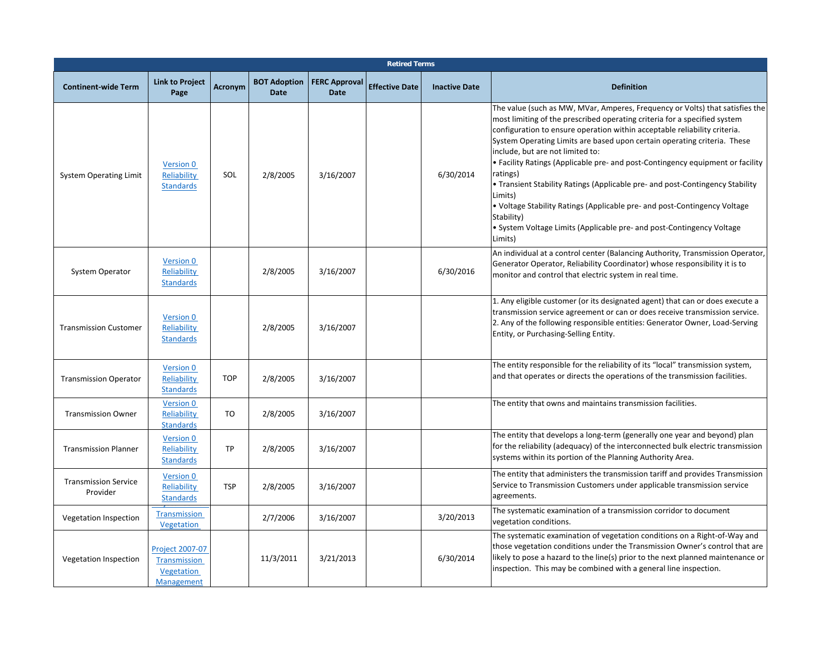|                                         |                                                                    |                |                                    |                                     | <b>Retired Terms</b>  |                      |                                                                                                                                                                                                                                                                                                                                                                                                                                                                                                                                                                                                                                                                                                                                 |
|-----------------------------------------|--------------------------------------------------------------------|----------------|------------------------------------|-------------------------------------|-----------------------|----------------------|---------------------------------------------------------------------------------------------------------------------------------------------------------------------------------------------------------------------------------------------------------------------------------------------------------------------------------------------------------------------------------------------------------------------------------------------------------------------------------------------------------------------------------------------------------------------------------------------------------------------------------------------------------------------------------------------------------------------------------|
| <b>Continent-wide Term</b>              | <b>Link to Project</b><br>Page                                     | <b>Acronym</b> | <b>BOT Adoption</b><br><b>Date</b> | <b>FERC Approval</b><br><b>Date</b> | <b>Effective Date</b> | <b>Inactive Date</b> | <b>Definition</b>                                                                                                                                                                                                                                                                                                                                                                                                                                                                                                                                                                                                                                                                                                               |
| <b>System Operating Limit</b>           | Version 0<br>Reliability<br><b>Standards</b>                       | SOL            | 2/8/2005                           | 3/16/2007                           |                       | 6/30/2014            | The value (such as MW, MVar, Amperes, Frequency or Volts) that satisfies the<br>most limiting of the prescribed operating criteria for a specified system<br>configuration to ensure operation within acceptable reliability criteria.<br>System Operating Limits are based upon certain operating criteria. These<br>include, but are not limited to:<br>• Facility Ratings (Applicable pre- and post-Contingency equipment or facility<br>ratings)<br>• Transient Stability Ratings (Applicable pre- and post-Contingency Stability<br>Limits)<br>. Voltage Stability Ratings (Applicable pre- and post-Contingency Voltage<br>Stability)<br>• System Voltage Limits (Applicable pre- and post-Contingency Voltage<br>Limits) |
| System Operator                         | Version 0<br><b>Reliability</b><br><b>Standards</b>                |                | 2/8/2005                           | 3/16/2007                           |                       | 6/30/2016            | An individual at a control center (Balancing Authority, Transmission Operator,<br>Generator Operator, Reliability Coordinator) whose responsibility it is to<br>monitor and control that electric system in real time.                                                                                                                                                                                                                                                                                                                                                                                                                                                                                                          |
| <b>Transmission Customer</b>            | Version 0<br>Reliability<br><b>Standards</b>                       |                | 2/8/2005                           | 3/16/2007                           |                       |                      | 1. Any eligible customer (or its designated agent) that can or does execute a<br>transmission service agreement or can or does receive transmission service.<br>2. Any of the following responsible entities: Generator Owner, Load-Serving<br>Entity, or Purchasing-Selling Entity.                                                                                                                                                                                                                                                                                                                                                                                                                                            |
| <b>Transmission Operator</b>            | Version 0<br>Reliability<br><b>Standards</b>                       | <b>TOP</b>     | 2/8/2005                           | 3/16/2007                           |                       |                      | The entity responsible for the reliability of its "local" transmission system,<br>and that operates or directs the operations of the transmission facilities.                                                                                                                                                                                                                                                                                                                                                                                                                                                                                                                                                                   |
| <b>Transmission Owner</b>               | Version 0<br>Reliability<br><b>Standards</b>                       | TO             | 2/8/2005                           | 3/16/2007                           |                       |                      | The entity that owns and maintains transmission facilities.                                                                                                                                                                                                                                                                                                                                                                                                                                                                                                                                                                                                                                                                     |
| <b>Transmission Planner</b>             | Version 0<br>Reliability<br><b>Standards</b>                       | TP             | 2/8/2005                           | 3/16/2007                           |                       |                      | The entity that develops a long-term (generally one year and beyond) plan<br>for the reliability (adequacy) of the interconnected bulk electric transmission<br>systems within its portion of the Planning Authority Area.                                                                                                                                                                                                                                                                                                                                                                                                                                                                                                      |
| <b>Transmission Service</b><br>Provider | Version 0<br>Reliability<br><b>Standards</b>                       | <b>TSP</b>     | 2/8/2005                           | 3/16/2007                           |                       |                      | The entity that administers the transmission tariff and provides Transmission<br>Service to Transmission Customers under applicable transmission service<br>agreements.                                                                                                                                                                                                                                                                                                                                                                                                                                                                                                                                                         |
| Vegetation Inspection                   | <b>Transmission</b><br>Vegetation                                  |                | 2/7/2006                           | 3/16/2007                           |                       | 3/20/2013            | The systematic examination of a transmission corridor to document<br>vegetation conditions.                                                                                                                                                                                                                                                                                                                                                                                                                                                                                                                                                                                                                                     |
| Vegetation Inspection                   | Project 2007-07<br>Transmission<br>Vegetation<br><b>Management</b> |                | 11/3/2011                          | 3/21/2013                           |                       | 6/30/2014            | The systematic examination of vegetation conditions on a Right-of-Way and<br>those vegetation conditions under the Transmission Owner's control that are<br>likely to pose a hazard to the line(s) prior to the next planned maintenance or<br>inspection. This may be combined with a general line inspection.                                                                                                                                                                                                                                                                                                                                                                                                                 |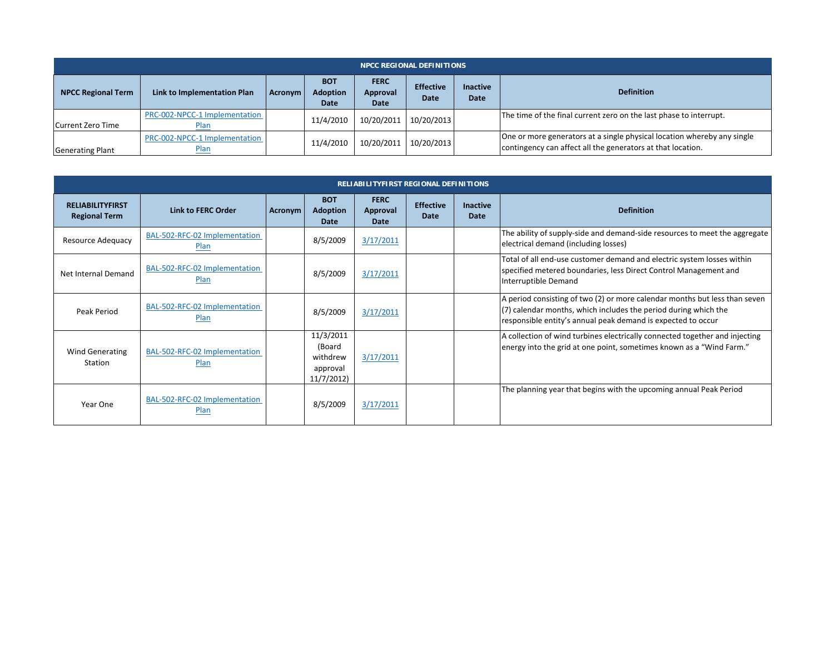|                           |                                       |         |                                       |                                 | <b>NPCC REGIONAL DEFINITIONS</b> |                         |                                                                                                                                        |
|---------------------------|---------------------------------------|---------|---------------------------------------|---------------------------------|----------------------------------|-------------------------|----------------------------------------------------------------------------------------------------------------------------------------|
| <b>NPCC Regional Term</b> | Link to Implementation Plan           | Acronym | <b>BOT</b><br><b>Adoption</b><br>Date | <b>FERC</b><br>Approval<br>Date | <b>Effective</b><br>Date         | <b>Inactive</b><br>Date | <b>Definition</b>                                                                                                                      |
| <b>ICurrent Zero Time</b> | PRC-002-NPCC-1 Implementation<br>Plan |         | 11/4/2010                             | 10/20/2011                      | 10/20/2013                       |                         | The time of the final current zero on the last phase to interrupt.                                                                     |
| <b>Generating Plant</b>   | PRC-002-NPCC-1 Implementation<br>Plan |         | 11/4/2010                             | 10/20/2011                      | 10/20/2013                       |                         | One or more generators at a single physical location whereby any single<br>contingency can affect all the generators at that location. |

|                                                 | <b>RELIABILITYFIRST REGIONAL DEFINITIONS</b> |                |                                                          |                                 |                          |                         |                                                                                                                                                                                                                 |  |  |
|-------------------------------------------------|----------------------------------------------|----------------|----------------------------------------------------------|---------------------------------|--------------------------|-------------------------|-----------------------------------------------------------------------------------------------------------------------------------------------------------------------------------------------------------------|--|--|
| <b>RELIABILITYFIRST</b><br><b>Regional Term</b> | Link to FERC Order                           | <b>Acronym</b> | <b>BOT</b><br>Adoption<br>Date                           | <b>FERC</b><br>Approval<br>Date | <b>Effective</b><br>Date | <b>Inactive</b><br>Date | <b>Definition</b>                                                                                                                                                                                               |  |  |
| Resource Adequacy                               | BAL-502-RFC-02 Implementation<br>Plan        |                | 8/5/2009                                                 | 3/17/2011                       |                          |                         | The ability of supply-side and demand-side resources to meet the aggregate<br>electrical demand (including losses)                                                                                              |  |  |
| Net Internal Demand                             | BAL-502-RFC-02 Implementation<br>Plan        |                | 8/5/2009                                                 | 3/17/2011                       |                          |                         | Total of all end-use customer demand and electric system losses within<br>specified metered boundaries, less Direct Control Management and<br>Interruptible Demand                                              |  |  |
| Peak Period                                     | BAL-502-RFC-02 Implementation<br>Plan        |                | 8/5/2009                                                 | 3/17/2011                       |                          |                         | A period consisting of two (2) or more calendar months but less than seven<br>$(7)$ calendar months, which includes the period during which the<br>responsible entity's annual peak demand is expected to occur |  |  |
| Wind Generating<br>Station                      | BAL-502-RFC-02 Implementation<br>Plan        |                | 11/3/2011<br>(Board<br>withdrew<br>approval<br>11/7/2012 | 3/17/2011                       |                          |                         | A collection of wind turbines electrically connected together and injecting<br>energy into the grid at one point, sometimes known as a "Wind Farm."                                                             |  |  |
| Year One                                        | BAL-502-RFC-02 Implementation<br>Plan        |                | 8/5/2009                                                 | 3/17/2011                       |                          |                         | The planning year that begins with the upcoming annual Peak Period                                                                                                                                              |  |  |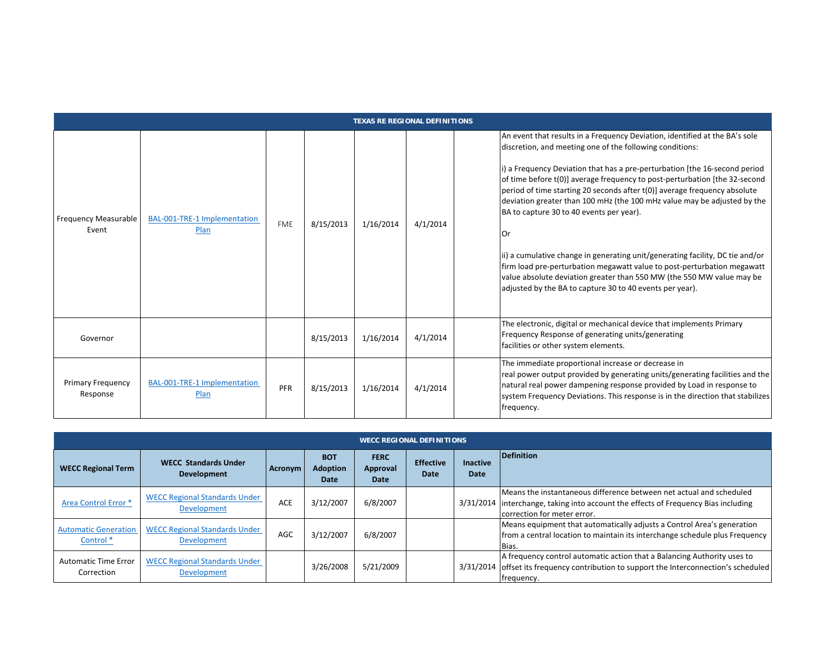|                                      | <b>TEXAS RE REGIONAL DEFINITIONS</b> |            |           |           |          |                                                                                                                                                                                                                                                                                                                                                                                                                                                                                                                                                                                                                                                                                                                                                                                                                 |  |  |  |
|--------------------------------------|--------------------------------------|------------|-----------|-----------|----------|-----------------------------------------------------------------------------------------------------------------------------------------------------------------------------------------------------------------------------------------------------------------------------------------------------------------------------------------------------------------------------------------------------------------------------------------------------------------------------------------------------------------------------------------------------------------------------------------------------------------------------------------------------------------------------------------------------------------------------------------------------------------------------------------------------------------|--|--|--|
| <b>Frequency Measurable</b><br>Event | BAL-001-TRE-1 Implementation<br>Plan | <b>FME</b> | 8/15/2013 | 1/16/2014 | 4/1/2014 | An event that results in a Frequency Deviation, identified at the BA's sole<br>discretion, and meeting one of the following conditions:<br>i) a Frequency Deviation that has a pre-perturbation [the 16-second period<br>of time before t(0)] average frequency to post-perturbation [the 32-second<br>period of time starting 20 seconds after t(0)] average frequency absolute<br>deviation greater than 100 mHz (the 100 mHz value may be adjusted by the<br>BA to capture 30 to 40 events per year).<br>Or<br>ii) a cumulative change in generating unit/generating facility, DC tie and/or<br>firm load pre-perturbation megawatt value to post-perturbation megawatt<br>value absolute deviation greater than 550 MW (the 550 MW value may be<br>adjusted by the BA to capture 30 to 40 events per year). |  |  |  |
| Governor                             |                                      |            | 8/15/2013 | 1/16/2014 | 4/1/2014 | The electronic, digital or mechanical device that implements Primary<br>Frequency Response of generating units/generating<br>facilities or other system elements.                                                                                                                                                                                                                                                                                                                                                                                                                                                                                                                                                                                                                                               |  |  |  |
| <b>Primary Frequency</b><br>Response | BAL-001-TRE-1 Implementation<br>Plan | PFR        | 8/15/2013 | 1/16/2014 | 4/1/2014 | The immediate proportional increase or decrease in<br>real power output provided by generating units/generating facilities and the<br>natural real power dampening response provided by Load in response to<br>system Frequency Deviations. This response is in the direction that stabilizes<br>frequency.                                                                                                                                                                                                                                                                                                                                                                                                                                                                                                     |  |  |  |

|                                                     | <b>WECC REGIONAL DEFINITIONS</b>                           |            |                                       |                                        |                          |                         |                                                                                                                                                                                 |  |  |
|-----------------------------------------------------|------------------------------------------------------------|------------|---------------------------------------|----------------------------------------|--------------------------|-------------------------|---------------------------------------------------------------------------------------------------------------------------------------------------------------------------------|--|--|
| <b>WECC Regional Term</b>                           | <b>WECC Standards Under</b><br><b>Development</b>          | Acronym    | <b>BOT</b><br><b>Adoption</b><br>Date | <b>FERC</b><br>Approval<br><b>Date</b> | <b>Effective</b><br>Date | <b>Inactive</b><br>Date | Definition                                                                                                                                                                      |  |  |
| Area Control Error *                                | <b>WECC Regional Standards Under</b><br><b>Development</b> | <b>ACE</b> | 3/12/2007                             | 6/8/2007                               |                          | 3/31/2014               | Means the instantaneous difference between net actual and scheduled<br>interchange, taking into account the effects of Frequency Bias including<br>correction for meter error.  |  |  |
| <b>Automatic Generation</b><br>Control <sup>*</sup> | <b>WECC Regional Standards Under</b><br>Development        | AGC        | 3/12/2007                             | 6/8/2007                               |                          |                         | Means equipment that automatically adjusts a Control Area's generation<br>from a central location to maintain its interchange schedule plus Frequency<br>Bias.                  |  |  |
| <b>Automatic Time Error</b><br>Correction           | <b>WECC Regional Standards Under</b><br>Development        |            | 3/26/2008                             | 5/21/2009                              |                          |                         | A frequency control automatic action that a Balancing Authority uses to<br>3/31/2014 offset its frequency contribution to support the Interconnection's scheduled<br>frequency. |  |  |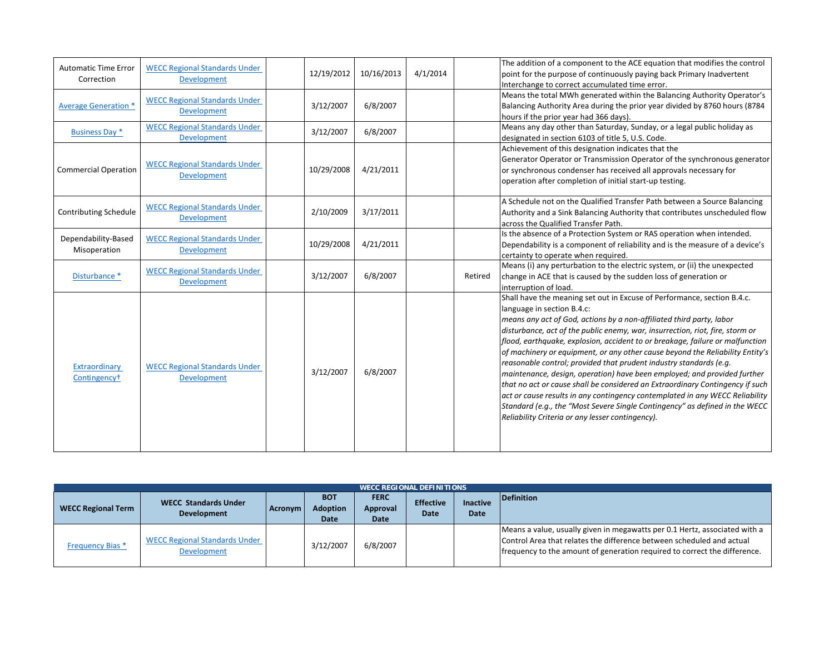| <b>Automatic Time Error</b><br>Correction | <b>WECC Regional Standards Under</b><br><b>Development</b> | 12/19/2012 | 10/16/2013 | 4/1/2014 |         | The addition of a component to the ACE equation that modifies the control<br>point for the purpose of continuously paying back Primary Inadvertent<br>Interchange to correct accumulated time error.                                                                                                                                                                                                                                                                                                                                                                                                                                                                                                                                                                                                                                                                                   |
|-------------------------------------------|------------------------------------------------------------|------------|------------|----------|---------|----------------------------------------------------------------------------------------------------------------------------------------------------------------------------------------------------------------------------------------------------------------------------------------------------------------------------------------------------------------------------------------------------------------------------------------------------------------------------------------------------------------------------------------------------------------------------------------------------------------------------------------------------------------------------------------------------------------------------------------------------------------------------------------------------------------------------------------------------------------------------------------|
| <b>Average Generation *</b>               | <b>WECC Regional Standards Under</b><br><b>Development</b> | 3/12/2007  | 6/8/2007   |          |         | Means the total MWh generated within the Balancing Authority Operator's<br>Balancing Authority Area during the prior year divided by 8760 hours (8784<br>hours if the prior year had 366 days).                                                                                                                                                                                                                                                                                                                                                                                                                                                                                                                                                                                                                                                                                        |
| <b>Business Day *</b>                     | <b>WECC Regional Standards Under</b><br>Development        | 3/12/2007  | 6/8/2007   |          |         | Means any day other than Saturday, Sunday, or a legal public holiday as<br>designated in section 6103 of title 5, U.S. Code.                                                                                                                                                                                                                                                                                                                                                                                                                                                                                                                                                                                                                                                                                                                                                           |
| <b>Commercial Operation</b>               | <b>WECC Regional Standards Under</b><br>Development        | 10/29/2008 | 4/21/2011  |          |         | Achievement of this designation indicates that the<br>Generator Operator or Transmission Operator of the synchronous generator<br>or synchronous condenser has received all approvals necessary for<br>operation after completion of initial start-up testing.                                                                                                                                                                                                                                                                                                                                                                                                                                                                                                                                                                                                                         |
| <b>Contributing Schedule</b>              | <b>WECC Regional Standards Under</b><br>Development        | 2/10/2009  | 3/17/2011  |          |         | A Schedule not on the Qualified Transfer Path between a Source Balancing<br>Authority and a Sink Balancing Authority that contributes unscheduled flow<br>across the Qualified Transfer Path.                                                                                                                                                                                                                                                                                                                                                                                                                                                                                                                                                                                                                                                                                          |
| Dependability-Based<br>Misoperation       | <b>WECC Regional Standards Under</b><br><b>Development</b> | 10/29/2008 | 4/21/2011  |          |         | Is the absence of a Protection System or RAS operation when intended.<br>Dependability is a component of reliability and is the measure of a device's<br>certainty to operate when required.                                                                                                                                                                                                                                                                                                                                                                                                                                                                                                                                                                                                                                                                                           |
| Disturbance *                             | <b>WECC Regional Standards Under</b><br><b>Development</b> | 3/12/2007  | 6/8/2007   |          | Retired | Means (i) any perturbation to the electric system, or (ii) the unexpected<br>change in ACE that is caused by the sudden loss of generation or<br>interruption of load.                                                                                                                                                                                                                                                                                                                                                                                                                                                                                                                                                                                                                                                                                                                 |
| Extraordinary<br>Contingency <sup>+</sup> | <b>WECC Regional Standards Under</b><br><b>Development</b> | 3/12/2007  | 6/8/2007   |          |         | Shall have the meaning set out in Excuse of Performance, section B.4.c.<br>language in section B.4.c:<br>means any act of God, actions by a non-affiliated third party, labor<br>disturbance, act of the public enemy, war, insurrection, riot, fire, storm or<br>flood, earthquake, explosion, accident to or breakage, failure or malfunction<br>of machinery or equipment, or any other cause beyond the Reliability Entity's<br>reasonable control; provided that prudent industry standards (e.g.<br>maintenance, design, operation) have been employed; and provided further<br>that no act or cause shall be considered an Extraordinary Contingency if such<br>act or cause results in any contingency contemplated in any WECC Reliability<br>Standard (e.g., the "Most Severe Single Contingency" as defined in the WECC<br>Reliability Criteria or any lesser contingency). |

|                           | <b>WECC REGIONAL DEFINITIONS</b>                    |         |                                       |                                        |                                 |                                |                                                                                                                                                                                                                                   |  |
|---------------------------|-----------------------------------------------------|---------|---------------------------------------|----------------------------------------|---------------------------------|--------------------------------|-----------------------------------------------------------------------------------------------------------------------------------------------------------------------------------------------------------------------------------|--|
| <b>WECC Regional Term</b> | <b>WECC Standards Under</b><br><b>Development</b>   | Acronym | <b>BOT</b><br><b>Adoption</b><br>Date | <b>FERC</b><br>Approval<br><b>Date</b> | <b>Effective</b><br><b>Date</b> | <b>Inactive</b><br><b>Date</b> | Definition                                                                                                                                                                                                                        |  |
| Frequency Bias *          | <b>WECC Regional Standards Under</b><br>Development |         | 3/12/2007                             | 6/8/2007                               |                                 |                                | Means a value, usually given in megawatts per 0.1 Hertz, associated with a<br>Control Area that relates the difference between scheduled and actual<br>Ifrequency to the amount of generation required to correct the difference. |  |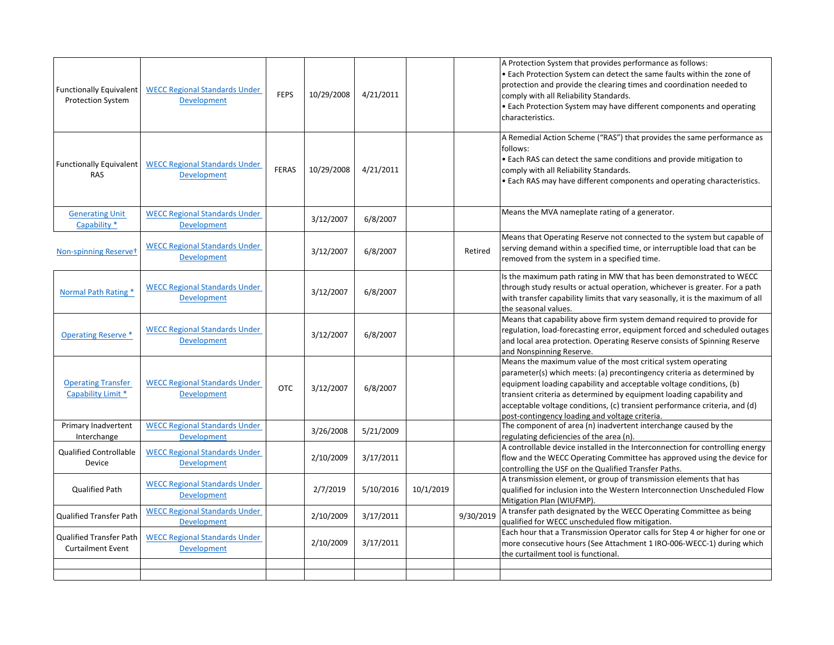| <b>Functionally Equivalent</b><br><b>Protection System</b> | <b>WECC Regional Standards Under</b><br>Development        | <b>FEPS</b>  | 10/29/2008 | 4/21/2011 |           |           | A Protection System that provides performance as follows:<br>• Each Protection System can detect the same faults within the zone of<br>protection and provide the clearing times and coordination needed to<br>comply with all Reliability Standards.<br>• Each Protection System may have different components and operating<br>characteristics.                                                                      |
|------------------------------------------------------------|------------------------------------------------------------|--------------|------------|-----------|-----------|-----------|------------------------------------------------------------------------------------------------------------------------------------------------------------------------------------------------------------------------------------------------------------------------------------------------------------------------------------------------------------------------------------------------------------------------|
| <b>Functionally Equivalent</b><br><b>RAS</b>               | <b>WECC Regional Standards Under</b><br><b>Development</b> | <b>FERAS</b> | 10/29/2008 | 4/21/2011 |           |           | A Remedial Action Scheme ("RAS") that provides the same performance as<br>follows:<br>• Each RAS can detect the same conditions and provide mitigation to<br>comply with all Reliability Standards.<br>• Each RAS may have different components and operating characteristics.                                                                                                                                         |
| <b>Generating Unit</b><br>Capability *                     | <b>WECC Regional Standards Under</b><br>Development        |              | 3/12/2007  | 6/8/2007  |           |           | Means the MVA nameplate rating of a generator.                                                                                                                                                                                                                                                                                                                                                                         |
| Non-spinning Reservet                                      | <b>WECC Regional Standards Under</b><br>Development        |              | 3/12/2007  | 6/8/2007  |           | Retired   | Means that Operating Reserve not connected to the system but capable of<br>serving demand within a specified time, or interruptible load that can be<br>removed from the system in a specified time.                                                                                                                                                                                                                   |
| Normal Path Rating *                                       | <b>WECC Regional Standards Under</b><br><b>Development</b> |              | 3/12/2007  | 6/8/2007  |           |           | Is the maximum path rating in MW that has been demonstrated to WECC<br>through study results or actual operation, whichever is greater. For a path<br>with transfer capability limits that vary seasonally, it is the maximum of all<br>the seasonal values.                                                                                                                                                           |
| <b>Operating Reserve *</b>                                 | <b>WECC Regional Standards Under</b><br><b>Development</b> |              | 3/12/2007  | 6/8/2007  |           |           | Means that capability above firm system demand required to provide for<br>regulation, load-forecasting error, equipment forced and scheduled outages<br>and local area protection. Operating Reserve consists of Spinning Reserve<br>and Nonspinning Reserve.                                                                                                                                                          |
| <b>Operating Transfer</b><br>Capability Limit *            | <b>WECC Regional Standards Under</b><br>Development        | <b>OTC</b>   | 3/12/2007  | 6/8/2007  |           |           | Means the maximum value of the most critical system operating<br>parameter(s) which meets: (a) precontingency criteria as determined by<br>equipment loading capability and acceptable voltage conditions, (b)<br>transient criteria as determined by equipment loading capability and<br>acceptable voltage conditions, (c) transient performance criteria, and (d)<br>post-contingency loading and voltage criteria. |
| Primary Inadvertent<br>Interchange                         | <b>WECC Regional Standards Under</b><br>Development        |              | 3/26/2008  | 5/21/2009 |           |           | The component of area (n) inadvertent interchange caused by the<br>regulating deficiencies of the area (n).                                                                                                                                                                                                                                                                                                            |
| <b>Qualified Controllable</b><br>Device                    | <b>WECC Regional Standards Under</b><br>Development        |              | 2/10/2009  | 3/17/2011 |           |           | A controllable device installed in the Interconnection for controlling energy<br>flow and the WECC Operating Committee has approved using the device for<br>controlling the USF on the Qualified Transfer Paths.                                                                                                                                                                                                       |
| <b>Qualified Path</b>                                      | <b>WECC Regional Standards Under</b><br>Development        |              | 2/7/2019   | 5/10/2016 | 10/1/2019 |           | A transmission element, or group of transmission elements that has<br>qualified for inclusion into the Western Interconnection Unscheduled Flow<br>Mitigation Plan (WIUFMP).                                                                                                                                                                                                                                           |
| Qualified Transfer Path                                    | <b>WECC Regional Standards Under</b><br>Development        |              | 2/10/2009  | 3/17/2011 |           | 9/30/2019 | A transfer path designated by the WECC Operating Committee as being<br>qualified for WECC unscheduled flow mitigation.                                                                                                                                                                                                                                                                                                 |
| <b>Qualified Transfer Path</b><br><b>Curtailment Event</b> | <b>WECC Regional Standards Under</b><br>Development        |              | 2/10/2009  | 3/17/2011 |           |           | Each hour that a Transmission Operator calls for Step 4 or higher for one or<br>more consecutive hours (See Attachment 1 IRO-006-WECC-1) during which<br>the curtailment tool is functional.                                                                                                                                                                                                                           |
|                                                            |                                                            |              |            |           |           |           |                                                                                                                                                                                                                                                                                                                                                                                                                        |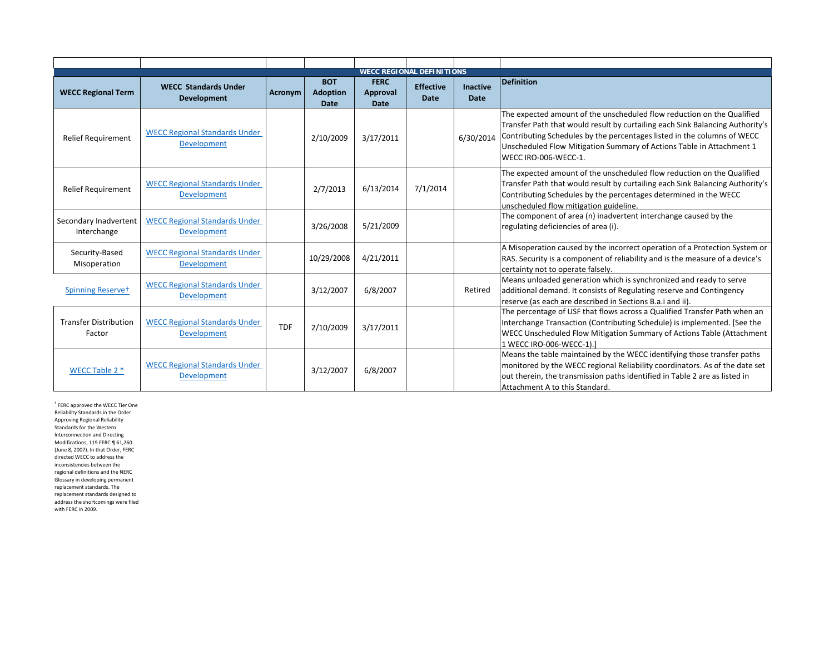|                                        | <b>WECC REGIONAL DEFINITIONS</b>                           |                |                                              |                                        |                                 |                                |                                                                                                                                                                                                                                                                                                                                    |  |  |
|----------------------------------------|------------------------------------------------------------|----------------|----------------------------------------------|----------------------------------------|---------------------------------|--------------------------------|------------------------------------------------------------------------------------------------------------------------------------------------------------------------------------------------------------------------------------------------------------------------------------------------------------------------------------|--|--|
| <b>WECC Regional Term</b>              | <b>WECC Standards Under</b><br><b>Development</b>          | <b>Acronym</b> | <b>BOT</b><br><b>Adoption</b><br><b>Date</b> | <b>FERC</b><br>Approval<br><b>Date</b> | <b>Effective</b><br><b>Date</b> | <b>Inactive</b><br><b>Date</b> | <b>Definition</b>                                                                                                                                                                                                                                                                                                                  |  |  |
| <b>Relief Requirement</b>              | <b>WECC Regional Standards Under</b><br><b>Development</b> |                | 2/10/2009                                    | 3/17/2011                              |                                 | 6/30/2014                      | The expected amount of the unscheduled flow reduction on the Qualified<br>Transfer Path that would result by curtailing each Sink Balancing Authority's<br>Contributing Schedules by the percentages listed in the columns of WECC<br>Unscheduled Flow Mitigation Summary of Actions Table in Attachment 1<br>WECC IRO-006-WECC-1. |  |  |
| <b>Relief Requirement</b>              | <b>WECC Regional Standards Under</b><br>Development        |                | 2/7/2013                                     | 6/13/2014                              | 7/1/2014                        |                                | The expected amount of the unscheduled flow reduction on the Qualified<br>Transfer Path that would result by curtailing each Sink Balancing Authority's<br>Contributing Schedules by the percentages determined in the WECC<br>unscheduled flow mitigation guideline.                                                              |  |  |
| Secondary Inadvertent<br>Interchange   | <b>WECC Regional Standards Under</b><br>Development        |                | 3/26/2008                                    | 5/21/2009                              |                                 |                                | The component of area (n) inadvertent interchange caused by the<br>regulating deficiencies of area (i).                                                                                                                                                                                                                            |  |  |
| Security-Based<br>Misoperation         | <b>WECC Regional Standards Under</b><br><b>Development</b> |                | 10/29/2008                                   | 4/21/2011                              |                                 |                                | A Misoperation caused by the incorrect operation of a Protection System or<br>RAS. Security is a component of reliability and is the measure of a device's<br>certainty not to operate falsely.                                                                                                                                    |  |  |
| Spinning Reservet                      | <b>WECC Regional Standards Under</b><br>Development        |                | 3/12/2007                                    | 6/8/2007                               |                                 | Retired                        | Means unloaded generation which is synchronized and ready to serve<br>additional demand. It consists of Regulating reserve and Contingency<br>reserve (as each are described in Sections B.a.i and ii).                                                                                                                            |  |  |
| <b>Transfer Distribution</b><br>Factor | <b>WECC Regional Standards Under</b><br><b>Development</b> | <b>TDF</b>     | 2/10/2009                                    | 3/17/2011                              |                                 |                                | The percentage of USF that flows across a Qualified Transfer Path when an<br>Interchange Transaction (Contributing Schedule) is implemented. [See the<br>WECC Unscheduled Flow Mitigation Summary of Actions Table (Attachment<br>1 WECC IRO-006-WECC-1).                                                                          |  |  |
| WECC Table 2 *                         | <b>WECC Regional Standards Under</b><br><b>Development</b> |                | 3/12/2007                                    | 6/8/2007                               |                                 |                                | Means the table maintained by the WECC identifying those transfer paths<br>monitored by the WECC regional Reliability coordinators. As of the date set<br>out therein, the transmission paths identified in Table 2 are as listed in<br>Attachment A to this Standard.                                                             |  |  |

† FERC approved the WECC Tier One Reliability Standards in the Order Approving Regional Reliability Standards for the Western Interconnection and Directing Modifications, 119 FERC ¶ 61,260 (June 8, 2007). In that Order, FERC directed WECC to address the inconsistencies between the regional definitions and the NERC Glossary in developing permanent replacement standards. The replacement standards designed to address the shortcomings were filed with FERC in 2009.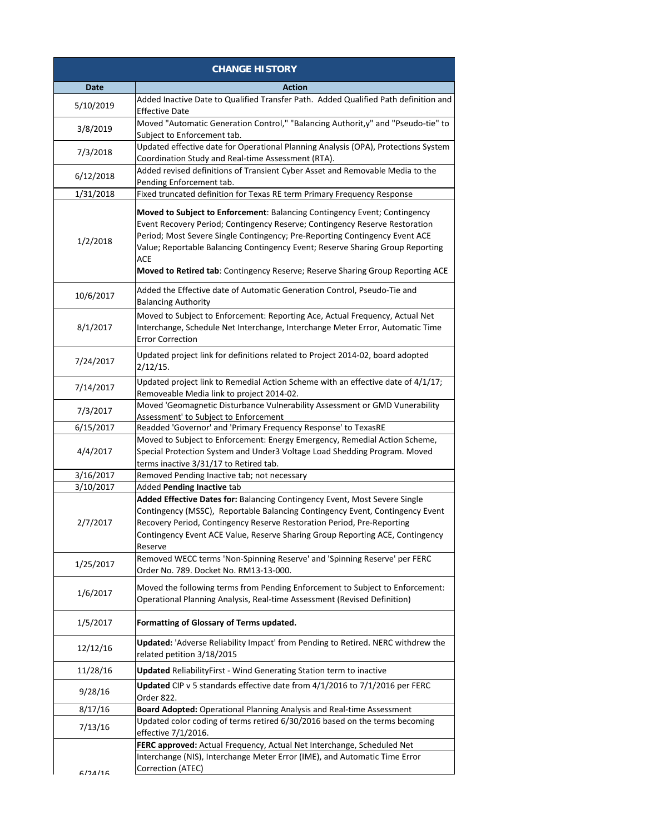|                       | <b>CHANGE HISTORY</b>                                                                                                                                                                                                                                                                                                                                                                                              |
|-----------------------|--------------------------------------------------------------------------------------------------------------------------------------------------------------------------------------------------------------------------------------------------------------------------------------------------------------------------------------------------------------------------------------------------------------------|
| <b>Date</b>           | <b>Action</b>                                                                                                                                                                                                                                                                                                                                                                                                      |
| 5/10/2019             | Added Inactive Date to Qualified Transfer Path. Added Qualified Path definition and<br><b>Effective Date</b>                                                                                                                                                                                                                                                                                                       |
| 3/8/2019              | Moved "Automatic Generation Control," "Balancing Authorit, y" and "Pseudo-tie" to<br>Subject to Enforcement tab.                                                                                                                                                                                                                                                                                                   |
| 7/3/2018              | Updated effective date for Operational Planning Analysis (OPA), Protections System<br>Coordination Study and Real-time Assessment (RTA).                                                                                                                                                                                                                                                                           |
| 6/12/2018             | Added revised definitions of Transient Cyber Asset and Removable Media to the<br>Pending Enforcement tab.                                                                                                                                                                                                                                                                                                          |
| 1/31/2018             | Fixed truncated definition for Texas RE term Primary Frequency Response                                                                                                                                                                                                                                                                                                                                            |
| 1/2/2018              | Moved to Subject to Enforcement: Balancing Contingency Event; Contingency<br>Event Recovery Period; Contingency Reserve; Contingency Reserve Restoration<br>Period; Most Severe Single Contingency; Pre-Reporting Contingency Event ACE<br>Value; Reportable Balancing Contingency Event; Reserve Sharing Group Reporting<br>ACE<br>Moved to Retired tab: Contingency Reserve; Reserve Sharing Group Reporting ACE |
| 10/6/2017             | Added the Effective date of Automatic Generation Control, Pseudo-Tie and<br><b>Balancing Authority</b>                                                                                                                                                                                                                                                                                                             |
| 8/1/2017              | Moved to Subject to Enforcement: Reporting Ace, Actual Frequency, Actual Net<br>Interchange, Schedule Net Interchange, Interchange Meter Error, Automatic Time<br><b>Error Correction</b>                                                                                                                                                                                                                          |
| 7/24/2017             | Updated project link for definitions related to Project 2014-02, board adopted<br>2/12/15.                                                                                                                                                                                                                                                                                                                         |
| 7/14/2017             | Updated project link to Remedial Action Scheme with an effective date of 4/1/17;<br>Removeable Media link to project 2014-02.                                                                                                                                                                                                                                                                                      |
| 7/3/2017              | Moved 'Geomagnetic Disturbance Vulnerability Assessment or GMD Vunerability<br>Assessment' to Subject to Enforcement                                                                                                                                                                                                                                                                                               |
| 6/15/2017             | Readded 'Governor' and 'Primary Frequency Response' to TexasRE                                                                                                                                                                                                                                                                                                                                                     |
| 4/4/2017              | Moved to Subject to Enforcement: Energy Emergency, Remedial Action Scheme,<br>Special Protection System and Under3 Voltage Load Shedding Program. Moved<br>terms inactive 3/31/17 to Retired tab.                                                                                                                                                                                                                  |
| 3/16/2017             | Removed Pending Inactive tab; not necessary                                                                                                                                                                                                                                                                                                                                                                        |
| 3/10/2017<br>2/7/2017 | Added Pending Inactive tab<br>Added Effective Dates for: Balancing Contingency Event, Most Severe Single<br>Contingency (MSSC), Reportable Balancing Contingency Event, Contingency Event<br>Recovery Period, Contingency Reserve Restoration Period, Pre-Reporting<br>Contingency Event ACE Value, Reserve Sharing Group Reporting ACE, Contingency<br>Reserve                                                    |
| 1/25/2017             | Removed WECC terms 'Non-Spinning Reserve' and 'Spinning Reserve' per FERC<br>Order No. 789. Docket No. RM13-13-000.                                                                                                                                                                                                                                                                                                |
| 1/6/2017              | Moved the following terms from Pending Enforcement to Subject to Enforcement:<br>Operational Planning Analysis, Real-time Assessment (Revised Definition)                                                                                                                                                                                                                                                          |
| 1/5/2017              | Formatting of Glossary of Terms updated.                                                                                                                                                                                                                                                                                                                                                                           |
| 12/12/16              | <b>Updated:</b> 'Adverse Reliability Impact' from Pending to Retired. NERC withdrew the<br>related petition 3/18/2015                                                                                                                                                                                                                                                                                              |
| 11/28/16              | <b>Updated</b> ReliabilityFirst - Wind Generating Station term to inactive                                                                                                                                                                                                                                                                                                                                         |
| 9/28/16               | Updated CIP v 5 standards effective date from 4/1/2016 to 7/1/2016 per FERC<br>Order 822.                                                                                                                                                                                                                                                                                                                          |
| 8/17/16               | Board Adopted: Operational Planning Analysis and Real-time Assessment                                                                                                                                                                                                                                                                                                                                              |
| 7/13/16               | Updated color coding of terms retired 6/30/2016 based on the terms becoming<br>effective 7/1/2016.                                                                                                                                                                                                                                                                                                                 |
|                       | FERC approved: Actual Frequency, Actual Net Interchange, Scheduled Net                                                                                                                                                                                                                                                                                                                                             |
| 6/71/16               | Interchange (NIS), Interchange Meter Error (IME), and Automatic Time Error<br>Correction (ATEC)                                                                                                                                                                                                                                                                                                                    |